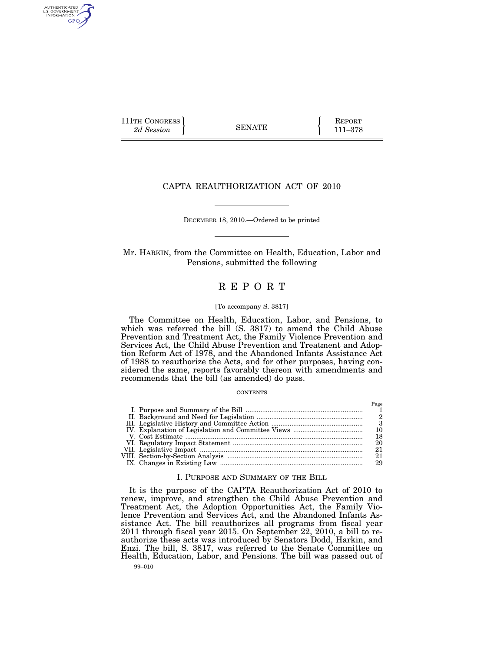111TH CONGRESS **REPORT** 2d Session **111 EXECUTE 111–378** 

AUTHENTICATED<br>U.S. GOVERNMENT<br>INFORMATION **GPO** 

# CAPTA REAUTHORIZATION ACT OF 2010

DECEMBER 18, 2010.—Ordered to be printed

Mr. HARKIN, from the Committee on Health, Education, Labor and Pensions, submitted the following

# R E P O R T

#### [To accompany S. 3817]

The Committee on Health, Education, Labor, and Pensions, to which was referred the bill (S. 3817) to amend the Child Abuse Prevention and Treatment Act, the Family Violence Prevention and Services Act, the Child Abuse Prevention and Treatment and Adoption Reform Act of 1978, and the Abandoned Infants Assistance Act of 1988 to reauthorize the Acts, and for other purposes, having considered the same, reports favorably thereon with amendments and recommends that the bill (as amended) do pass.

#### **CONTENTS**

|  | 10  |
|--|-----|
|  | 18  |
|  | 20  |
|  | 21  |
|  | -21 |
|  | 29  |

## I. PURPOSE AND SUMMARY OF THE BILL

99–010 It is the purpose of the CAPTA Reauthorization Act of 2010 to renew, improve, and strengthen the Child Abuse Prevention and Treatment Act, the Adoption Opportunities Act, the Family Violence Prevention and Services Act, and the Abandoned Infants Assistance Act. The bill reauthorizes all programs from fiscal year 2011 through fiscal year 2015. On September 22, 2010, a bill to reauthorize these acts was introduced by Senators Dodd, Harkin, and Enzi. The bill, S. 3817, was referred to the Senate Committee on Health, Education, Labor, and Pensions. The bill was passed out of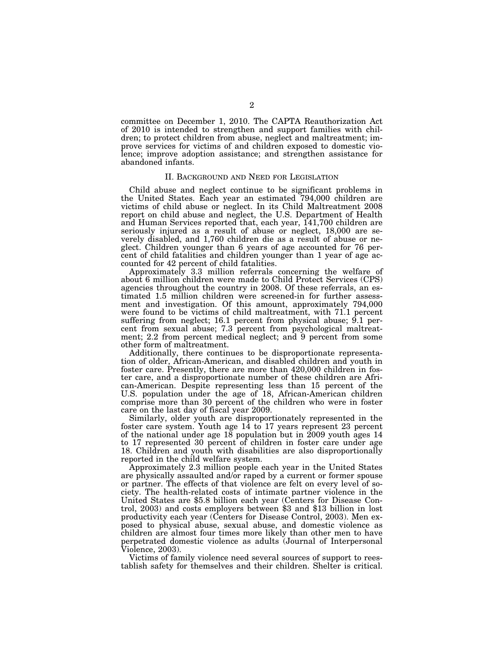committee on December 1, 2010. The CAPTA Reauthorization Act of 2010 is intended to strengthen and support families with children; to protect children from abuse, neglect and maltreatment; improve services for victims of and children exposed to domestic violence; improve adoption assistance; and strengthen assistance for abandoned infants.

# II. BACKGROUND AND NEED FOR LEGISLATION

Child abuse and neglect continue to be significant problems in the United States. Each year an estimated 794,000 children are victims of child abuse or neglect. In its Child Maltreatment 2008 report on child abuse and neglect, the U.S. Department of Health and Human Services reported that, each year, 141,700 children are seriously injured as a result of abuse or neglect, 18,000 are severely disabled, and 1,760 children die as a result of abuse or neglect. Children younger than 6 years of age accounted for 76 percent of child fatalities and children younger than 1 year of age accounted for 42 percent of child fatalities.

Approximately 3.3 million referrals concerning the welfare of about 6 million children were made to Child Protect Services (CPS) agencies throughout the country in 2008. Of these referrals, an estimated 1.5 million children were screened-in for further assessment and investigation. Of this amount, approximately 794,000 were found to be victims of child maltreatment, with 71.1 percent suffering from neglect; 16.1 percent from physical abuse; 9.1 percent from sexual abuse; 7.3 percent from psychological maltreatment; 2.2 from percent medical neglect; and 9 percent from some other form of maltreatment.

Additionally, there continues to be disproportionate representation of older, African-American, and disabled children and youth in foster care. Presently, there are more than 420,000 children in foster care, and a disproportionate number of these children are African-American. Despite representing less than 15 percent of the U.S. population under the age of 18, African-American children comprise more than 30 percent of the children who were in foster care on the last day of fiscal year 2009.

Similarly, older youth are disproportionately represented in the foster care system. Youth age 14 to 17 years represent 23 percent of the national under age  $18$  population but in 2009 youth ages 14 to 17 represented 30 percent of children in foster care under age 18. Children and youth with disabilities are also disproportionally reported in the child welfare system.

Approximately 2.3 million people each year in the United States are physically assaulted and/or raped by a current or former spouse or partner. The effects of that violence are felt on every level of society. The health-related costs of intimate partner violence in the United States are \$5.8 billion each year (Centers for Disease Control, 2003) and costs employers between \$3 and \$13 billion in lost productivity each year (Centers for Disease Control, 2003). Men exposed to physical abuse, sexual abuse, and domestic violence as children are almost four times more likely than other men to have perpetrated domestic violence as adults (Journal of Interpersonal Violence, 2003).

Victims of family violence need several sources of support to reestablish safety for themselves and their children. Shelter is critical.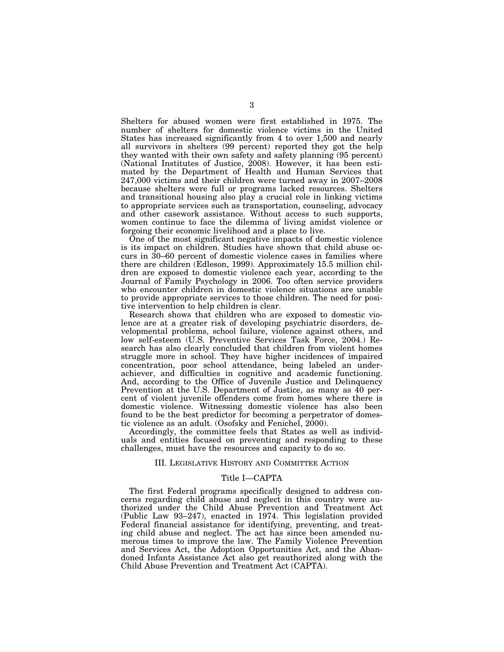Shelters for abused women were first established in 1975. The number of shelters for domestic violence victims in the United States has increased significantly from 4 to over 1,500 and nearly all survivors in shelters (99 percent) reported they got the help they wanted with their own safety and safety planning (95 percent) (National Institutes of Justice, 2008). However, it has been estimated by the Department of Health and Human Services that 247,000 victims and their children were turned away in 2007–2008 because shelters were full or programs lacked resources. Shelters and transitional housing also play a crucial role in linking victims to appropriate services such as transportation, counseling, advocacy and other casework assistance. Without access to such supports, women continue to face the dilemma of living amidst violence or forgoing their economic livelihood and a place to live.

One of the most significant negative impacts of domestic violence is its impact on children. Studies have shown that child abuse occurs in 30–60 percent of domestic violence cases in families where there are children (Edleson, 1999). Approximately 15.5 million children are exposed to domestic violence each year, according to the Journal of Family Psychology in 2006. Too often service providers who encounter children in domestic violence situations are unable to provide appropriate services to those children. The need for positive intervention to help children is clear.

Research shows that children who are exposed to domestic violence are at a greater risk of developing psychiatric disorders, developmental problems, school failure, violence against others, and low self-esteem (U.S. Preventive Services Task Force, 2004.) Research has also clearly concluded that children from violent homes struggle more in school. They have higher incidences of impaired concentration, poor school attendance, being labeled an underachiever, and difficulties in cognitive and academic functioning. And, according to the Office of Juvenile Justice and Delinquency Prevention at the U.S. Department of Justice, as many as 40 percent of violent juvenile offenders come from homes where there is domestic violence. Witnessing domestic violence has also been found to be the best predictor for becoming a perpetrator of domestic violence as an adult. (Osofsky and Fenichel, 2000).

Accordingly, the committee feels that States as well as individuals and entities focused on preventing and responding to these challenges, must have the resources and capacity to do so.

## III. LEGISLATIVE HISTORY AND COMMITTEE ACTION

## Title I—CAPTA

The first Federal programs specifically designed to address concerns regarding child abuse and neglect in this country were authorized under the Child Abuse Prevention and Treatment Act (Public Law 93–247), enacted in 1974. This legislation provided Federal financial assistance for identifying, preventing, and treating child abuse and neglect. The act has since been amended numerous times to improve the law. The Family Violence Prevention and Services Act, the Adoption Opportunities Act, and the Abandoned Infants Assistance Act also get reauthorized along with the Child Abuse Prevention and Treatment Act (CAPTA).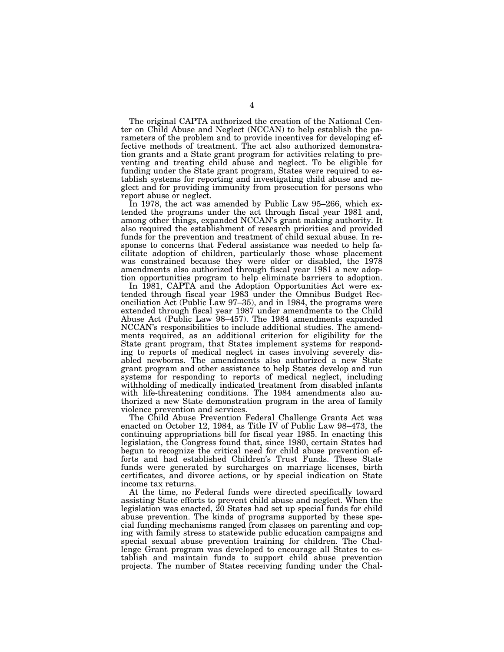The original CAPTA authorized the creation of the National Center on Child Abuse and Neglect (NCCAN) to help establish the parameters of the problem and to provide incentives for developing effective methods of treatment. The act also authorized demonstration grants and a State grant program for activities relating to preventing and treating child abuse and neglect. To be eligible for funding under the State grant program, States were required to establish systems for reporting and investigating child abuse and neglect and for providing immunity from prosecution for persons who report abuse or neglect.

In 1978, the act was amended by Public Law 95–266, which extended the programs under the act through fiscal year 1981 and, among other things, expanded NCCAN's grant making authority. It also required the establishment of research priorities and provided funds for the prevention and treatment of child sexual abuse. In response to concerns that Federal assistance was needed to help facilitate adoption of children, particularly those whose placement was constrained because they were older or disabled, the 1978 amendments also authorized through fiscal year 1981 a new adoption opportunities program to help eliminate barriers to adoption.

In 1981, CAPTA and the Adoption Opportunities Act were extended through fiscal year 1983 under the Omnibus Budget Reconciliation Act (Public Law 97–35), and in 1984, the programs were extended through fiscal year 1987 under amendments to the Child Abuse Act (Public Law 98–457). The 1984 amendments expanded NCCAN's responsibilities to include additional studies. The amendments required, as an additional criterion for eligibility for the State grant program, that States implement systems for responding to reports of medical neglect in cases involving severely disabled newborns. The amendments also authorized a new State grant program and other assistance to help States develop and run systems for responding to reports of medical neglect, including withholding of medically indicated treatment from disabled infants with life-threatening conditions. The 1984 amendments also authorized a new State demonstration program in the area of family violence prevention and services.

The Child Abuse Prevention Federal Challenge Grants Act was enacted on October 12, 1984, as Title IV of Public Law 98–473, the continuing appropriations bill for fiscal year 1985. In enacting this legislation, the Congress found that, since 1980, certain States had begun to recognize the critical need for child abuse prevention efforts and had established Children's Trust Funds. These State funds were generated by surcharges on marriage licenses, birth certificates, and divorce actions, or by special indication on State income tax returns.

At the time, no Federal funds were directed specifically toward assisting State efforts to prevent child abuse and neglect. When the legislation was enacted, 20 States had set up special funds for child abuse prevention. The kinds of programs supported by these special funding mechanisms ranged from classes on parenting and coping with family stress to statewide public education campaigns and special sexual abuse prevention training for children. The Challenge Grant program was developed to encourage all States to establish and maintain funds to support child abuse prevention projects. The number of States receiving funding under the Chal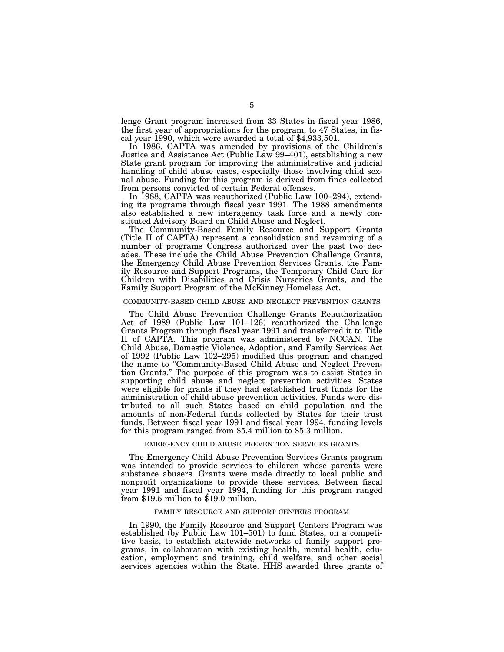lenge Grant program increased from 33 States in fiscal year 1986, the first year of appropriations for the program, to 47 States, in fiscal year 1990, which were awarded a total of \$4,933,501.

In 1986, CAPTA was amended by provisions of the Children's Justice and Assistance Act (Public Law 99–401), establishing a new State grant program for improving the administrative and judicial handling of child abuse cases, especially those involving child sexual abuse. Funding for this program is derived from fines collected from persons convicted of certain Federal offenses.

In 1988, CAPTA was reauthorized (Public Law 100–294), extending its programs through fiscal year 1991. The 1988 amendments also established a new interagency task force and a newly constituted Advisory Board on Child Abuse and Neglect.

The Community-Based Family Resource and Support Grants (Title II of CAPTA) represent a consolidation and revamping of a number of programs Congress authorized over the past two decades. These include the Child Abuse Prevention Challenge Grants, the Emergency Child Abuse Prevention Services Grants, the Family Resource and Support Programs, the Temporary Child Care for Children with Disabilities and Crisis Nurseries Grants, and the Family Support Program of the McKinney Homeless Act.

#### COMMUNITY-BASED CHILD ABUSE AND NEGLECT PREVENTION GRANTS

The Child Abuse Prevention Challenge Grants Reauthorization Act of 1989 (Public Law 101–126) reauthorized the Challenge Grants Program through fiscal year 1991 and transferred it to Title II of CAPTA. This program was administered by NCCAN. The Child Abuse, Domestic Violence, Adoption, and Family Services Act of 1992 (Public Law 102–295) modified this program and changed the name to ''Community-Based Child Abuse and Neglect Prevention Grants.'' The purpose of this program was to assist States in supporting child abuse and neglect prevention activities. States were eligible for grants if they had established trust funds for the administration of child abuse prevention activities. Funds were distributed to all such States based on child population and the amounts of non-Federal funds collected by States for their trust funds. Between fiscal year 1991 and fiscal year 1994, funding levels for this program ranged from \$5.4 million to \$5.3 million.

#### EMERGENCY CHILD ABUSE PREVENTION SERVICES GRANTS

The Emergency Child Abuse Prevention Services Grants program was intended to provide services to children whose parents were substance abusers. Grants were made directly to local public and nonprofit organizations to provide these services. Between fiscal year 1991 and fiscal year 1994, funding for this program ranged from \$19.5 million to \$19.0 million.

## FAMILY RESOURCE AND SUPPORT CENTERS PROGRAM

In 1990, the Family Resource and Support Centers Program was established (by Public Law 101–501) to fund States, on a competitive basis, to establish statewide networks of family support programs, in collaboration with existing health, mental health, education, employment and training, child welfare, and other social services agencies within the State. HHS awarded three grants of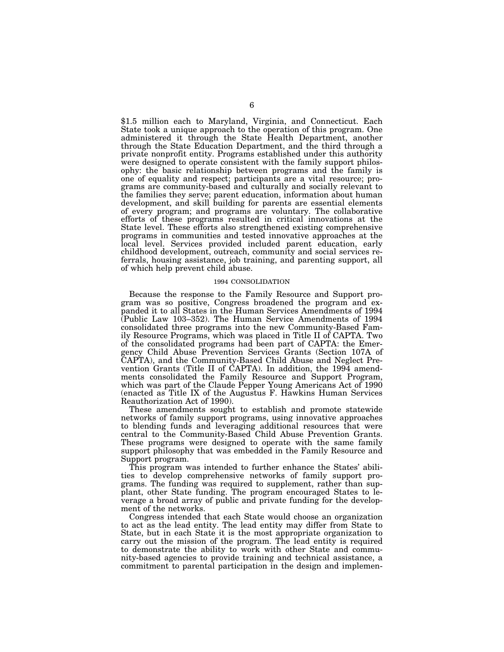\$1.5 million each to Maryland, Virginia, and Connecticut. Each State took a unique approach to the operation of this program. One administered it through the State Health Department, another through the State Education Department, and the third through a private nonprofit entity. Programs established under this authority were designed to operate consistent with the family support philosophy: the basic relationship between programs and the family is one of equality and respect; participants are a vital resource; programs are community-based and culturally and socially relevant to the families they serve; parent education, information about human development, and skill building for parents are essential elements of every program; and programs are voluntary. The collaborative efforts of these programs resulted in critical innovations at the State level. These efforts also strengthened existing comprehensive programs in communities and tested innovative approaches at the local level. Services provided included parent education, early childhood development, outreach, community and social services referrals, housing assistance, job training, and parenting support, all of which help prevent child abuse.

#### 1994 CONSOLIDATION

Because the response to the Family Resource and Support program was so positive, Congress broadened the program and expanded it to all States in the Human Services Amendments of 1994 (Public Law 103–352). The Human Service Amendments of 1994 consolidated three programs into the new Community-Based Family Resource Programs, which was placed in Title II of CAPTA. Two of the consolidated programs had been part of CAPTA: the Emergency Child Abuse Prevention Services Grants (Section 107A of CAPTA), and the Community-Based Child Abuse and Neglect Prevention Grants (Title II of CAPTA). In addition, the 1994 amendments consolidated the Family Resource and Support Program, which was part of the Claude Pepper Young Americans Act of 1990 (enacted as Title IX of the Augustus F. Hawkins Human Services Reauthorization Act of 1990).

These amendments sought to establish and promote statewide networks of family support programs, using innovative approaches to blending funds and leveraging additional resources that were central to the Community-Based Child Abuse Prevention Grants. These programs were designed to operate with the same family support philosophy that was embedded in the Family Resource and Support program.

This program was intended to further enhance the States' abilities to develop comprehensive networks of family support programs. The funding was required to supplement, rather than supplant, other State funding. The program encouraged States to leverage a broad array of public and private funding for the development of the networks.

Congress intended that each State would choose an organization to act as the lead entity. The lead entity may differ from State to State, but in each State it is the most appropriate organization to carry out the mission of the program. The lead entity is required to demonstrate the ability to work with other State and community-based agencies to provide training and technical assistance, a commitment to parental participation in the design and implemen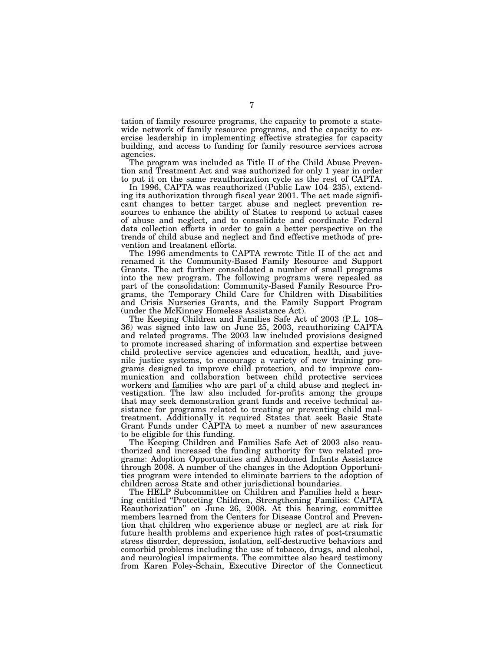tation of family resource programs, the capacity to promote a statewide network of family resource programs, and the capacity to exercise leadership in implementing effective strategies for capacity building, and access to funding for family resource services across agencies.

The program was included as Title II of the Child Abuse Prevention and Treatment Act and was authorized for only 1 year in order to put it on the same reauthorization cycle as the rest of CAPTA.

In 1996, CAPTA was reauthorized (Public Law 104–235), extending its authorization through fiscal year 2001. The act made significant changes to better target abuse and neglect prevention resources to enhance the ability of States to respond to actual cases of abuse and neglect, and to consolidate and coordinate Federal data collection efforts in order to gain a better perspective on the trends of child abuse and neglect and find effective methods of prevention and treatment efforts.

The 1996 amendments to CAPTA rewrote Title II of the act and renamed it the Community-Based Family Resource and Support Grants. The act further consolidated a number of small programs into the new program. The following programs were repealed as part of the consolidation: Community-Based Family Resource Programs, the Temporary Child Care for Children with Disabilities and Crisis Nurseries Grants, and the Family Support Program (under the McKinney Homeless Assistance Act).

The Keeping Children and Families Safe Act of 2003 (P.L. 108– 36) was signed into law on June 25, 2003, reauthorizing CAPTA and related programs. The 2003 law included provisions designed to promote increased sharing of information and expertise between child protective service agencies and education, health, and juvenile justice systems, to encourage a variety of new training programs designed to improve child protection, and to improve communication and collaboration between child protective services workers and families who are part of a child abuse and neglect investigation. The law also included for-profits among the groups that may seek demonstration grant funds and receive technical assistance for programs related to treating or preventing child maltreatment. Additionally it required States that seek Basic State Grant Funds under CAPTA to meet a number of new assurances to be eligible for this funding.

The Keeping Children and Families Safe Act of 2003 also reauthorized and increased the funding authority for two related programs: Adoption Opportunities and Abandoned Infants Assistance through 2008. A number of the changes in the Adoption Opportunities program were intended to eliminate barriers to the adoption of children across State and other jurisdictional boundaries.

The HELP Subcommittee on Children and Families held a hearing entitled ''Protecting Children, Strengthening Families: CAPTA Reauthorization'' on June 26, 2008. At this hearing, committee members learned from the Centers for Disease Control and Prevention that children who experience abuse or neglect are at risk for future health problems and experience high rates of post-traumatic stress disorder, depression, isolation, self-destructive behaviors and comorbid problems including the use of tobacco, drugs, and alcohol, and neurological impairments. The committee also heard testimony from Karen Foley-Schain, Executive Director of the Connecticut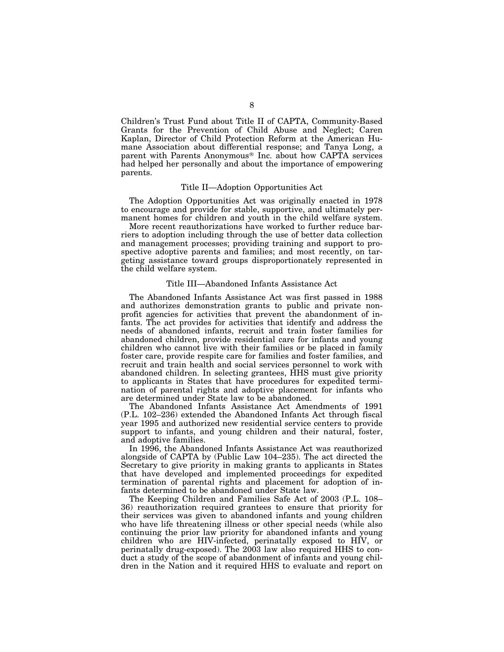Children's Trust Fund about Title II of CAPTA, Community-Based Grants for the Prevention of Child Abuse and Neglect; Caren Kaplan, Director of Child Protection Reform at the American Humane Association about differential response; and Tanya Long, a parent with Parents Anonymous® Inc. about how CAPTA services had helped her personally and about the importance of empowering parents.

#### Title II—Adoption Opportunities Act

The Adoption Opportunities Act was originally enacted in 1978 to encourage and provide for stable, supportive, and ultimately permanent homes for children and youth in the child welfare system.

More recent reauthorizations have worked to further reduce barriers to adoption including through the use of better data collection and management processes; providing training and support to prospective adoptive parents and families; and most recently, on targeting assistance toward groups disproportionately represented in the child welfare system.

#### Title III—Abandoned Infants Assistance Act

The Abandoned Infants Assistance Act was first passed in 1988 and authorizes demonstration grants to public and private nonprofit agencies for activities that prevent the abandonment of infants. The act provides for activities that identify and address the needs of abandoned infants, recruit and train foster families for abandoned children, provide residential care for infants and young children who cannot live with their families or be placed in family foster care, provide respite care for families and foster families, and recruit and train health and social services personnel to work with abandoned children. In selecting grantees, HHS must give priority to applicants in States that have procedures for expedited termination of parental rights and adoptive placement for infants who are determined under State law to be abandoned.

The Abandoned Infants Assistance Act Amendments of 1991 (P.L. 102–236) extended the Abandoned Infants Act through fiscal year 1995 and authorized new residential service centers to provide support to infants, and young children and their natural, foster, and adoptive families.

In 1996, the Abandoned Infants Assistance Act was reauthorized alongside of CAPTA by (Public Law 104–235). The act directed the Secretary to give priority in making grants to applicants in States that have developed and implemented proceedings for expedited termination of parental rights and placement for adoption of infants determined to be abandoned under State law.

The Keeping Children and Families Safe Act of 2003 (P.L. 108– 36) reauthorization required grantees to ensure that priority for their services was given to abandoned infants and young children who have life threatening illness or other special needs (while also continuing the prior law priority for abandoned infants and young children who are HIV-infected, perinatally exposed to HIV, or perinatally drug-exposed). The 2003 law also required HHS to conduct a study of the scope of abandonment of infants and young children in the Nation and it required HHS to evaluate and report on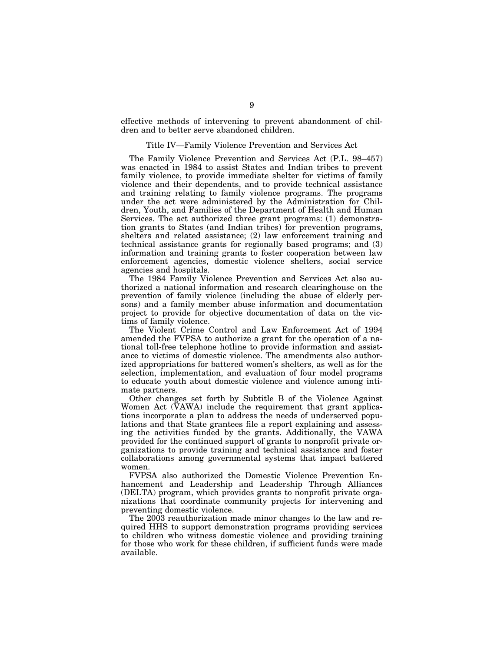effective methods of intervening to prevent abandonment of children and to better serve abandoned children.

## Title IV—Family Violence Prevention and Services Act

The Family Violence Prevention and Services Act (P.L. 98–457) was enacted in 1984 to assist States and Indian tribes to prevent family violence, to provide immediate shelter for victims of family violence and their dependents, and to provide technical assistance and training relating to family violence programs. The programs under the act were administered by the Administration for Children, Youth, and Families of the Department of Health and Human Services. The act authorized three grant programs: (1) demonstration grants to States (and Indian tribes) for prevention programs, shelters and related assistance; (2) law enforcement training and technical assistance grants for regionally based programs; and (3) information and training grants to foster cooperation between law enforcement agencies, domestic violence shelters, social service agencies and hospitals.

The 1984 Family Violence Prevention and Services Act also authorized a national information and research clearinghouse on the prevention of family violence (including the abuse of elderly persons) and a family member abuse information and documentation project to provide for objective documentation of data on the victims of family violence.

The Violent Crime Control and Law Enforcement Act of 1994 amended the FVPSA to authorize a grant for the operation of a national toll-free telephone hotline to provide information and assistance to victims of domestic violence. The amendments also authorized appropriations for battered women's shelters, as well as for the selection, implementation, and evaluation of four model programs to educate youth about domestic violence and violence among intimate partners.

Other changes set forth by Subtitle B of the Violence Against Women Act (VAWA) include the requirement that grant applications incorporate a plan to address the needs of underserved populations and that State grantees file a report explaining and assessing the activities funded by the grants. Additionally, the VAWA provided for the continued support of grants to nonprofit private organizations to provide training and technical assistance and foster collaborations among governmental systems that impact battered women.

FVPSA also authorized the Domestic Violence Prevention Enhancement and Leadership and Leadership Through Alliances (DELTA) program, which provides grants to nonprofit private organizations that coordinate community projects for intervening and preventing domestic violence.

The 2003 reauthorization made minor changes to the law and required HHS to support demonstration programs providing services to children who witness domestic violence and providing training for those who work for these children, if sufficient funds were made available.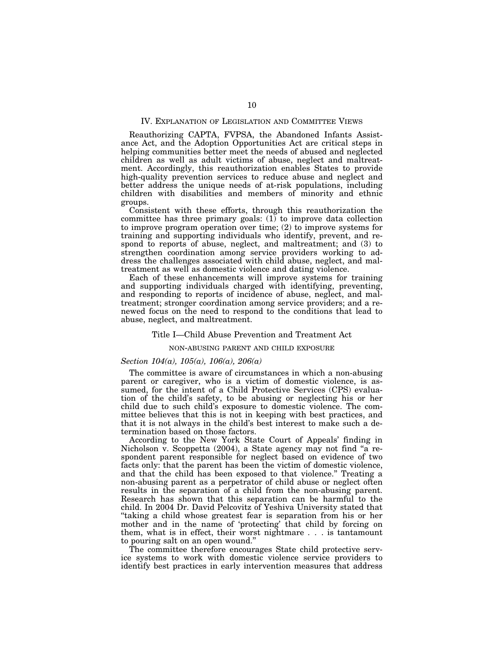## IV. EXPLANATION OF LEGISLATION AND COMMITTEE VIEWS

Reauthorizing CAPTA, FVPSA, the Abandoned Infants Assistance Act, and the Adoption Opportunities Act are critical steps in helping communities better meet the needs of abused and neglected children as well as adult victims of abuse, neglect and maltreatment. Accordingly, this reauthorization enables States to provide high-quality prevention services to reduce abuse and neglect and better address the unique needs of at-risk populations, including children with disabilities and members of minority and ethnic groups.

Consistent with these efforts, through this reauthorization the committee has three primary goals: (1) to improve data collection to improve program operation over time; (2) to improve systems for training and supporting individuals who identify, prevent, and respond to reports of abuse, neglect, and maltreatment; and (3) to strengthen coordination among service providers working to address the challenges associated with child abuse, neglect, and maltreatment as well as domestic violence and dating violence.

Each of these enhancements will improve systems for training and supporting individuals charged with identifying, preventing, and responding to reports of incidence of abuse, neglect, and maltreatment; stronger coordination among service providers; and a renewed focus on the need to respond to the conditions that lead to abuse, neglect, and maltreatment.

#### Title I—Child Abuse Prevention and Treatment Act

#### NON-ABUSING PARENT AND CHILD EXPOSURE

## *Section 104(a), 105(a), 106(a), 206(a)*

The committee is aware of circumstances in which a non-abusing parent or caregiver, who is a victim of domestic violence, is assumed, for the intent of a Child Protective Services (CPS) evaluation of the child's safety, to be abusing or neglecting his or her child due to such child's exposure to domestic violence. The committee believes that this is not in keeping with best practices, and that it is not always in the child's best interest to make such a determination based on those factors.

According to the New York State Court of Appeals' finding in Nicholson v. Scoppetta (2004), a State agency may not find "a respondent parent responsible for neglect based on evidence of two facts only: that the parent has been the victim of domestic violence, and that the child has been exposed to that violence.'' Treating a non-abusing parent as a perpetrator of child abuse or neglect often results in the separation of a child from the non-abusing parent. Research has shown that this separation can be harmful to the child. In 2004 Dr. David Pelcovitz of Yeshiva University stated that ''taking a child whose greatest fear is separation from his or her mother and in the name of 'protecting' that child by forcing on them, what is in effect, their worst nightmare . . . is tantamount to pouring salt on an open wound.''

The committee therefore encourages State child protective service systems to work with domestic violence service providers to identify best practices in early intervention measures that address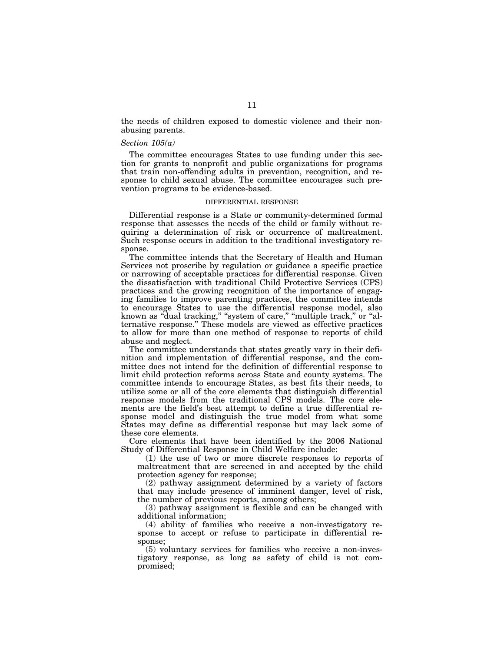the needs of children exposed to domestic violence and their nonabusing parents.

#### *Section 105(a)*

The committee encourages States to use funding under this section for grants to nonprofit and public organizations for programs that train non-offending adults in prevention, recognition, and response to child sexual abuse. The committee encourages such prevention programs to be evidence-based.

#### DIFFERENTIAL RESPONSE

Differential response is a State or community-determined formal response that assesses the needs of the child or family without requiring a determination of risk or occurrence of maltreatment. Such response occurs in addition to the traditional investigatory response.

The committee intends that the Secretary of Health and Human Services not proscribe by regulation or guidance a specific practice or narrowing of acceptable practices for differential response. Given the dissatisfaction with traditional Child Protective Services (CPS) practices and the growing recognition of the importance of engaging families to improve parenting practices, the committee intends to encourage States to use the differential response model, also known as "dual tracking," "system of care," "multiple track," or "alternative response.'' These models are viewed as effective practices to allow for more than one method of response to reports of child abuse and neglect.

The committee understands that states greatly vary in their definition and implementation of differential response, and the committee does not intend for the definition of differential response to limit child protection reforms across State and county systems. The committee intends to encourage States, as best fits their needs, to utilize some or all of the core elements that distinguish differential response models from the traditional CPS models. The core elements are the field's best attempt to define a true differential response model and distinguish the true model from what some States may define as differential response but may lack some of these core elements.

Core elements that have been identified by the 2006 National Study of Differential Response in Child Welfare include:

(1) the use of two or more discrete responses to reports of maltreatment that are screened in and accepted by the child protection agency for response;

(2) pathway assignment determined by a variety of factors that may include presence of imminent danger, level of risk, the number of previous reports, among others;

(3) pathway assignment is flexible and can be changed with additional information;

(4) ability of families who receive a non-investigatory response to accept or refuse to participate in differential response;

(5) voluntary services for families who receive a non-investigatory response, as long as safety of child is not compromised;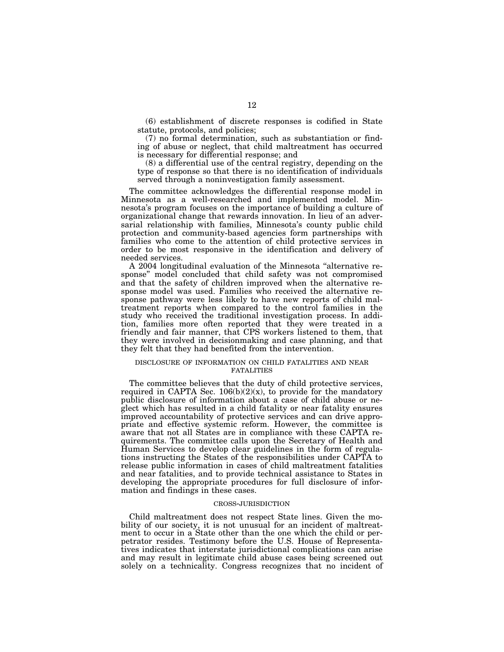(6) establishment of discrete responses is codified in State statute, protocols, and policies;

(7) no formal determination, such as substantiation or finding of abuse or neglect, that child maltreatment has occurred is necessary for differential response; and

(8) a differential use of the central registry, depending on the type of response so that there is no identification of individuals served through a noninvestigation family assessment.

The committee acknowledges the differential response model in Minnesota as a well-researched and implemented model. Minnesota's program focuses on the importance of building a culture of organizational change that rewards innovation. In lieu of an adversarial relationship with families, Minnesota's county public child protection and community-based agencies form partnerships with families who come to the attention of child protective services in order to be most responsive in the identification and delivery of needed services.

A 2004 longitudinal evaluation of the Minnesota ''alternative response'' model concluded that child safety was not compromised and that the safety of children improved when the alternative response model was used. Families who received the alternative response pathway were less likely to have new reports of child maltreatment reports when compared to the control families in the study who received the traditional investigation process. In addition, families more often reported that they were treated in a friendly and fair manner, that CPS workers listened to them, that they were involved in decisionmaking and case planning, and that they felt that they had benefited from the intervention.

#### DISCLOSURE OF INFORMATION ON CHILD FATALITIES AND NEAR FATALITIES

The committee believes that the duty of child protective services, required in CAPTA Sec.  $106(b)(2)(x)$ , to provide for the mandatory public disclosure of information about a case of child abuse or neglect which has resulted in a child fatality or near fatality ensures improved accountability of protective services and can drive appropriate and effective systemic reform. However, the committee is aware that not all States are in compliance with these CAPTA requirements. The committee calls upon the Secretary of Health and Human Services to develop clear guidelines in the form of regulations instructing the States of the responsibilities under CAPTA to release public information in cases of child maltreatment fatalities and near fatalities, and to provide technical assistance to States in developing the appropriate procedures for full disclosure of information and findings in these cases.

#### CROSS-JURISDICTION

Child maltreatment does not respect State lines. Given the mobility of our society, it is not unusual for an incident of maltreatment to occur in a State other than the one which the child or perpetrator resides. Testimony before the U.S. House of Representatives indicates that interstate jurisdictional complications can arise and may result in legitimate child abuse cases being screened out solely on a technicality. Congress recognizes that no incident of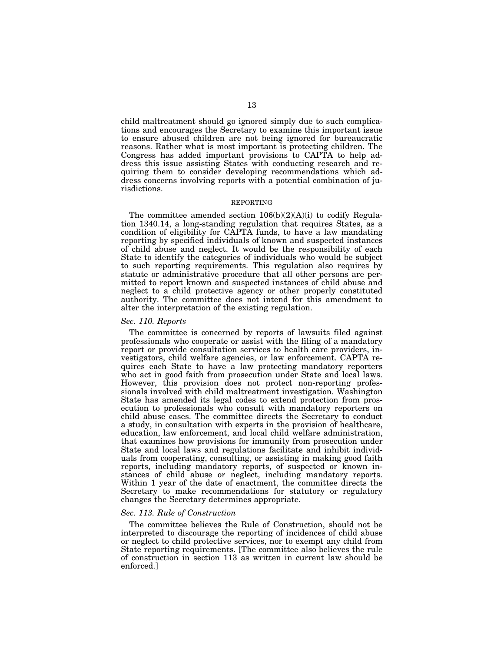child maltreatment should go ignored simply due to such complications and encourages the Secretary to examine this important issue to ensure abused children are not being ignored for bureaucratic reasons. Rather what is most important is protecting children. The Congress has added important provisions to CAPTA to help address this issue assisting States with conducting research and requiring them to consider developing recommendations which address concerns involving reports with a potential combination of jurisdictions.

#### REPORTING

The committee amended section  $106(b)(2)(A)(i)$  to codify Regulation 1340.14, a long-standing regulation that requires States, as a condition of eligibility for CAPTA funds, to have a law mandating reporting by specified individuals of known and suspected instances of child abuse and neglect. It would be the responsibility of each State to identify the categories of individuals who would be subject to such reporting requirements. This regulation also requires by statute or administrative procedure that all other persons are permitted to report known and suspected instances of child abuse and neglect to a child protective agency or other properly constituted authority. The committee does not intend for this amendment to alter the interpretation of the existing regulation.

# *Sec. 110. Reports*

The committee is concerned by reports of lawsuits filed against professionals who cooperate or assist with the filing of a mandatory report or provide consultation services to health care providers, investigators, child welfare agencies, or law enforcement. CAPTA requires each State to have a law protecting mandatory reporters who act in good faith from prosecution under State and local laws. However, this provision does not protect non-reporting professionals involved with child maltreatment investigation. Washington State has amended its legal codes to extend protection from prosecution to professionals who consult with mandatory reporters on child abuse cases. The committee directs the Secretary to conduct a study, in consultation with experts in the provision of healthcare, education, law enforcement, and local child welfare administration, that examines how provisions for immunity from prosecution under State and local laws and regulations facilitate and inhibit individuals from cooperating, consulting, or assisting in making good faith reports, including mandatory reports, of suspected or known instances of child abuse or neglect, including mandatory reports. Within 1 year of the date of enactment, the committee directs the Secretary to make recommendations for statutory or regulatory changes the Secretary determines appropriate.

## *Sec. 113. Rule of Construction*

The committee believes the Rule of Construction, should not be interpreted to discourage the reporting of incidences of child abuse or neglect to child protective services, nor to exempt any child from State reporting requirements. [The committee also believes the rule of construction in section 113 as written in current law should be enforced.]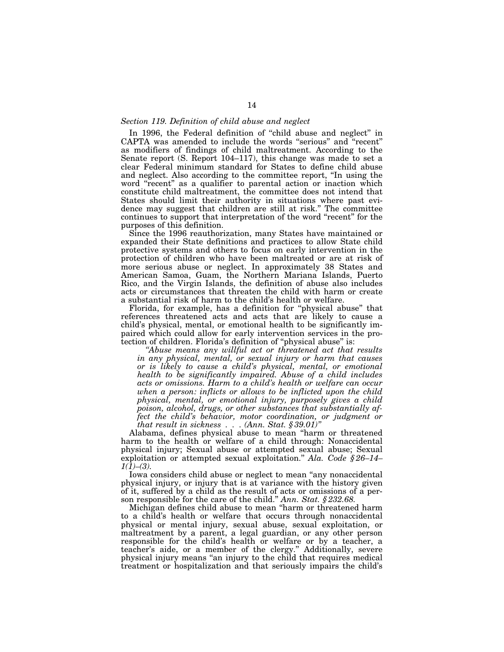## *Section 119. Definition of child abuse and neglect*

In 1996, the Federal definition of "child abuse and neglect" in CAPTA was amended to include the words ''serious'' and ''recent'' as modifiers of findings of child maltreatment. According to the Senate report (S. Report 104–117), this change was made to set a clear Federal minimum standard for States to define child abuse and neglect. Also according to the committee report, ''In using the word "recent" as a qualifier to parental action or inaction which constitute child maltreatment, the committee does not intend that States should limit their authority in situations where past evidence may suggest that children are still at risk.'' The committee continues to support that interpretation of the word ''recent'' for the purposes of this definition.

Since the 1996 reauthorization, many States have maintained or expanded their State definitions and practices to allow State child protective systems and others to focus on early intervention in the protection of children who have been maltreated or are at risk of more serious abuse or neglect. In approximately 38 States and American Samoa, Guam, the Northern Mariana Islands, Puerto Rico, and the Virgin Islands, the definition of abuse also includes acts or circumstances that threaten the child with harm or create a substantial risk of harm to the child's health or welfare.

Florida, for example, has a definition for "physical abuse" that references threatened acts and acts that are likely to cause a child's physical, mental, or emotional health to be significantly impaired which could allow for early intervention services in the protection of children. Florida's definition of ''physical abuse'' is:

*''Abuse means any willful act or threatened act that results in any physical, mental, or sexual injury or harm that causes or is likely to cause a child's physical, mental, or emotional health to be significantly impaired. Abuse of a child includes acts or omissions. Harm to a child's health or welfare can occur when a person: inflicts or allows to be inflicted upon the child physical, mental, or emotional injury, purposely gives a child poison, alcohol, drugs, or other substances that substantially affect the child's behavior, motor coordination, or judgment or that result in sickness . . . (Ann. Stat. § 39.01)''* 

Alabama, defines physical abuse to mean ''harm or threatened harm to the health or welfare of a child through: Nonaccidental physical injury; Sexual abuse or attempted sexual abuse; Sexual exploitation or attempted sexual exploitation.'' *Ala. Code § 26–14– 1(1)–(3).* 

Iowa considers child abuse or neglect to mean ''any nonaccidental physical injury, or injury that is at variance with the history given of it, suffered by a child as the result of acts or omissions of a person responsible for the care of the child.'' *Ann. Stat. § 232.68.* 

Michigan defines child abuse to mean ''harm or threatened harm to a child's health or welfare that occurs through nonaccidental physical or mental injury, sexual abuse, sexual exploitation, or maltreatment by a parent, a legal guardian, or any other person responsible for the child's health or welfare or by a teacher, a teacher's aide, or a member of the clergy.'' Additionally, severe physical injury means ''an injury to the child that requires medical treatment or hospitalization and that seriously impairs the child's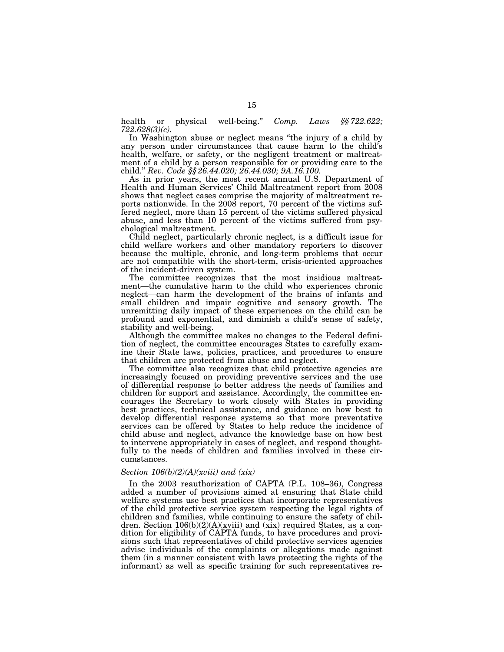health or physical well-being.'' *Comp. Laws §§ 722.622; 722.628(3)(c).* 

In Washington abuse or neglect means "the injury of a child by any person under circumstances that cause harm to the child's health, welfare, or safety, or the negligent treatment or maltreatment of a child by a person responsible for or providing care to the child.'' *Rev. Code §§ 26.44.020; 26.44.030; 9A.16.100.* 

As in prior years, the most recent annual U.S. Department of Health and Human Services' Child Maltreatment report from 2008 shows that neglect cases comprise the majority of maltreatment reports nationwide. In the 2008 report, 70 percent of the victims suffered neglect, more than 15 percent of the victims suffered physical abuse, and less than 10 percent of the victims suffered from psychological maltreatment.

Child neglect, particularly chronic neglect, is a difficult issue for child welfare workers and other mandatory reporters to discover because the multiple, chronic, and long-term problems that occur are not compatible with the short-term, crisis-oriented approaches of the incident-driven system.

The committee recognizes that the most insidious maltreatment—the cumulative harm to the child who experiences chronic neglect—can harm the development of the brains of infants and small children and impair cognitive and sensory growth. The unremitting daily impact of these experiences on the child can be profound and exponential, and diminish a child's sense of safety, stability and well-being.

Although the committee makes no changes to the Federal definition of neglect, the committee encourages States to carefully examine their State laws, policies, practices, and procedures to ensure that children are protected from abuse and neglect.

The committee also recognizes that child protective agencies are increasingly focused on providing preventive services and the use of differential response to better address the needs of families and children for support and assistance. Accordingly, the committee encourages the Secretary to work closely with States in providing best practices, technical assistance, and guidance on how best to develop differential response systems so that more preventative services can be offered by States to help reduce the incidence of child abuse and neglect, advance the knowledge base on how best to intervene appropriately in cases of neglect, and respond thoughtfully to the needs of children and families involved in these circumstances.

#### *Section 106(b)(2)(A)(xviii) and (xix)*

In the 2003 reauthorization of CAPTA (P.L. 108–36), Congress added a number of provisions aimed at ensuring that State child welfare systems use best practices that incorporate representatives of the child protective service system respecting the legal rights of children and families, while continuing to ensure the safety of children. Section  $106(b)(2)(A)(xviii)$  and  $(xix)$  required States, as a condition for eligibility of CAPTA funds, to have procedures and provisions such that representatives of child protective services agencies advise individuals of the complaints or allegations made against them (in a manner consistent with laws protecting the rights of the informant) as well as specific training for such representatives re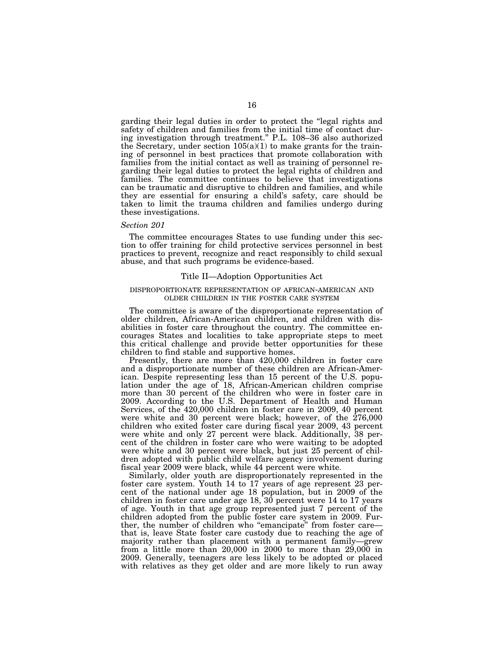garding their legal duties in order to protect the ''legal rights and safety of children and families from the initial time of contact during investigation through treatment.'' P.L. 108–36 also authorized the Secretary, under section  $105(a)(1)$  to make grants for the training of personnel in best practices that promote collaboration with families from the initial contact as well as training of personnel regarding their legal duties to protect the legal rights of children and families. The committee continues to believe that investigations can be traumatic and disruptive to children and families, and while they are essential for ensuring a child's safety, care should be taken to limit the trauma children and families undergo during these investigations.

#### *Section 201*

The committee encourages States to use funding under this section to offer training for child protective services personnel in best practices to prevent, recognize and react responsibly to child sexual abuse, and that such programs be evidence-based.

# Title II—Adoption Opportunities Act

## DISPROPORTIONATE REPRESENTATION OF AFRICAN-AMERICAN AND OLDER CHILDREN IN THE FOSTER CARE SYSTEM

The committee is aware of the disproportionate representation of older children, African-American children, and children with disabilities in foster care throughout the country. The committee encourages States and localities to take appropriate steps to meet this critical challenge and provide better opportunities for these children to find stable and supportive homes.

Presently, there are more than 420,000 children in foster care and a disproportionate number of these children are African-American. Despite representing less than 15 percent of the U.S. population under the age of 18, African-American children comprise more than 30 percent of the children who were in foster care in 2009. According to the U.S. Department of Health and Human Services, of the 420,000 children in foster care in 2009, 40 percent were white and 30 percent were black; however, of the 276,000 children who exited foster care during fiscal year 2009, 43 percent were white and only 27 percent were black. Additionally, 38 percent of the children in foster care who were waiting to be adopted were white and 30 percent were black, but just 25 percent of children adopted with public child welfare agency involvement during fiscal year 2009 were black, while 44 percent were white.

Similarly, older youth are disproportionately represented in the foster care system. Youth 14 to 17 years of age represent 23 percent of the national under age 18 population, but in 2009 of the children in foster care under age 18, 30 percent were 14 to 17 years of age. Youth in that age group represented just 7 percent of the children adopted from the public foster care system in 2009. Further, the number of children who "emancipate" from foster care that is, leave State foster care custody due to reaching the age of majority rather than placement with a permanent family—grew from a little more than 20,000 in 2000 to more than 29,000 in 2009. Generally, teenagers are less likely to be adopted or placed with relatives as they get older and are more likely to run away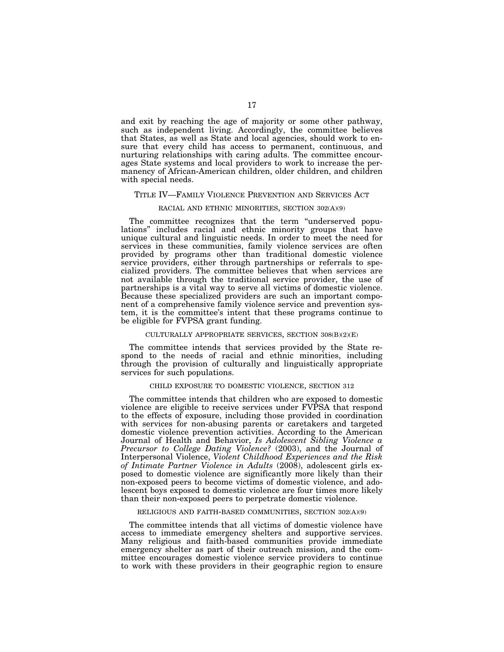and exit by reaching the age of majority or some other pathway, such as independent living. Accordingly, the committee believes that States, as well as State and local agencies, should work to ensure that every child has access to permanent, continuous, and nurturing relationships with caring adults. The committee encourages State systems and local providers to work to increase the permanency of African-American children, older children, and children with special needs.

#### TITLE IV—FAMILY VIOLENCE PREVENTION AND SERVICES ACT

## RACIAL AND ETHNIC MINORITIES, SECTION 302(A)(9)

The committee recognizes that the term "underserved populations'' includes racial and ethnic minority groups that have unique cultural and linguistic needs. In order to meet the need for services in these communities, family violence services are often provided by programs other than traditional domestic violence service providers, either through partnerships or referrals to specialized providers. The committee believes that when services are not available through the traditional service provider, the use of partnerships is a vital way to serve all victims of domestic violence. Because these specialized providers are such an important component of a comprehensive family violence service and prevention system, it is the committee's intent that these programs continue to be eligible for FVPSA grant funding.

#### CULTURALLY APPROPRIATE SERVICES, SECTION 308(B)(2)(E)

The committee intends that services provided by the State respond to the needs of racial and ethnic minorities, including through the provision of culturally and linguistically appropriate services for such populations.

#### CHILD EXPOSURE TO DOMESTIC VIOLENCE, SECTION 312

The committee intends that children who are exposed to domestic violence are eligible to receive services under FVPSA that respond to the effects of exposure, including those provided in coordination with services for non-abusing parents or caretakers and targeted domestic violence prevention activities. According to the American Journal of Health and Behavior, *Is Adolescent Sibling Violence a Precursor to College Dating Violence?* (2003), and the Journal of Interpersonal Violence, *Violent Childhood Experiences and the Risk of Intimate Partner Violence in Adults* (2008), adolescent girls exposed to domestic violence are significantly more likely than their non-exposed peers to become victims of domestic violence, and adolescent boys exposed to domestic violence are four times more likely than their non-exposed peers to perpetrate domestic violence.

## RELIGIOUS AND FAITH-BASED COMMUNITIES, SECTION 302(A)(9)

The committee intends that all victims of domestic violence have access to immediate emergency shelters and supportive services. Many religious and faith-based communities provide immediate emergency shelter as part of their outreach mission, and the committee encourages domestic violence service providers to continue to work with these providers in their geographic region to ensure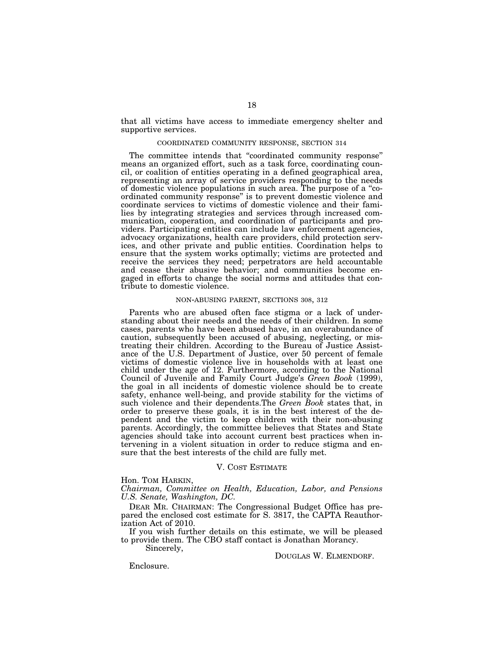that all victims have access to immediate emergency shelter and supportive services.

#### COORDINATED COMMUNITY RESPONSE, SECTION 314

The committee intends that ''coordinated community response'' means an organized effort, such as a task force, coordinating council, or coalition of entities operating in a defined geographical area, representing an array of service providers responding to the needs of domestic violence populations in such area. The purpose of a ''coordinated community response'' is to prevent domestic violence and coordinate services to victims of domestic violence and their families by integrating strategies and services through increased communication, cooperation, and coordination of participants and providers. Participating entities can include law enforcement agencies, advocacy organizations, health care providers, child protection services, and other private and public entities. Coordination helps to ensure that the system works optimally; victims are protected and receive the services they need; perpetrators are held accountable and cease their abusive behavior; and communities become engaged in efforts to change the social norms and attitudes that contribute to domestic violence.

## NON-ABUSING PARENT, SECTIONS 308, 312

Parents who are abused often face stigma or a lack of understanding about their needs and the needs of their children. In some cases, parents who have been abused have, in an overabundance of caution, subsequently been accused of abusing, neglecting, or mistreating their children. According to the Bureau of Justice Assistance of the U.S. Department of Justice, over 50 percent of female victims of domestic violence live in households with at least one child under the age of 12. Furthermore, according to the National Council of Juvenile and Family Court Judge's *Green Book* (1999), the goal in all incidents of domestic violence should be to create safety, enhance well-being, and provide stability for the victims of such violence and their dependents.The *Green Book* states that, in order to preserve these goals, it is in the best interest of the dependent and the victim to keep children with their non-abusing parents. Accordingly, the committee believes that States and State agencies should take into account current best practices when intervening in a violent situation in order to reduce stigma and ensure that the best interests of the child are fully met.

#### V. COST ESTIMATE

Hon. TOM HARKIN,

*Chairman, Committee on Health, Education, Labor, and Pensions U.S. Senate, Washington, DC.* 

DEAR MR. CHAIRMAN: The Congressional Budget Office has prepared the enclosed cost estimate for S. 3817, the CAPTA Reauthorization Act of 2010.

If you wish further details on this estimate, we will be pleased to provide them. The CBO staff contact is Jonathan Morancy.

Sincerely,

DOUGLAS W. ELMENDORF.

Enclosure.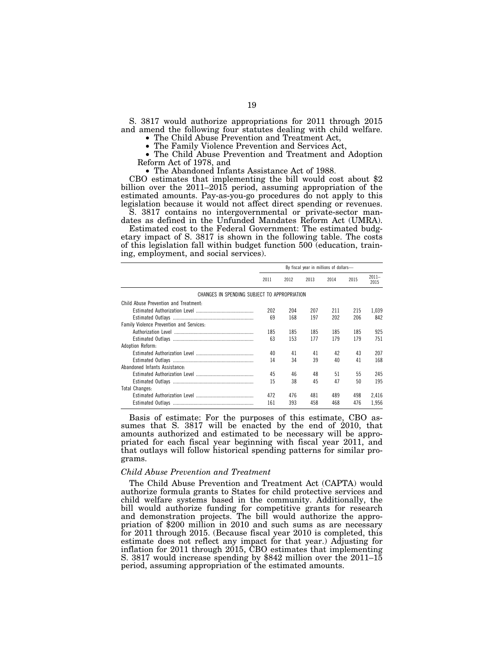S. 3817 would authorize appropriations for 2011 through 2015 and amend the following four statutes dealing with child welfare.<br>• The Child Abuse Prevention and Treatment Act,

• The Family Violence Prevention and Services Act,<br>• The Child Abuse Prevention and Treatment and Adoption Reform Act of 1978, and

• The Abandoned Infants Assistance Act of 1988.

CBO estimates that implementing the bill would cost about \$2 billion over the 2011–2015 period, assuming appropriation of the estimated amounts. Pay-as-you-go procedures do not apply to this legislation because it would not affect direct spending or revenues.

S. 3817 contains no intergovernmental or private-sector mandates as defined in the Unfunded Mandates Reform Act (UMRA).

Estimated cost to the Federal Government: The estimated budgetary impact of S. 3817 is shown in the following table. The costs of this legislation fall within budget function 500 (education, training, employment, and social services).

|                                              | By fiscal year in millions of dollars- |      |      |      |      |                  |
|----------------------------------------------|----------------------------------------|------|------|------|------|------------------|
|                                              | 2011                                   | 2012 | 2013 | 2014 | 2015 | $2011 -$<br>2015 |
| CHANGES IN SPENDING SUBJECT TO APPROPRIATION |                                        |      |      |      |      |                  |
| Child Abuse Prevention and Treatment:        |                                        |      |      |      |      |                  |
|                                              | 202                                    | 204  | 207  | 211  | 215  | 1.039            |
|                                              | 69                                     | 168  | 197  | 202  | 206  | 842              |
| Family Violence Prevention and Services:     |                                        |      |      |      |      |                  |
|                                              | 185                                    | 185  | 185  | 185  | 185  | 925              |
|                                              | 63                                     | 153  | 177  | 179  | 179  | 751              |
| Adoption Reform:                             |                                        |      |      |      |      |                  |
|                                              | 40                                     | 41   | 41   | 42   | 43   | 207              |
|                                              | 14                                     | 34   | 39   | 40   | 41   | 168              |
| Abandoned Infants Assistance:                |                                        |      |      |      |      |                  |
|                                              | 45                                     | 46   | 48   | 51   | 55   | 245              |
|                                              | 15                                     | 38   | 45   | 47   | 50   | 195              |
| <b>Total Changes:</b>                        |                                        |      |      |      |      |                  |
|                                              | 472                                    | 476  | 481  | 489  | 498  | 2.416            |
|                                              | 161                                    | 393  | 458  | 468  | 476  | 1,956            |

Basis of estimate: For the purposes of this estimate, CBO assumes that S.  $3817$  will be enacted by the end of  $2010$ , that amounts authorized and estimated to be necessary will be appropriated for each fiscal year beginning with fiscal year 2011, and that outlays will follow historical spending patterns for similar programs.

#### *Child Abuse Prevention and Treatment*

The Child Abuse Prevention and Treatment Act (CAPTA) would authorize formula grants to States for child protective services and child welfare systems based in the community. Additionally, the bill would authorize funding for competitive grants for research and demonstration projects. The bill would authorize the appropriation of \$200 million in 2010 and such sums as are necessary for 2011 through 2015. (Because fiscal year 2010 is completed, this estimate does not reflect any impact for that year.) Adjusting for inflation for 2011 through 2015, CBO estimates that implementing S. 3817 would increase spending by \$842 million over the 2011–15 period, assuming appropriation of the estimated amounts.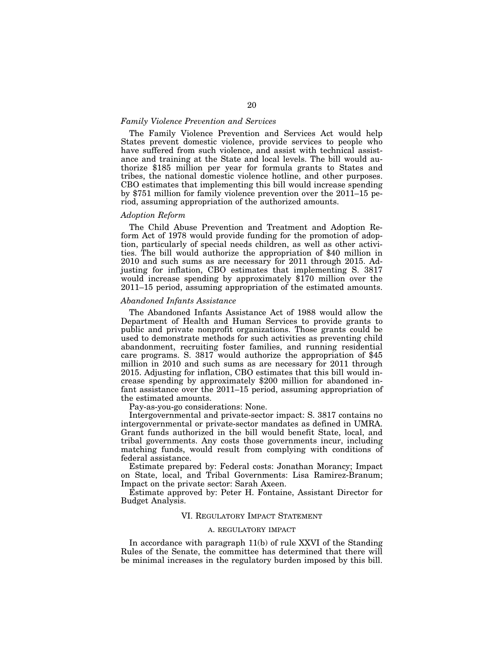## *Family Violence Prevention and Services*

The Family Violence Prevention and Services Act would help States prevent domestic violence, provide services to people who have suffered from such violence, and assist with technical assistance and training at the State and local levels. The bill would authorize \$185 million per year for formula grants to States and tribes, the national domestic violence hotline, and other purposes. CBO estimates that implementing this bill would increase spending by \$751 million for family violence prevention over the 2011–15 period, assuming appropriation of the authorized amounts.

#### *Adoption Reform*

The Child Abuse Prevention and Treatment and Adoption Reform Act of 1978 would provide funding for the promotion of adoption, particularly of special needs children, as well as other activities. The bill would authorize the appropriation of \$40 million in 2010 and such sums as are necessary for 2011 through 2015. Adjusting for inflation, CBO estimates that implementing S. 3817 would increase spending by approximately \$170 million over the 2011–15 period, assuming appropriation of the estimated amounts.

#### *Abandoned Infants Assistance*

The Abandoned Infants Assistance Act of 1988 would allow the Department of Health and Human Services to provide grants to public and private nonprofit organizations. Those grants could be used to demonstrate methods for such activities as preventing child abandonment, recruiting foster families, and running residential care programs. S. 3817 would authorize the appropriation of \$45 million in 2010 and such sums as are necessary for 2011 through 2015. Adjusting for inflation, CBO estimates that this bill would increase spending by approximately \$200 million for abandoned infant assistance over the 2011–15 period, assuming appropriation of the estimated amounts.

Pay-as-you-go considerations: None.

Intergovernmental and private-sector impact: S. 3817 contains no intergovernmental or private-sector mandates as defined in UMRA. Grant funds authorized in the bill would benefit State, local, and tribal governments. Any costs those governments incur, including matching funds, would result from complying with conditions of federal assistance.

Estimate prepared by: Federal costs: Jonathan Morancy; Impact on State, local, and Tribal Governments: Lisa Ramirez-Branum; Impact on the private sector: Sarah Axeen.

Estimate approved by: Peter H. Fontaine, Assistant Director for Budget Analysis.

# VI. REGULATORY IMPACT STATEMENT

#### A. REGULATORY IMPACT

In accordance with paragraph 11(b) of rule XXVI of the Standing Rules of the Senate, the committee has determined that there will be minimal increases in the regulatory burden imposed by this bill.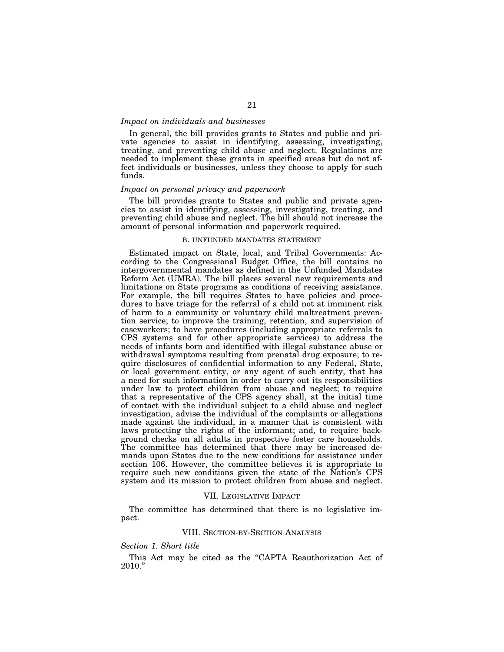## *Impact on individuals and businesses*

In general, the bill provides grants to States and public and private agencies to assist in identifying, assessing, investigating, treating, and preventing child abuse and neglect. Regulations are needed to implement these grants in specified areas but do not affect individuals or businesses, unless they choose to apply for such funds.

## *Impact on personal privacy and paperwork*

The bill provides grants to States and public and private agencies to assist in identifying, assessing, investigating, treating, and preventing child abuse and neglect. The bill should not increase the amount of personal information and paperwork required.

## B. UNFUNDED MANDATES STATEMENT

Estimated impact on State, local, and Tribal Governments: According to the Congressional Budget Office, the bill contains no intergovernmental mandates as defined in the Unfunded Mandates Reform Act (UMRA). The bill places several new requirements and limitations on State programs as conditions of receiving assistance. For example, the bill requires States to have policies and procedures to have triage for the referral of a child not at imminent risk of harm to a community or voluntary child maltreatment prevention service; to improve the training, retention, and supervision of caseworkers; to have procedures (including appropriate referrals to CPS systems and for other appropriate services) to address the needs of infants born and identified with illegal substance abuse or withdrawal symptoms resulting from prenatal drug exposure; to require disclosures of confidential information to any Federal, State, or local government entity, or any agent of such entity, that has a need for such information in order to carry out its responsibilities under law to protect children from abuse and neglect; to require that a representative of the CPS agency shall, at the initial time of contact with the individual subject to a child abuse and neglect investigation, advise the individual of the complaints or allegations made against the individual, in a manner that is consistent with laws protecting the rights of the informant; and, to require background checks on all adults in prospective foster care households. The committee has determined that there may be increased demands upon States due to the new conditions for assistance under section 106. However, the committee believes it is appropriate to require such new conditions given the state of the Nation's CPS system and its mission to protect children from abuse and neglect.

#### VII. LEGISLATIVE IMPACT

The committee has determined that there is no legislative impact.

#### VIII. SECTION-BY-SECTION ANALYSIS

## *Section 1. Short title*

This Act may be cited as the "CAPTA Reauthorization Act of 2010.''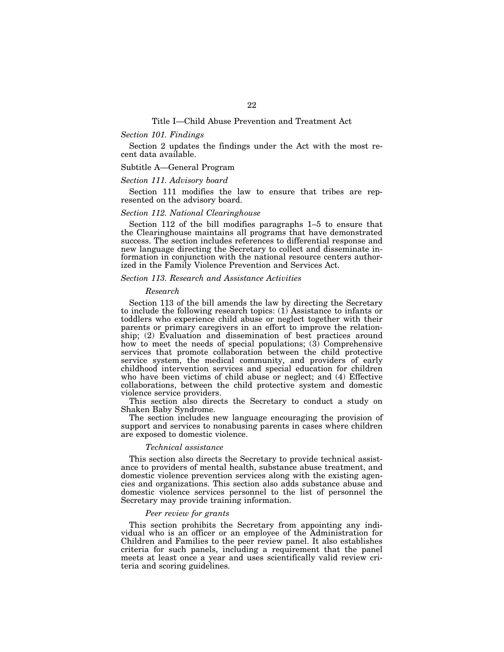#### *Section 101. Findings*

Section 2 updates the findings under the Act with the most recent data available.

#### Subtitle A—General Program

## *Section 111. Advisory board*

Section 111 modifies the law to ensure that tribes are represented on the advisory board.

## *Section 112. National Clearinghouse*

Section 112 of the bill modifies paragraphs 1–5 to ensure that the Clearinghouse maintains all programs that have demonstrated success. The section includes references to differential response and new language directing the Secretary to collect and disseminate information in conjunction with the national resource centers authorized in the Family Violence Prevention and Services Act.

## *Section 113. Research and Assistance Activities*

#### *Research*

Section 113 of the bill amends the law by directing the Secretary to include the following research topics: (1) Assistance to infants or toddlers who experience child abuse or neglect together with their parents or primary caregivers in an effort to improve the relationship; (2) Evaluation and dissemination of best practices around how to meet the needs of special populations; (3) Comprehensive services that promote collaboration between the child protective service system, the medical community, and providers of early childhood intervention services and special education for children who have been victims of child abuse or neglect; and (4) Effective collaborations, between the child protective system and domestic violence service providers.

This section also directs the Secretary to conduct a study on Shaken Baby Syndrome.

The section includes new language encouraging the provision of support and services to nonabusing parents in cases where children are exposed to domestic violence.

#### *Technical assistance*

This section also directs the Secretary to provide technical assistance to providers of mental health, substance abuse treatment, and domestic violence prevention services along with the existing agencies and organizations. This section also adds substance abuse and domestic violence services personnel to the list of personnel the Secretary may provide training information.

# *Peer review for grants*

This section prohibits the Secretary from appointing any individual who is an officer or an employee of the Administration for Children and Families to the peer review panel. It also establishes criteria for such panels, including a requirement that the panel meets at least once a year and uses scientifically valid review criteria and scoring guidelines.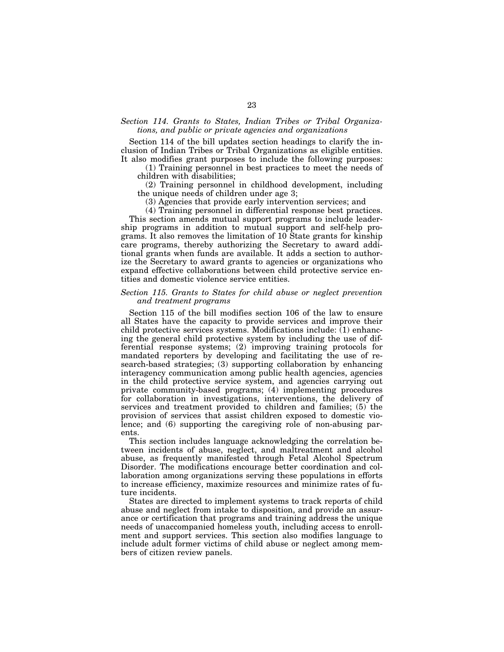## *Section 114. Grants to States, Indian Tribes or Tribal Organizations, and public or private agencies and organizations*

Section 114 of the bill updates section headings to clarify the inclusion of Indian Tribes or Tribal Organizations as eligible entities. It also modifies grant purposes to include the following purposes:

(1) Training personnel in best practices to meet the needs of children with disabilities;

(2) Training personnel in childhood development, including the unique needs of children under age 3;

(3) Agencies that provide early intervention services; and

(4) Training personnel in differential response best practices.

This section amends mutual support programs to include leadership programs in addition to mutual support and self-help programs. It also removes the limitation of 10 State grants for kinship care programs, thereby authorizing the Secretary to award additional grants when funds are available. It adds a section to authorize the Secretary to award grants to agencies or organizations who expand effective collaborations between child protective service entities and domestic violence service entities.

## *Section 115. Grants to States for child abuse or neglect prevention and treatment programs*

Section 115 of the bill modifies section 106 of the law to ensure all States have the capacity to provide services and improve their child protective services systems. Modifications include: (1) enhancing the general child protective system by including the use of differential response systems; (2) improving training protocols for mandated reporters by developing and facilitating the use of research-based strategies; (3) supporting collaboration by enhancing interagency communication among public health agencies, agencies in the child protective service system, and agencies carrying out private community-based programs; (4) implementing procedures for collaboration in investigations, interventions, the delivery of services and treatment provided to children and families; (5) the provision of services that assist children exposed to domestic violence; and (6) supporting the caregiving role of non-abusing parents.

This section includes language acknowledging the correlation between incidents of abuse, neglect, and maltreatment and alcohol abuse, as frequently manifested through Fetal Alcohol Spectrum Disorder. The modifications encourage better coordination and collaboration among organizations serving these populations in efforts to increase efficiency, maximize resources and minimize rates of future incidents.

States are directed to implement systems to track reports of child abuse and neglect from intake to disposition, and provide an assurance or certification that programs and training address the unique needs of unaccompanied homeless youth, including access to enrollment and support services. This section also modifies language to include adult former victims of child abuse or neglect among members of citizen review panels.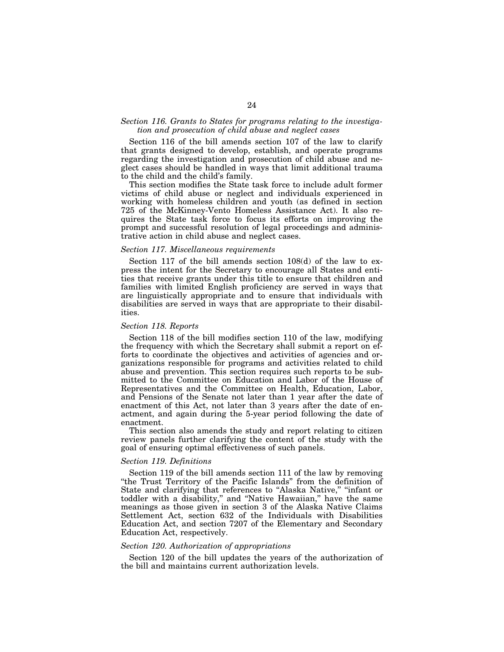## *Section 116. Grants to States for programs relating to the investigation and prosecution of child abuse and neglect cases*

Section 116 of the bill amends section 107 of the law to clarify that grants designed to develop, establish, and operate programs regarding the investigation and prosecution of child abuse and neglect cases should be handled in ways that limit additional trauma to the child and the child's family.

This section modifies the State task force to include adult former victims of child abuse or neglect and individuals experienced in working with homeless children and youth (as defined in section 725 of the McKinney-Vento Homeless Assistance Act). It also requires the State task force to focus its efforts on improving the prompt and successful resolution of legal proceedings and administrative action in child abuse and neglect cases.

## *Section 117. Miscellaneous requirements*

Section 117 of the bill amends section 108(d) of the law to express the intent for the Secretary to encourage all States and entities that receive grants under this title to ensure that children and families with limited English proficiency are served in ways that are linguistically appropriate and to ensure that individuals with disabilities are served in ways that are appropriate to their disabilities.

#### *Section 118. Reports*

Section 118 of the bill modifies section 110 of the law, modifying the frequency with which the Secretary shall submit a report on efforts to coordinate the objectives and activities of agencies and organizations responsible for programs and activities related to child abuse and prevention. This section requires such reports to be submitted to the Committee on Education and Labor of the House of Representatives and the Committee on Health, Education, Labor, and Pensions of the Senate not later than 1 year after the date of enactment of this Act, not later than 3 years after the date of enactment, and again during the 5-year period following the date of enactment.

This section also amends the study and report relating to citizen review panels further clarifying the content of the study with the goal of ensuring optimal effectiveness of such panels.

## *Section 119. Definitions*

Section 119 of the bill amends section 111 of the law by removing ''the Trust Territory of the Pacific Islands'' from the definition of State and clarifying that references to "Alaska Native," "infant or toddler with a disability,'' and ''Native Hawaiian,'' have the same meanings as those given in section 3 of the Alaska Native Claims Settlement Act, section 632 of the Individuals with Disabilities Education Act, and section 7207 of the Elementary and Secondary Education Act, respectively.

## *Section 120. Authorization of appropriations*

Section 120 of the bill updates the years of the authorization of the bill and maintains current authorization levels.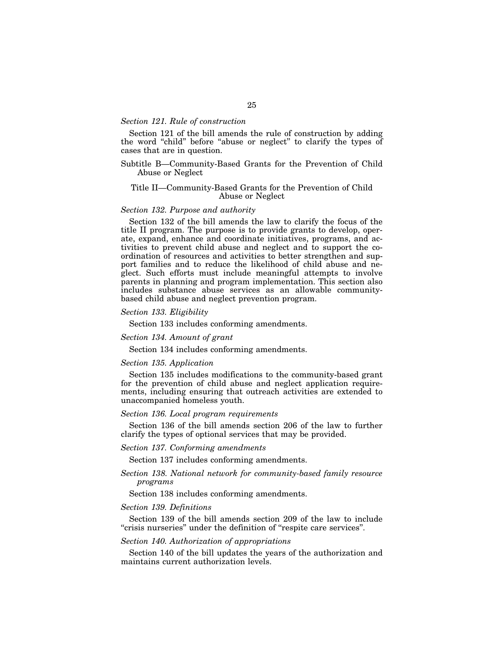## *Section 121. Rule of construction*

Section 121 of the bill amends the rule of construction by adding the word "child" before "abuse or neglect" to clarify the types of cases that are in question.

## Subtitle B—Community-Based Grants for the Prevention of Child Abuse or Neglect

## Title II—Community-Based Grants for the Prevention of Child Abuse or Neglect

#### *Section 132. Purpose and authority*

Section 132 of the bill amends the law to clarify the focus of the title II program. The purpose is to provide grants to develop, operate, expand, enhance and coordinate initiatives, programs, and activities to prevent child abuse and neglect and to support the coordination of resources and activities to better strengthen and support families and to reduce the likelihood of child abuse and neglect. Such efforts must include meaningful attempts to involve parents in planning and program implementation. This section also includes substance abuse services as an allowable communitybased child abuse and neglect prevention program.

## *Section 133. Eligibility*

Section 133 includes conforming amendments.

# *Section 134. Amount of grant*

Section 134 includes conforming amendments.

## *Section 135. Application*

Section 135 includes modifications to the community-based grant for the prevention of child abuse and neglect application requirements, including ensuring that outreach activities are extended to unaccompanied homeless youth.

#### *Section 136. Local program requirements*

Section 136 of the bill amends section 206 of the law to further clarify the types of optional services that may be provided.

# *Section 137. Conforming amendments*

Section 137 includes conforming amendments.

# *Section 138. National network for community-based family resource programs*

Section 138 includes conforming amendments.

## *Section 139. Definitions*

Section 139 of the bill amends section 209 of the law to include ''crisis nurseries'' under the definition of ''respite care services''.

#### *Section 140. Authorization of appropriations*

Section 140 of the bill updates the years of the authorization and maintains current authorization levels.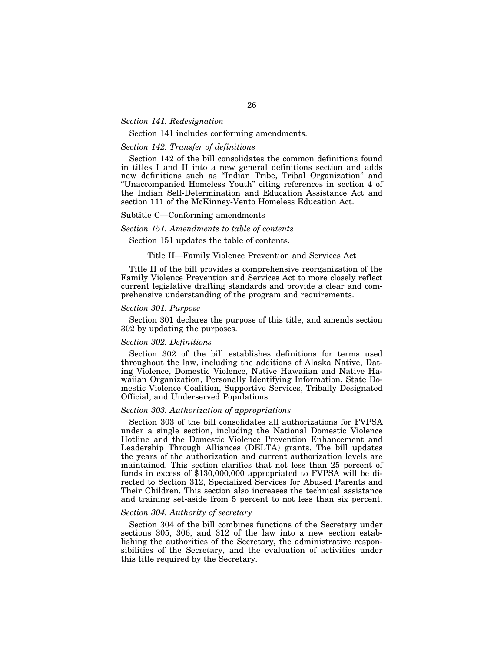# *Section 141. Redesignation*

# Section 141 includes conforming amendments.

# *Section 142. Transfer of definitions*

Section 142 of the bill consolidates the common definitions found in titles I and II into a new general definitions section and adds new definitions such as ''Indian Tribe, Tribal Organization'' and ''Unaccompanied Homeless Youth'' citing references in section 4 of the Indian Self-Determination and Education Assistance Act and section 111 of the McKinney-Vento Homeless Education Act.

## Subtitle C—Conforming amendments

#### *Section 151. Amendments to table of contents*

Section 151 updates the table of contents.

#### Title II—Family Violence Prevention and Services Act

Title II of the bill provides a comprehensive reorganization of the Family Violence Prevention and Services Act to more closely reflect current legislative drafting standards and provide a clear and comprehensive understanding of the program and requirements.

## *Section 301. Purpose*

Section 301 declares the purpose of this title, and amends section 302 by updating the purposes.

## *Section 302. Definitions*

Section 302 of the bill establishes definitions for terms used throughout the law, including the additions of Alaska Native, Dating Violence, Domestic Violence, Native Hawaiian and Native Hawaiian Organization, Personally Identifying Information, State Domestic Violence Coalition, Supportive Services, Tribally Designated Official, and Underserved Populations.

#### *Section 303. Authorization of appropriations*

Section 303 of the bill consolidates all authorizations for FVPSA under a single section, including the National Domestic Violence Hotline and the Domestic Violence Prevention Enhancement and Leadership Through Alliances (DELTA) grants. The bill updates the years of the authorization and current authorization levels are maintained. This section clarifies that not less than 25 percent of funds in excess of \$130,000,000 appropriated to FVPSA will be directed to Section 312, Specialized Services for Abused Parents and Their Children. This section also increases the technical assistance and training set-aside from 5 percent to not less than six percent.

# *Section 304. Authority of secretary*

Section 304 of the bill combines functions of the Secretary under sections 305, 306, and 312 of the law into a new section establishing the authorities of the Secretary, the administrative responsibilities of the Secretary, and the evaluation of activities under this title required by the Secretary.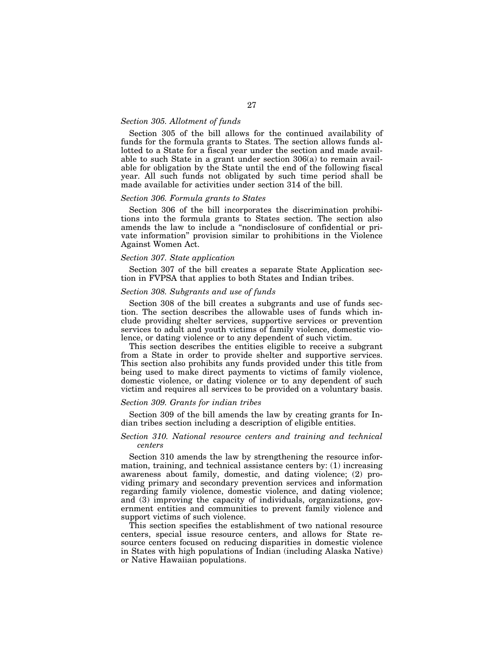## *Section 305. Allotment of funds*

Section 305 of the bill allows for the continued availability of funds for the formula grants to States. The section allows funds allotted to a State for a fiscal year under the section and made available to such State in a grant under section 306(a) to remain available for obligation by the State until the end of the following fiscal year. All such funds not obligated by such time period shall be made available for activities under section 314 of the bill.

## *Section 306. Formula grants to States*

Section 306 of the bill incorporates the discrimination prohibitions into the formula grants to States section. The section also amends the law to include a ''nondisclosure of confidential or private information'' provision similar to prohibitions in the Violence Against Women Act.

## *Section 307. State application*

Section 307 of the bill creates a separate State Application section in FVPSA that applies to both States and Indian tribes.

## *Section 308. Subgrants and use of funds*

Section 308 of the bill creates a subgrants and use of funds section. The section describes the allowable uses of funds which include providing shelter services, supportive services or prevention services to adult and youth victims of family violence, domestic violence, or dating violence or to any dependent of such victim.

This section describes the entities eligible to receive a subgrant from a State in order to provide shelter and supportive services. This section also prohibits any funds provided under this title from being used to make direct payments to victims of family violence, domestic violence, or dating violence or to any dependent of such victim and requires all services to be provided on a voluntary basis.

## *Section 309. Grants for indian tribes*

Section 309 of the bill amends the law by creating grants for Indian tribes section including a description of eligible entities.

## *Section 310. National resource centers and training and technical centers*

Section 310 amends the law by strengthening the resource information, training, and technical assistance centers by: (1) increasing awareness about family, domestic, and dating violence; (2) providing primary and secondary prevention services and information regarding family violence, domestic violence, and dating violence; and (3) improving the capacity of individuals, organizations, government entities and communities to prevent family violence and support victims of such violence.

This section specifies the establishment of two national resource centers, special issue resource centers, and allows for State resource centers focused on reducing disparities in domestic violence in States with high populations of Indian (including Alaska Native) or Native Hawaiian populations.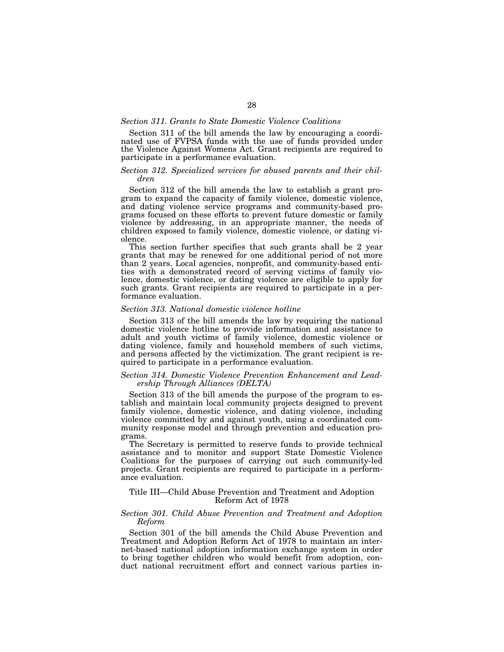## *Section 311. Grants to State Domestic Violence Coalitions*

Section 311 of the bill amends the law by encouraging a coordinated use of FVPSA funds with the use of funds provided under the Violence Against Womens Act. Grant recipients are required to participate in a performance evaluation.

## *Section 312. Specialized services for abused parents and their children*

Section 312 of the bill amends the law to establish a grant program to expand the capacity of family violence, domestic violence, and dating violence service programs and community-based programs focused on these efforts to prevent future domestic or family violence by addressing, in an appropriate manner, the needs of children exposed to family violence, domestic violence, or dating violence.

This section further specifies that such grants shall be 2 year grants that may be renewed for one additional period of not more than 2 years. Local agencies, nonprofit, and community-based entities with a demonstrated record of serving victims of family violence, domestic violence, or dating violence are eligible to apply for such grants. Grant recipients are required to participate in a performance evaluation.

## *Section 313. National domestic violence hotline*

Section 313 of the bill amends the law by requiring the national domestic violence hotline to provide information and assistance to adult and youth victims of family violence, domestic violence or dating violence, family and household members of such victims, and persons affected by the victimization. The grant recipient is required to participate in a performance evaluation.

## *Section 314. Domestic Violence Prevention Enhancement and Leadership Through Alliances (DELTA)*

Section 313 of the bill amends the purpose of the program to establish and maintain local community projects designed to prevent family violence, domestic violence, and dating violence, including violence committed by and against youth, using a coordinated community response model and through prevention and education programs.

The Secretary is permitted to reserve funds to provide technical assistance and to monitor and support State Domestic Violence Coalitions for the purposes of carrying out such community-led projects. Grant recipients are required to participate in a performance evaluation.

# Title III—Child Abuse Prevention and Treatment and Adoption Reform Act of 1978

## *Section 301. Child Abuse Prevention and Treatment and Adoption Reform*

Section 301 of the bill amends the Child Abuse Prevention and Treatment and Adoption Reform Act of 1978 to maintain an internet-based national adoption information exchange system in order to bring together children who would benefit from adoption, conduct national recruitment effort and connect various parties in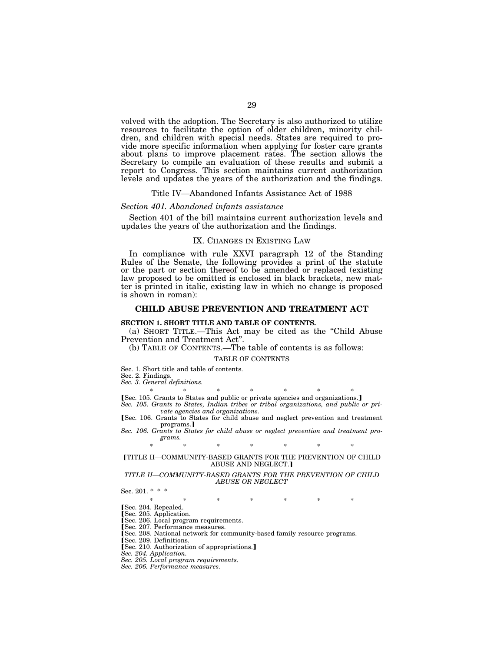volved with the adoption. The Secretary is also authorized to utilize resources to facilitate the option of older children, minority children, and children with special needs. States are required to provide more specific information when applying for foster care grants about plans to improve placement rates. The section allows the Secretary to compile an evaluation of these results and submit a report to Congress. This section maintains current authorization levels and updates the years of the authorization and the findings.

# Title IV—Abandoned Infants Assistance Act of 1988

#### *Section 401. Abandoned infants assistance*

Section 401 of the bill maintains current authorization levels and updates the years of the authorization and the findings.

#### IX. CHANGES IN EXISTING LAW

In compliance with rule XXVI paragraph 12 of the Standing Rules of the Senate, the following provides a print of the statute or the part or section thereof to be amended or replaced (existing law proposed to be omitted is enclosed in black brackets, new matter is printed in italic, existing law in which no change is proposed is shown in roman):

## **CHILD ABUSE PREVENTION AND TREATMENT ACT**

#### **SECTION 1. SHORT TITLE AND TABLE OF CONTENTS.**

(a) SHORT TITLE.—This Act may be cited as the ''Child Abuse Prevention and Treatment Act''.

(b) TABLE OF CONTENTS.—The table of contents is as follows:

#### TABLE OF CONTENTS

Sec. 1. Short title and table of contents.

Sec. 2. Findings.

*Sec. 3. General definitions.* 

\* \* \* \* \* \* \* øSec. 105. Grants to States and public or private agencies and organizations.¿

*Sec. 105. Grants to States, Indian tribes or tribal organizations, and public or private agencies and organizations.* 

[Sec. 106. Grants to States for child abuse and neglect prevention and treatment programs.]

*Sec. 106. Grants to States for child abuse or neglect prevention and treatment programs.* 

#### \* \* \* \* \* \* \*

## øTITLE II—COMMUNITY-BASED GRANTS FOR THE PREVENTION OF CHILD ABUSE AND NEGLECT.]

#### *TITLE II—COMMUNITY-BASED GRANTS FOR THE PREVENTION OF CHILD ABUSE OR NEGLECT*

Sec. 201. \* \* \*

\* \* \* \* \* \* \* [Sec. 204. Repealed.

Sec. 205. Application.

[Sec. 206. Local program requirements. [Sec. 207. Performance measures.

[Sec. 208. National network for community-based family resource programs.

Sec. 209. Definitions.<br>
[Sec. 210. Authorization of appropriations.]

*Sec. 204. Application.* 

*Sec. 205. Local program requirements.* 

*Sec. 206. Performance measures.*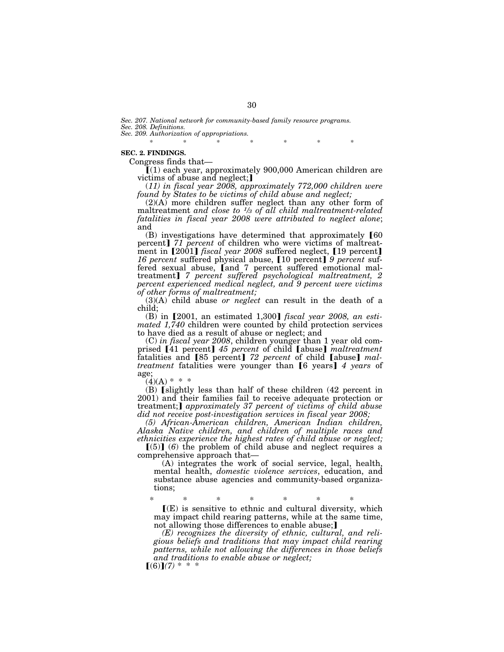*Sec. 207. National network for community-based family resource programs. Sec. 208. Definitions.* 

*Sec. 209. Authorization of appropriations.* 

\* \* \* \* \* \* \* \*

## **SEC. 2. FINDINGS.**

Congress finds that—

 $I(1)$  each year, approximately 900,000 American children are victims of abuse and neglect;

(*11) in fiscal year 2008, approximately 772,000 children were found by States to be victims of child abuse and neglect;* 

(2)(A) more children suffer neglect than any other form of maltreatment *and close to 1⁄3 of all child maltreatment-related fatalities in fiscal year 2008 were attributed to neglect alone*; and

 $(B)$  investigations have determined that approximately  $[60]$ percent] 71 percent of children who were victims of maltreatment in [2001] *fiscal year 2008* suffered neglect, [19 percent] 16 percent suffered physical abuse, [10 percent] 9 percent suffered sexual abuse, [and 7 percent suffered emotional maltreatment¿ *7 percent suffered psychological maltreatment, 2 percent experienced medical neglect, and 9 percent were victims of other forms of maltreatment;* 

(3)(A) child abuse *or neglect* can result in the death of a child;

(B) in [2001, an estimated 1,300] *fiscal year 2008, an estimated 1,740* children were counted by child protection services to have died as a result of abuse or neglect; and

(C) *in fiscal year 2008*, children younger than 1 year old comprised [41 percent] 45 percent of child [abuse] *maltreatment* fatalities and [85 percent] 72 percent of child [abuse] mal*treatment* fatalities were younger than [6 years] 4 years of age;

 $(4)(A)$  \* \* \*

 $(B)$  [slightly less than half of these children (42 percent in 2001) and their families fail to receive adequate protection or treatment;**]** *approximately 37 percent of victims of child abuse did not receive post-investigation services in fiscal year 2008;* 

*(5) African-American children, American Indian children, Alaska Native children, and children of multiple races and ethnicities experience the highest rates of child abuse or neglect;* 

 $(5)$  (6) the problem of child abuse and neglect requires a comprehensive approach that—

(A) integrates the work of social service, legal, health, mental health, *domestic violence services*, education, and substance abuse agencies and community-based organizations;

\* \* \* \* \* \* \* ø(E) is sensitive to ethnic and cultural diversity, which may impact child rearing patterns, while at the same time, not allowing those differences to enable abuse;

*(E) recognizes the diversity of ethnic, cultural, and religious beliefs and traditions that may impact child rearing patterns, while not allowing the differences in those beliefs and traditions to enable abuse or neglect;* 

 $[(6)](7)$  \* \* \*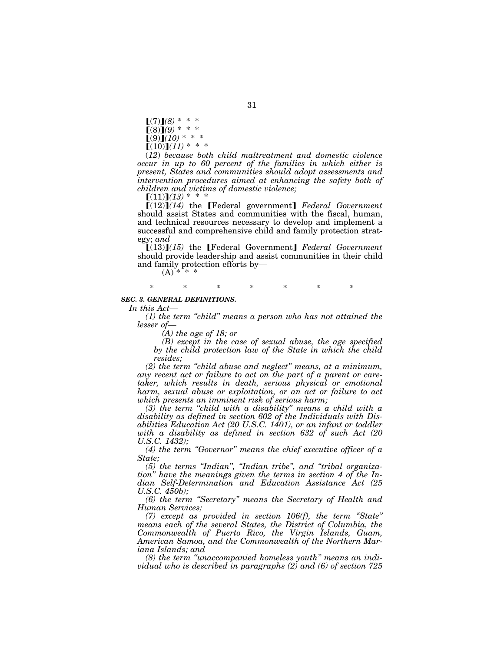$[(7)](8) * * *$  $[(8)](9) * * *$  $(9)(10)$  \* \* \*  $[(10)](11) * * *$ 

(*12*) *because both child maltreatment and domestic violence occur in up to 60 percent of the families in which either is present, States and communities should adopt assessments and intervention procedures aimed at enhancing the safety both of children and victims of domestic violence;* 

 $[(11)](13) * * *$ 

 $[(12)](14)$  the [Federal government] *Federal Government* should assist States and communities with the fiscal, human, and technical resources necessary to develop and implement a successful and comprehensive child and family protection strategy; *and* 

**[(13)]**(15) the **[Federal Government]** Federal Government should provide leadership and assist communities in their child and family protection efforts by—

 $(A)$ \* \* \* \*

# \* \* \* \* \* \* \*

## *SEC. 3. GENERAL DEFINITIONS.*

*In this Act—* 

*(1) the term ''child'' means a person who has not attained the lesser of—* 

*(A) the age of 18; or* 

*(B) except in the case of sexual abuse, the age specified by the child protection law of the State in which the child resides;* 

*(2) the term ''child abuse and neglect'' means, at a minimum, any recent act or failure to act on the part of a parent or caretaker, which results in death, serious physical or emotional harm, sexual abuse or exploitation, or an act or failure to act which presents an imminent risk of serious harm;* 

*(3) the term ''child with a disability'' means a child with a disability as defined in section 602 of the Individuals with Disabilities Education Act (20 U.S.C. 1401), or an infant or toddler with a disability as defined in section 632 of such Act (20 U.S.C. 1432);* 

*(4) the term ''Governor'' means the chief executive officer of a State;* 

*(5) the terms ''Indian'', ''Indian tribe'', and ''tribal organization'' have the meanings given the terms in section 4 of the Indian Self-Determination and Education Assistance Act (25 U.S.C. 450b);* 

*(6) the term ''Secretary'' means the Secretary of Health and Human Services;* 

*(7) except as provided in section 106(f), the term ''State'' means each of the several States, the District of Columbia, the Commonwealth of Puerto Rico, the Virgin Islands, Guam, American Samoa, and the Commonwealth of the Northern Mariana Islands; and* 

*(8) the term ''unaccompanied homeless youth'' means an individual who is described in paragraphs (2) and (6) of section 725*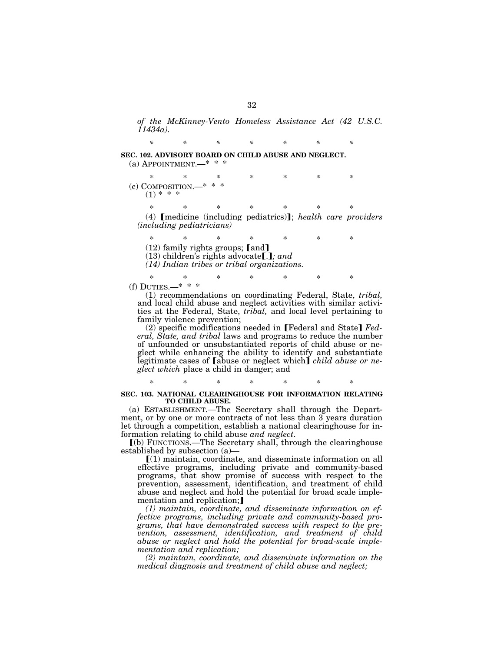*of the McKinney-Vento Homeless Assistance Act (42 U.S.C. 11434a).* 

**SEC. 102. ADVISORY BOARD ON CHILD ABUSE AND NEGLECT.**  (a) APPOINTMENT.—\* \* \*

\* \* \* \* \* \* \*  $(c)$  COMPOSITION. $(1) * * * *$ 

\* \* \* \* \* \* \* (4) **[medicine (including pediatrics)]**; *health care providers (including pediatricians)* 

\* \* \* \* \* \* \*  $(12)$  family rights groups; [and]  $(13)$  children's rights advocate[.]; and *(14) Indian tribes or tribal organizations.* 

\* \* \* \* \* \* \* (f) DUTIES.—\* \* \*

(1) recommendations on coordinating Federal, State, *tribal,*  and local child abuse and neglect activities with similar activities at the Federal, State, *tribal,* and local level pertaining to family violence prevention;

(2) specific modifications needed in [Federal and State] Fed*eral, State, and tribal* laws and programs to reduce the number of unfounded or unsubstantiated reports of child abuse or neglect while enhancing the ability to identify and substantiate legitimate cases of [abuse or neglect which] *child abuse or neglect which* place a child in danger; and

# \* \* \* \* \* \* \* **SEC. 103. NATIONAL CLEARINGHOUSE FOR INFORMATION RELATING TO CHILD ABUSE.**

(a) ESTABLISHMENT.—The Secretary shall through the Department, or by one or more contracts of not less than 3 years duration let through a competition, establish a national clearinghouse for information relating to child abuse *and neglect*.

ø(b) FUNCTIONS.—The Secretary shall, through the clearinghouse established by subsection (a)—

 $(1)$  maintain, coordinate, and disseminate information on all effective programs, including private and community-based programs, that show promise of success with respect to the prevention, assessment, identification, and treatment of child abuse and neglect and hold the potential for broad scale implementation and replication;

*(1) maintain, coordinate, and disseminate information on effective programs, including private and community-based programs, that have demonstrated success with respect to the prevention, assessment, identification, and treatment of child abuse or neglect and hold the potential for broad-scale implementation and replication;* 

*(2) maintain, coordinate, and disseminate information on the medical diagnosis and treatment of child abuse and neglect;* 

*\* \* \* \* \* \* \**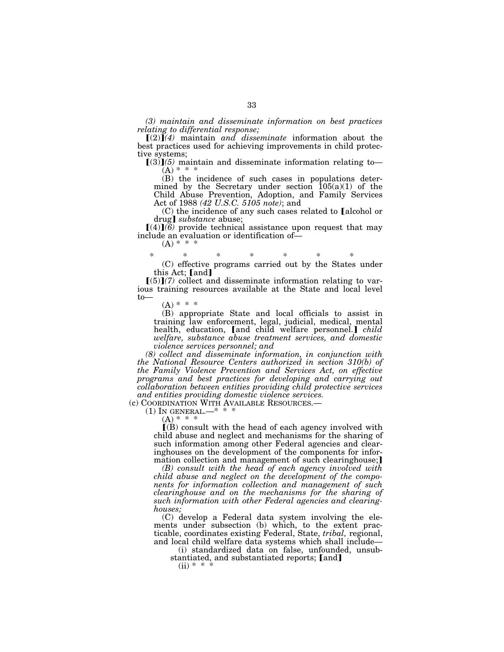*(3) maintain and disseminate information on best practices relating to differential response;* 

 $[(2)]$  $(4)$  maintain *and disseminate* information about the best practices used for achieving improvements in child protective systems;

 $(3)$  $(5)$  maintain and disseminate information relating to- $(A) * * * *$ 

(B) the incidence of such cases in populations determined by the Secretary under section 105(a)(1) of the Child Abuse Prevention, Adoption, and Family Services Act of 1988 *(42 U.S.C. 5105 note)*; and

 $(C)$  the incidence of any such cases related to [alcohol or drug] *substance* abuse;

 $\left[ (4) \right]$ (6) provide technical assistance upon request that may include an evaluation or identification of—  $(A) * * *$ 

\* \* \* \* \* \* \*

(C) effective programs carried out by the States under this Act;  $[and]$ 

 $[(5)](7)$  collect and disseminate information relating to various training resources available at the State and local level to—

 $(A) * * * *$ 

(B) appropriate State and local officials to assist in training law enforcement, legal, judicial, medical, mental health, education, [and child welfare personnel.] *child welfare, substance abuse treatment services, and domestic violence services personnel; and* 

*(8) collect and disseminate information, in conjunction with the National Resource Centers authorized in section 310(b) of the Family Violence Prevention and Services Act, on effective programs and best practices for developing and carrying out collaboration between entities providing child protective services and entities providing domestic violence services.* 

(c) COORDINATION WITH AVAILABLE RESOURCES.—  $(1)$  In GENERAL.— $* * * *$ 

 $(A) * * * *$ 

 $\mathbf{I}(\mathbf{B})$  consult with the head of each agency involved with child abuse and neglect and mechanisms for the sharing of such information among other Federal agencies and clearinghouses on the development of the components for information collection and management of such clearinghouse;

*(B) consult with the head of each agency involved with child abuse and neglect on the development of the components for information collection and management of such clearinghouse and on the mechanisms for the sharing of such information with other Federal agencies and clearinghouses;* 

(C) develop a Federal data system involving the elements under subsection (b) which, to the extent practicable, coordinates existing Federal, State, *tribal,* regional, and local child welfare data systems which shall include—

(i) standardized data on false, unfounded, unsubstantiated, and substantiated reports; [and]

 $(ii) * *$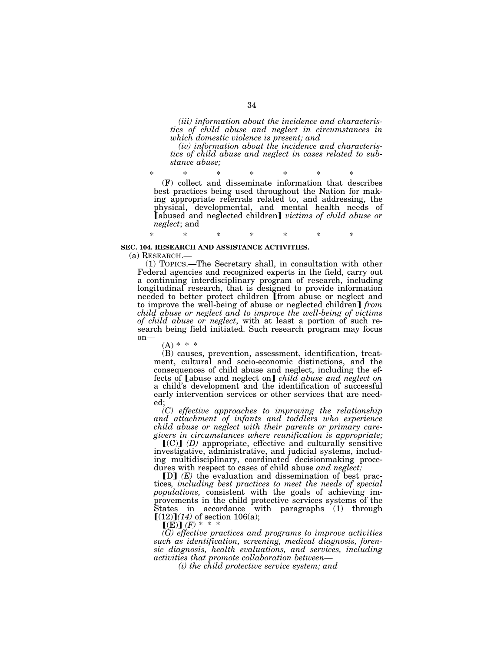*(iii) information about the incidence and characteristics of child abuse and neglect in circumstances in which domestic violence is present; and* 

*(iv) information about the incidence and characteristics of child abuse and neglect in cases related to substance abuse;* 

\* \* \* \* \* \* \* (F) collect and disseminate information that describes best practices being used throughout the Nation for making appropriate referrals related to, and addressing, the physical, developmental, and mental health needs of [abused and neglected children] *victims of child abuse or neglect*; and

# \* \* \* \* \* \* \* **SEC. 104. RESEARCH AND ASSISTANCE ACTIVITIES.**

(a) RESEARCH.— (1) TOPICS.—The Secretary shall, in consultation with other Federal agencies and recognized experts in the field, carry out a continuing interdisciplinary program of research, including longitudinal research, that is designed to provide information needed to better protect children [from abuse or neglect and to improve the well-being of abuse or neglected children] *from child abuse or neglect and to improve the well-being of victims of child abuse or neglect*, with at least a portion of such research being field initiated. Such research program may focus on—

 $(A) * * * *$ 

(B) causes, prevention, assessment, identification, treatment, cultural and socio-economic distinctions, and the consequences of child abuse and neglect, including the effects of [abuse and neglect on] *child abuse and neglect on* a child's development and the identification of successful early intervention services or other services that are needed;

*(C) effective approaches to improving the relationship and attachment of infants and toddlers who experience child abuse or neglect with their parents or primary caregivers in circumstances where reunification is appropriate;* 

 $(C)$  *(D)* appropriate, effective and culturally sensitive investigative, administrative, and judicial systems, including multidisciplinary, coordinated decisionmaking procedures with respect to cases of child abuse *and neglect;* 

[D] *(E)* the evaluation and dissemination of best practices*, including best practices to meet the needs of special populations,* consistent with the goals of achieving improvements in the child protective services systems of the States in accordance with paragraphs  $(1)$  through  $[(12)]$  $(14)$  of section 106(a);

 $\llbracket (E) \rrbracket$   $(F) * * * *$ 

*(G) effective practices and programs to improve activities such as identification, screening, medical diagnosis, forensic diagnosis, health evaluations, and services, including activities that promote collaboration between—* 

*(i) the child protective service system; and*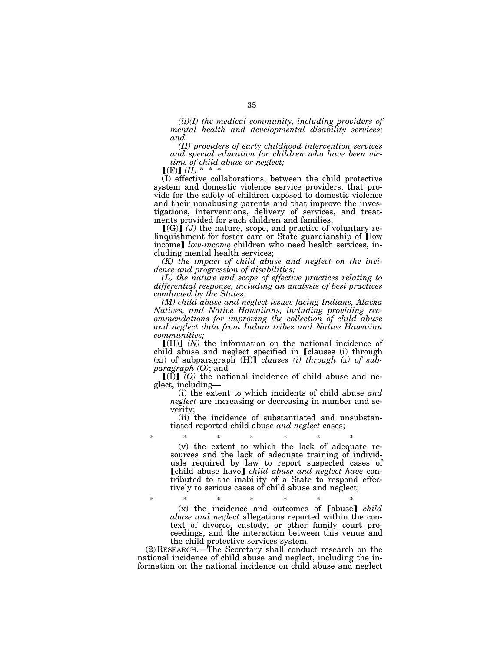*(ii)(I) the medical community, including providers of mental health and developmental disability services; and* 

*(II) providers of early childhood intervention services and special education for children who have been victims of child abuse or neglect;* 

 $(F)$  $(H)$ <sup>\*</sup> \* \*

(I) effective collaborations, between the child protective system and domestic violence service providers, that provide for the safety of children exposed to domestic violence and their nonabusing parents and that improve the investigations, interventions, delivery of services, and treatments provided for such children and families;

 $\left[\text{C}(G)\right]$  (*J*) the nature, scope, and practice of voluntary relinguishment for foster care or State guardianship of  $\Gamma$ low income] *low-income* children who need health services, including mental health services;

*(K) the impact of child abuse and neglect on the incidence and progression of disabilities;* 

*(L) the nature and scope of effective practices relating to differential response, including an analysis of best practices conducted by the States;* 

*(M) child abuse and neglect issues facing Indians, Alaska Natives, and Native Hawaiians, including providing recommendations for improving the collection of child abuse and neglect data from Indian tribes and Native Hawaiian communities;* 

 $[(H)]$   $(N)$  the information on the national incidence of child abuse and neglect specified in *Clauses* (i) through  $(x)$  of subparagraph  $(H)$ <sup> $clauses$ </sup> (*i)* through  $(x)$  of sub*paragraph (O)*; and

 $[(\overline{I})]$   $[O]$  the national incidence of child abuse and neglect, including—

(i) the extent to which incidents of child abuse *and neglect* are increasing or decreasing in number and severity;

(ii) the incidence of substantiated and unsubstantiated reported child abuse *and neglect* cases;

\* \* \* \* \* \* \* (v) the extent to which the lack of adequate resources and the lack of adequate training of individuals required by law to report suspected cases of **[child abuse have]** *child abuse and neglect have* contributed to the inability of a State to respond effectively to serious cases of child abuse and neglect;

\* \* \* \* \* \* \*  $(x)$  the incidence and outcomes of  $[abuse]$  *child abuse and neglect* allegations reported within the context of divorce, custody, or other family court proceedings, and the interaction between this venue and the child protective services system.

(2) RESEARCH.—The Secretary shall conduct research on the national incidence of child abuse and neglect, including the information on the national incidence on child abuse and neglect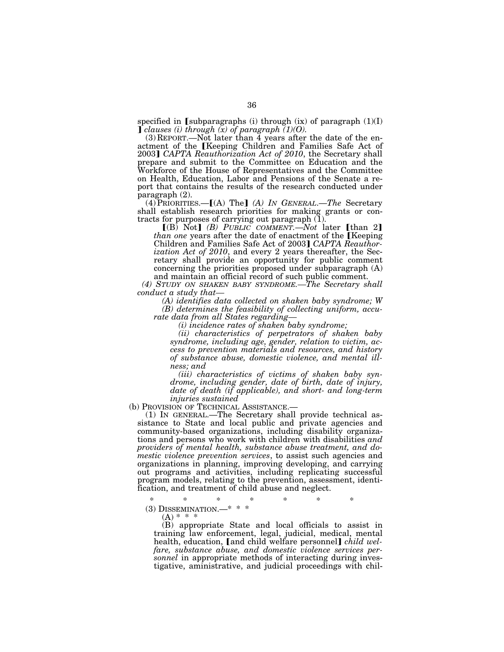specified in [subparagraphs (i) through (ix) of paragraph  $(1)(I)$  $\int$  *clauses (i) through (x) of paragraph (1)(O).* 

(3) REPORT.—Not later than 4 years after the date of the enactment of the [Keeping Children and Families Safe Act of 2003] CAPTA Reauthorization Act of 2010, the Secretary shall prepare and submit to the Committee on Education and the Workforce of the House of Representatives and the Committee on Health, Education, Labor and Pensions of the Senate a report that contains the results of the research conducted under paragraph (2).

(4) PRIORITIES.—[(A) The] (A) IN GENERAL.—The Secretary shall establish research priorities for making grants or contracts for purposes of carrying out paragraph (1).

 $\lceil (B) \text{ Not} \rceil$  *(B) PUBLIC COMMENT.—Not* later  $\lceil \text{than } 2 \rceil$ *than one* years after the date of enactment of the [Keeping] Children and Families Safe Act of 2003] CAPTA Reauthor*ization Act of 2010*, and every 2 years thereafter, the Secretary shall provide an opportunity for public comment concerning the priorities proposed under subparagraph (A) and maintain an official record of such public comment.

*(4) STUDY ON SHAKEN BABY SYNDROME.—The Secretary shall conduct a study that—* 

*(A) identifies data collected on shaken baby syndrome; W (B) determines the feasibility of collecting uniform, accu-*

*rate data from all States regarding— (i) incidence rates of shaken baby syndrome;* 

*(ii) characteristics of perpetrators of shaken baby syndrome, including age, gender, relation to victim, access to prevention materials and resources, and history of substance abuse, domestic violence, and mental illness; and* 

*(iii) characteristics of victims of shaken baby syndrome, including gender, date of birth, date of injury, date of death (if applicable), and short- and long-term* 

*injuries sustained*<br>
(b) Provision of Technical Assistance.—

 $(1)$  In GENERAL.—The Secretary shall provide technical assistance to State and local public and private agencies and community-based organizations, including disability organizations and persons who work with children with disabilities *and providers of mental health, substance abuse treatment, and domestic violence prevention services*, to assist such agencies and organizations in planning, improving developing, and carrying out programs and activities, including replicating successful program models, relating to the prevention, assessment, identification, and treatment of child abuse and neglect.

\* \* \* \* \* \* \* (3) DISSEMINATION.—\* \* \*

 $(A) * * * *$ 

(B) appropriate State and local officials to assist in training law enforcement, legal, judicial, medical, mental health, education, [and child welfare personnel] *child welfare, substance abuse, and domestic violence services personnel* in appropriate methods of interacting during investigative, aministrative, and judicial proceedings with chil-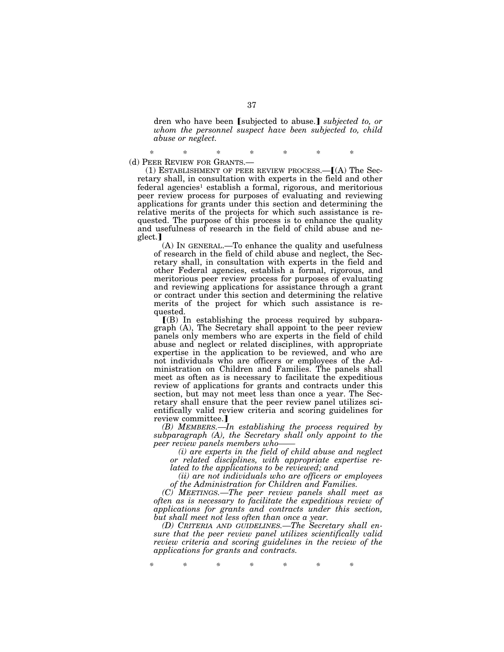dren who have been *[subjected to abuse.] subjected to, or whom the personnel suspect have been subjected to, child abuse or neglect.* 

\* \* \* \* \* \* \* (d) PEER REVIEW FOR GRANTS.—

(1) ESTABLISHMENT OF PEER REVIEW PROCESS.  $-[(A)$  The Secretary shall, in consultation with experts in the field and other federal agencies<sup>1</sup> establish a formal, rigorous, and meritorious peer review process for purposes of evaluating and reviewing applications for grants under this section and determining the relative merits of the projects for which such assistance is requested. The purpose of this process is to enhance the quality and usefulness of research in the field of child abuse and neglect.]

(A) IN GENERAL.—To enhance the quality and usefulness of research in the field of child abuse and neglect, the Secretary shall, in consultation with experts in the field and other Federal agencies, establish a formal, rigorous, and meritorious peer review process for purposes of evaluating and reviewing applications for assistance through a grant or contract under this section and determining the relative merits of the project for which such assistance is requested.

 $I(B)$  In establishing the process required by subparagraph (A), The Secretary shall appoint to the peer review panels only members who are experts in the field of child abuse and neglect or related disciplines, with appropriate expertise in the application to be reviewed, and who are not individuals who are officers or employees of the Administration on Children and Families. The panels shall meet as often as is necessary to facilitate the expeditious review of applications for grants and contracts under this section, but may not meet less than once a year. The Secretary shall ensure that the peer review panel utilizes scientifically valid review criteria and scoring guidelines for review committee.

*(B) MEMBERS.—In establishing the process required by subparagraph (A), the Secretary shall only appoint to the peer review panels members who——* 

*(i) are experts in the field of child abuse and neglect or related disciplines, with appropriate expertise related to the applications to be reviewed; and* 

*(ii) are not individuals who are officers or employees of the Administration for Children and Families.* 

*(C) MEETINGS.—The peer review panels shall meet as often as is necessary to facilitate the expeditious review of applications for grants and contracts under this section, but shall meet not less often than once a year.* 

*(D) CRITERIA AND GUIDELINES.—The Secretary shall ensure that the peer review panel utilizes scientifically valid review criteria and scoring guidelines in the review of the applications for grants and contracts.* 

*\* \* \* \* \* \* \**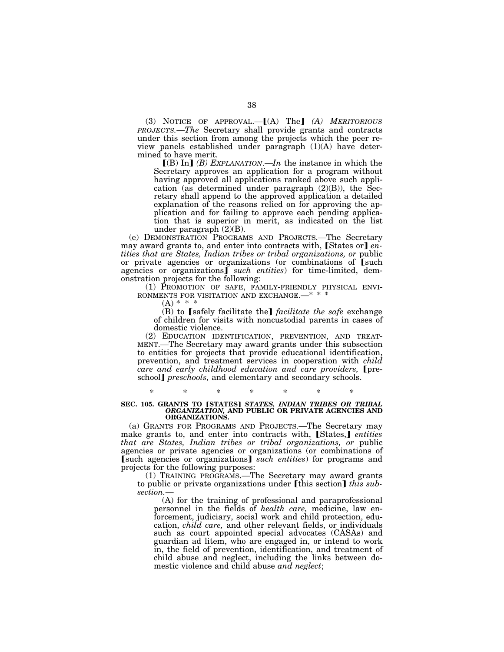(3) NOTICE OF APPROVAL.-[(A) The] (A) MERITORIOUS *PROJECTS.*—*The* Secretary shall provide grants and contracts under this section from among the projects which the peer review panels established under paragraph (1)(A) have determined to have merit.

 $[(B) In]$  *(B) EXPLANATION*.—*In* the instance in which the Secretary approves an application for a program without having approved all applications ranked above such application (as determined under paragraph (2)(B)), the Secretary shall append to the approved application a detailed explanation of the reasons relied on for approving the application and for failing to approve each pending application that is superior in merit, as indicated on the list under paragraph (2)(B).

(e) DEMONSTRATION PROGRAMS AND PROJECTS.—The Secretary may award grants to, and enter into contracts with, States or len*tities that are States, Indian tribes or tribal organizations, or* public or private agencies or organizations (or combinations of [such agencies or organizations<sup>*such entities*) for time-limited, dem-</sup> onstration projects for the following:

(1) PROMOTION OF SAFE, FAMILY-FRIENDLY PHYSICAL ENVIRONMENTS FOR VISITATION AND EXCHANGE.— $* * *$ 

 $(A) * * * *$ 

(B) to [safely facilitate the] *facilitate the safe* exchange of children for visits with noncustodial parents in cases of domestic violence.

(2) EDUCATION IDENTIFICATION, PREVENTION, AND TREAT- MENT.—The Secretary may award grants under this subsection to entities for projects that provide educational identification, prevention, and treatment services in cooperation with *child care and early childhood education and care providers,* [preschool] *preschools*, and elementary and secondary schools.

### \* \* \* \* \* \* \* **SEC. 105. GRANTS TO [STATES]** *STATES, INDIAN TRIBES OR TRIBAL ORGANIZATION,* **AND PUBLIC OR PRIVATE AGENCIES AND ORGANIZATIONS.**

(a) GRANTS FOR PROGRAMS AND PROJECTS.—The Secretary may make grants to, and enter into contracts with, [States,] *entities that are States, Indian tribes or tribal organizations, or* public agencies or private agencies or organizations (or combinations of [such agencies or organizations] *such entities*) for programs and projects for the following purposes:

(1) TRAINING PROGRAMS.—The Secretary may award grants to public or private organizations under [this section] *this subsection.*—

(A) for the training of professional and paraprofessional personnel in the fields of *health care,* medicine, law enforcement, judiciary, social work and child protection, education, *child care,* and other relevant fields, or individuals such as court appointed special advocates (CASAs) and guardian ad litem, who are engaged in, or intend to work in, the field of prevention, identification, and treatment of child abuse and neglect, including the links between domestic violence and child abuse *and neglect*;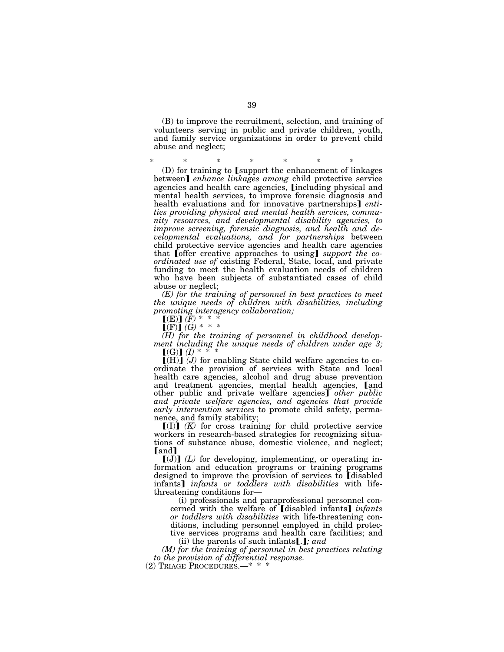(B) to improve the recruitment, selection, and training of volunteers serving in public and private children, youth, and family service organizations in order to prevent child abuse and neglect;

\* \* \* \* \* \* \*  $(D)$  for training to [support the enhancement of linkages between] *enhance linkages among* child protective service agencies and health care agencies, *[including physical and* mental health services, to improve forensic diagnosis and health evaluations and for innovative partnerships] *entities providing physical and mental health services, community resources, and developmental disability agencies, to improve screening, forensic diagnosis, and health and developmental evaluations, and for partnerships* between child protective service agencies and health care agencies that **[**offer creative approaches to using] *support the coordinated use of* existing Federal, State, local, and private funding to meet the health evaluation needs of children who have been subjects of substantiated cases of child abuse or neglect;

*(E) for the training of personnel in best practices to meet the unique needs of children with disabilities, including promoting interagency collaboration;* 

 $[(E)] (\bar{F})$ <sup>\*</sup> \*

 $\lfloor (F) \rfloor$  *(G)* \* \* \*

*(H) for the training of personnel in childhood development including the unique needs of children under age 3;*   $[(G)] (I) * * * * *$ 

 $[(H)]$  (*J*) for enabling State child welfare agencies to coordinate the provision of services with State and local health care agencies, alcohol and drug abuse prevention and treatment agencies, mental health agencies, [and other public and private welfare agencies<sup>*o*</sup> *other public and private welfare agencies, and agencies that provide early intervention services* to promote child safety, permanence, and family stability;

 $[(I)]$   $(K)$  for cross training for child protective service workers in research-based strategies for recognizing situations of substance abuse, domestic violence, and neglect; [and]

 $[(J)]$   $(L)$  for developing, implementing, or operating information and education programs or training programs designed to improve the provision of services to [disabled] infants] *infants or toddlers with disabilities* with lifethreatening conditions for—

(i) professionals and paraprofessional personnel concerned with the welfare of [disabled infants] *infants or toddlers with disabilities* with life-threatening conditions, including personnel employed in child protective services programs and health care facilities; and

(ii) the parents of such infants  $[.]$ ; and

*(M) for the training of personnel in best practices relating to the provision of differential response.* 

(2) TRIAGE PROCEDURES.—\* \* \*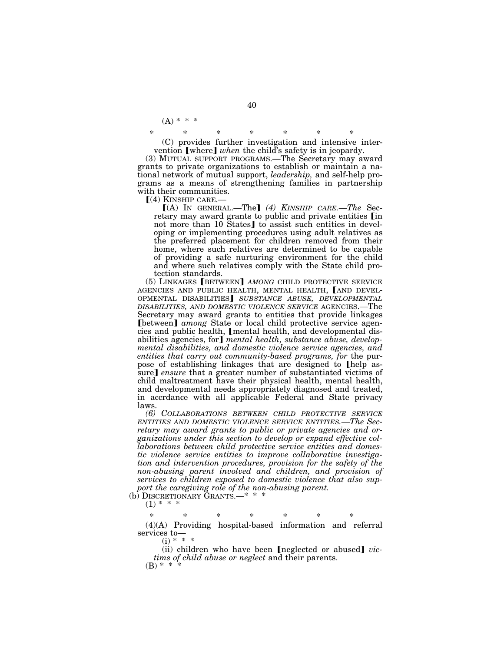$(A) * * * *$ 

\* \* \* \* \* \* \*

(C) provides further investigation and intensive intervention [where] when the child's safety is in jeopardy.

(3) MUTUAL SUPPORT PROGRAMS.—The Secretary may award grants to private organizations to establish or maintain a national network of mutual support, *leadership,* and self-help programs as a means of strengthening families in partnership with their communities.<br> $[(4)$  KINSHIP CARE.—

[(A) IN GENERAL.—The] (4) KINSHIP CARE.—The Secretary may award grants to public and private entities [in not more than 10 States] to assist such entities in developing or implementing procedures using adult relatives as the preferred placement for children removed from their home, where such relatives are determined to be capable of providing a safe nurturing environment for the child and where such relatives comply with the State child protection standards.

(5) LINKAGES **[BETWEEN]** AMONG CHILD PROTECTIVE SERVICE AGENCIES AND PUBLIC HEALTH, MENTAL HEALTH, [AND DEVEL-OPMENTAL DISABILITIES] SUBSTANCE ABUSE, DEVELOPMENTAL *DISABILITIES, AND DOMESTIC VIOLENCE SERVICE* AGENCIES.—The Secretary may award grants to entities that provide linkages **[between]** *among* State or local child protective service agencies and public health, [mental health, and developmental disabilities agencies, for*]* mental health, substance abuse, develop*mental disabilities, and domestic violence service agencies, and entities that carry out community-based programs, for* the purpose of establishing linkages that are designed to [help assure] *ensure* that a greater number of substantiated victims of child maltreatment have their physical health, mental health, and developmental needs appropriately diagnosed and treated, in accrdance with all applicable Federal and State privacy laws.

*(6) COLLABORATIONS BETWEEN CHILD PROTECTIVE SERVICE ENTITIES AND DOMESTIC VIOLENCE SERVICE ENTITIES.—The Secretary may award grants to public or private agencies and organizations under this section to develop or expand effective collaborations between child protective service entities and domestic violence service entities to improve collaborative investigation and intervention procedures, provision for the safety of the non-abusing parent involved and children, and provision of services to children exposed to domestic violence that also support the caregiving role of the non-abusing parent.* 

(b) DISCRETIONARY GRANTS.—\* \* \*

 $(1)$  \* \* \*

\* \* \* \* \* \* \* (4)(A) Providing hospital-based information and referral services to—

 $(i) * * *$ 

(ii) children who have been [neglected or abused] *victims of child abuse or neglect* and their parents.  $(B) * *$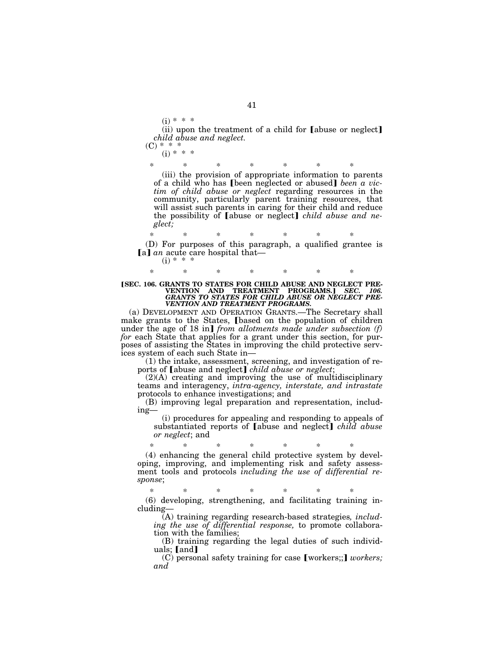$(i) * * * *$ 

(ii) upon the treatment of a child for  $[abuse or neglect]$ *child abuse and neglect.* 

 $(C) * * * *$  $(i) * * *$ 

> \* \* \* \* \* \* \* (iii) the provision of appropriate information to parents of a child who has **[been neglected or abused]** been a vic*tim of child abuse or neglect* regarding resources in the community, particularly parent training resources, that will assist such parents in caring for their child and reduce the possibility of **[abuse or neglect]** *child abuse and neglect;*

\* \* \* \* \* \* \* (D) For purposes of this paragraph, a qualified grantee is [a] *an* acute care hospital that- $(i) * * *$ 

**[SEC. 106. GRANTS TO STATES FOR CHILD ABUSE AND NEGLECT PRE-VENTION AND TREATMENT PROGRAMS.] SEC. 106.**<br>GRANTS TO STATES FOR CHILD ABUSE OR NEGLECT PRE-*VENTION AND TREATMENT PROGRAMS.* 

\* \* \* \* \* \* \*

(a) DEVELOPMENT AND OPERATION GRANTS.—The Secretary shall make grants to the States, [based on the population of children under the age of 18 in] *from allotments made under subsection* (*f*) *for* each State that applies for a grant under this section, for purposes of assisting the States in improving the child protective services system of each such State in—

(1) the intake, assessment, screening, and investigation of reports of [abuse and neglect] *child abuse or neglect*;

(2)(A) creating and improving the use of multidisciplinary teams and interagency, *intra-agency, interstate, and intrastate*  protocols to enhance investigations; and

(B) improving legal preparation and representation, including—

(i) procedures for appealing and responding to appeals of substantiated reports of **[abuse and neglect]** *child abuse or neglect*; and

\* \* \* \* \* \* \* (4) enhancing the general child protective system by developing, improving, and implementing risk and safety assessment tools and protocols *including the use of differential response*;

\* \* \* \* \* \* \* (6) developing, strengthening, and facilitating training including—

(A) training regarding research-based strategies*, including the use of differential response,* to promote collaboration with the families;

(B) training regarding the legal duties of such individuals; [and]

(C) personal safety training for case [workers;;] *workers*; *and*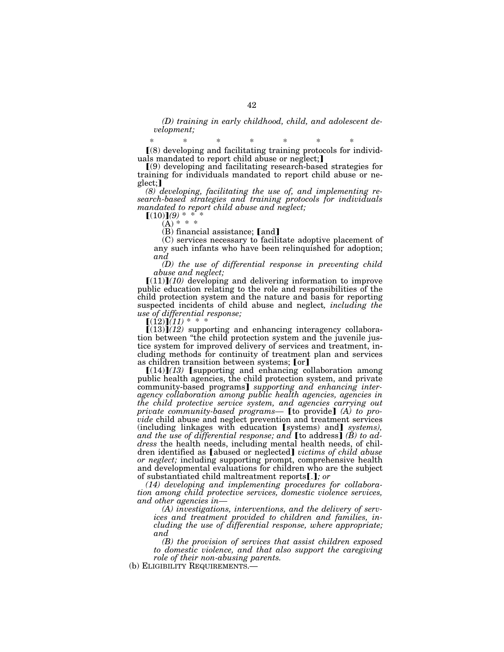*(D) training in early childhood, child, and adolescent development;* 

\* \* \* \* \* \* \*  $(8)$  developing and facilitating training protocols for individuals mandated to report child abuse or neglect;

 $(9)$  developing and facilitating research-based strategies for training for individuals mandated to report child abuse or neglect;

*(8) developing, facilitating the use of, and implementing research-based strategies and training protocols for individuals mandated to report child abuse and neglect;* 

 $(10)$  $(9)$  \* \* \*  $(A) * * * *$ 

 $(B)$  financial assistance;  $[and]$ 

(C) services necessary to facilitate adoptive placement of any such infants who have been relinquished for adoption; *and* 

*(D) the use of differential response in preventing child abuse and neglect;* 

 $[(11)]$  $(10)$  developing and delivering information to improve public education relating to the role and responsibilities of the child protection system and the nature and basis for reporting suspected incidents of child abuse and neglect*, including the use of differential response;* 

 $[(12)]$  $(11)$  \* \*

 $[(13)]$  $(12)$  supporting and enhancing interagency collaboration between ''the child protection system and the juvenile justice system for improved delivery of services and treatment, including methods for continuity of treatment plan and services as children transition between systems; [or]

 $[(14)]$  $(13)$  [supporting and enhancing collaboration among public health agencies, the child protection system, and private community-based programs¿ *supporting and enhancing interagency collaboration among public health agencies, agencies in the child protective service system, and agencies carrying out private community-based programs*— [to provide] (A) to pro*vide* child abuse and neglect prevention and treatment services (including linkages with education [systems) and] *systems*), and the use of differential response; and **[**to address**]** (**B**) to ad*dress* the health needs, including mental health needs, of children identified as [abused or neglected] *victims of child abuse or neglect;* including supporting prompt, comprehensive health and developmental evaluations for children who are the subject of substantiated child maltreatment reports[.]; or

*(14) developing and implementing procedures for collaboration among child protective services, domestic violence services, and other agencies in—* 

*(A) investigations, interventions, and the delivery of services and treatment provided to children and families, including the use of differential response, where appropriate; and* 

*(B) the provision of services that assist children exposed to domestic violence, and that also support the caregiving role of their non-abusing parents.* 

(b) ELIGIBILITY REQUIREMENTS.—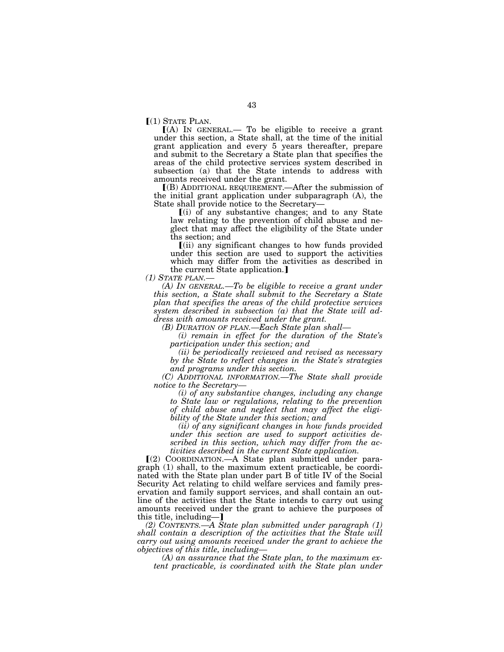$[(1)$  STATE PLAN.<br> $[(A)$  IN GENERAL.— To be eligible to receive a grant under this section, a State shall, at the time of the initial grant application and every 5 years thereafter, prepare and submit to the Secretary a State plan that specifies the areas of the child protective services system described in subsection (a) that the State intends to address with amounts received under the grant.

ø(B) ADDITIONAL REQUIREMENT.—After the submission of the initial grant application under subparagraph (A), the State shall provide notice to the Secretary—

 $(i)$  of any substantive changes; and to any State law relating to the prevention of child abuse and neglect that may affect the eligibility of the State under ths section; and

 $(iii)$  any significant changes to how funds provided under this section are used to support the activities which may differ from the activities as described in the current State application.]<br>(1) STATE PLAN.—

*(A) IN GENERAL.—To be eligible to receive a grant under this section, a State shall submit to the Secretary a State plan that specifies the areas of the child protective services system described in subsection (a) that the State will address with amounts received under the grant.* 

*(B) DURATION OF PLAN.—Each State plan shall—* 

*(i) remain in effect for the duration of the State's participation under this section; and* 

*(ii) be periodically reviewed and revised as necessary by the State to reflect changes in the State's strategies and programs under this section.* 

*(C) ADDITIONAL INFORMATION.—The State shall provide notice to the Secretary—* 

*(i) of any substantive changes, including any change to State law or regulations, relating to the prevention of child abuse and neglect that may affect the eligibility of the State under this section; and* 

*(ii) of any significant changes in how funds provided under this section are used to support activities described in this section, which may differ from the activities described in the current State application.* 

 $(2)$  COORDINATION.—A State plan submitted under paragraph (1) shall, to the maximum extent practicable, be coordinated with the State plan under part B of title IV of the Social Security Act relating to child welfare services and family preservation and family support services, and shall contain an outline of the activities that the State intends to carry out using amounts received under the grant to achieve the purposes of this title, including-]

*(2) CONTENTS.—A State plan submitted under paragraph (1) shall contain a description of the activities that the State will carry out using amounts received under the grant to achieve the objectives of this title, including—* 

*(A) an assurance that the State plan, to the maximum extent practicable, is coordinated with the State plan under*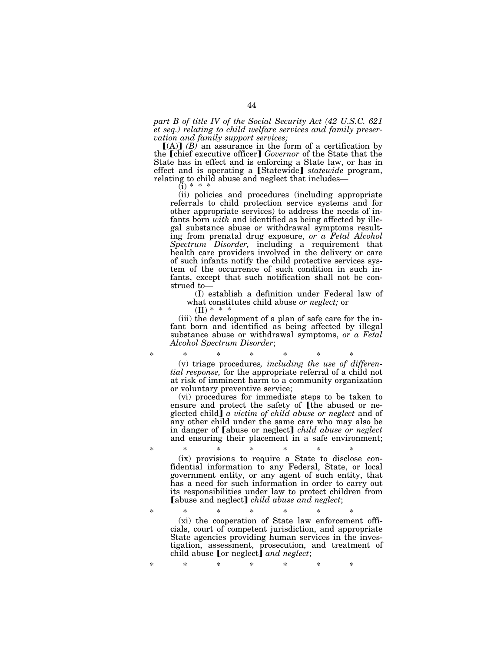*part B of title IV of the Social Security Act (42 U.S.C. 621 et seq.) relating to child welfare services and family preservation and family support services;* 

 $[(A)]$   $(B)$  an assurance in the form of a certification by the [chief executive officer] *Governor* of the State that the State has in effect and is enforcing a State law, or has in effect and is operating a [Statewide] *statewide* program, relating to child abuse and neglect that includes—

 $(i) *$ 

(ii) policies and procedures (including appropriate referrals to child protection service systems and for other appropriate services) to address the needs of infants born *with* and identified as being affected by illegal substance abuse or withdrawal symptoms resulting from prenatal drug exposure, *or a Fetal Alcohol Spectrum Disorder,* including a requirement that health care providers involved in the delivery or care of such infants notify the child protective services system of the occurrence of such condition in such infants, except that such notification shall not be construed to—

(I) establish a definition under Federal law of what constitutes child abuse *or neglect;* or

 $(II) * * * *$ 

(iii) the development of a plan of safe care for the infant born and identified as being affected by illegal substance abuse or withdrawal symptoms, *or a Fetal Alcohol Spectrum Disorder*;

\* \* \* \* \* \* \* (v) triage procedures*, including the use of differential response,* for the appropriate referral of a child not at risk of imminent harm to a community organization or voluntary preventive service;

(vi) procedures for immediate steps to be taken to ensure and protect the safety of [the abused or neglected child¿ *a victim of child abuse or neglect* and of any other child under the same care who may also be in danger of **[abuse or neglect]** *child abuse or neglect* and ensuring their placement in a safe environment;

\* \* \* \* \* \* \*

(ix) provisions to require a State to disclose confidential information to any Federal, State, or local government entity, or any agent of such entity, that has a need for such information in order to carry out its responsibilities under law to protect children from [abuse and neglect] *child abuse and neglect*;

\* \* \* \* \* \* \*

\* \* \* \* \* \* \*

(xi) the cooperation of State law enforcement officials, court of competent jurisdiction, and appropriate State agencies providing human services in the investigation, assessment, prosecution, and treatment of child abuse **for neglect** *and neglect*;

44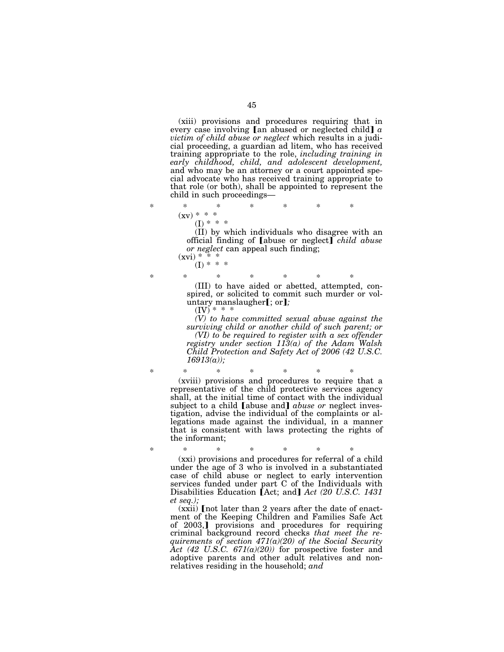(xiii) provisions and procedures requiring that in every case involving [an abused or neglected child] a *victim of child abuse or neglect* which results in a judicial proceeding, a guardian ad litem, who has received training appropriate to the role, *including training in early childhood, child, and adolescent development,*  and who may be an attorney or a court appointed special advocate who has received training appropriate to that role (or both), shall be appointed to represent the child in such proceedings—

\* \* \* \* \* \* \*  $(xy) * * * *$  $(I) * * * *$ 

> (II) by which individuals who disagree with an official finding of **[abuse or neglect]** *child abuse or neglect* can appeal such finding;

 $(xvi) * * * *$  $(I) * * * *$ 

\* \* \* \* \* \* \* (III) to have aided or abetted, attempted, conspired, or solicited to commit such murder or voluntary manslaugher[; or];  $(IV)$  \* \*

*(V) to have committed sexual abuse against the surviving child or another child of such parent; or (VI) to be required to register with a sex offender registry under section 113(a) of the Adam Walsh Child Protection and Safety Act of 2006 (42 U.S.C. 16913(a));* 

\* \* \* \* \* \* \* (xviii) provisions and procedures to require that a representative of the child protective services agency shall, at the initial time of contact with the individual subject to a child [abuse and] *abuse or* neglect investigation, advise the individual of the complaints or allegations made against the individual, in a manner that is consistent with laws protecting the rights of the informant;

\* \* \* \* \* \* \* (xxi) provisions and procedures for referral of a child under the age of 3 who is involved in a substantiated case of child abuse or neglect to early intervention services funded under part C of the Individuals with Disabilities Education [Act; and] *Act (20 U.S.C. 1431 et seq.);* 

 $(xxi)$  [not later than 2 years after the date of enactment of the Keeping Children and Families Safe Act of 2003,] provisions and procedures for requiring criminal background record checks *that meet the requirements of section 471(a)(20) of the Social Security Act (42 U.S.C. 671(a)(20))* for prospective foster and adoptive parents and other adult relatives and nonrelatives residing in the household; *and*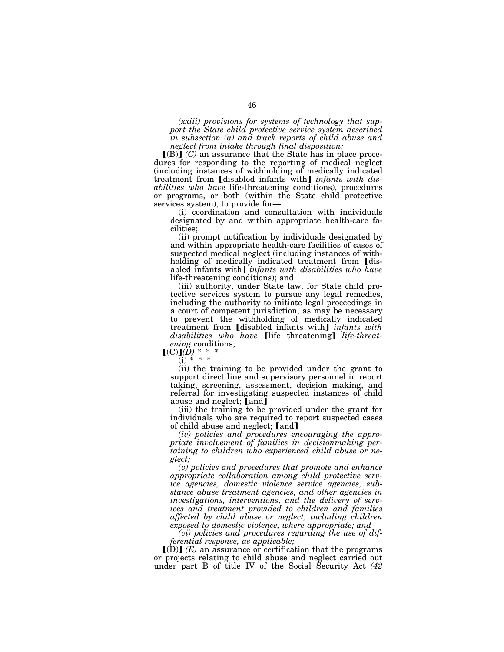*(xxiii) provisions for systems of technology that support the State child protective service system described in subsection (a) and track reports of child abuse and neglect from intake through final disposition;* 

 $\Gamma(B)$  *(C)* an assurance that the State has in place procedures for responding to the reporting of medical neglect (including instances of withholding of medically indicated treatment from [disabled infants with] *infants with disabilities who have* life-threatening conditions), procedures or programs, or both (within the State child protective services system), to provide for—

(i) coordination and consultation with individuals designated by and within appropriate health-care facilities;

(ii) prompt notification by individuals designated by and within appropriate health-care facilities of cases of suspected medical neglect (including instances of withholding of medically indicated treatment from [disabled infants with] *infants with disabilities who have* life-threatening conditions); and

(iii) authority, under State law, for State child protective services system to pursue any legal remedies, including the authority to initiate legal proceedings in a court of competent jurisdiction, as may be necessary to prevent the withholding of medically indicated treatment from [disabled infants with] *infants with* disabilities who have life threatening *life-threatening* conditions;

 $[(C)](\bar{D})$ <sup>\*</sup> \*  $(i) * * *$ 

(ii) the training to be provided under the grant to support direct line and supervisory personnel in report taking, screening, assessment, decision making, and referral for investigating suspected instances of child abuse and neglect; [and]

(iii) the training to be provided under the grant for individuals who are required to report suspected cases of child abuse and neglect; [and]

*(iv) policies and procedures encouraging the appropriate involvement of families in decisionmaking pertaining to children who experienced child abuse or neglect;* 

*(v) policies and procedures that promote and enhance appropriate collaboration among child protective service agencies, domestic violence service agencies, substance abuse treatment agencies, and other agencies in investigations, interventions, and the delivery of services and treatment provided to children and families affected by child abuse or neglect, including children exposed to domestic violence, where appropriate; and* 

*(vi) policies and procedures regarding the use of differential response, as applicable;* 

 $\Gamma(D)$  (E) an assurance or certification that the programs or projects relating to child abuse and neglect carried out under part B of title IV of the Social Security Act *(42*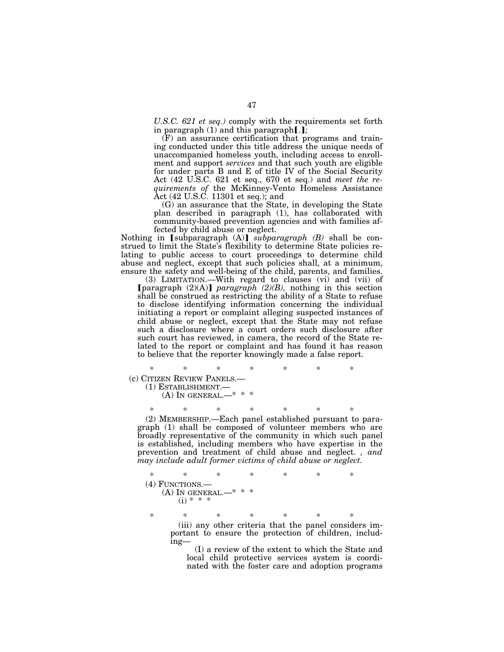*U.S.C. 621 et seq.)* comply with the requirements set forth in paragraph  $(1)$  and this paragraph $[.]$ ;

(F) an assurance certification that programs and training conducted under this title address the unique needs of unaccompanied homeless youth, including access to enrollment and support *services* and that such youth are eligible for under parts B and E of title IV of the Social Security Act (42 U.S.C. 621 et seq., 670 et seq.) and *meet the requirements of* the McKinney-Vento Homeless Assistance Act (42 U.S.C. 11301 et seq.); and

(G) an assurance that the State, in developing the State plan described in paragraph (1), has collaborated with community-based prevention agencies and with families affected by child abuse or neglect.

Nothing in [subparagraph (A)] *subparagraph (B)* shall be construed to limit the State's flexibility to determine State policies relating to public access to court proceedings to determine child abuse and neglect, except that such policies shall, at a minimum, ensure the safety and well-being of the child, parents, and families.

(3) LIMITATION.—With regard to clauses (vi) and (vii) of [paragraph  $(2)(A)$ ] *paragraph*  $(2)(B)$ *,* nothing in this section shall be construed as restricting the ability of a State to refuse to disclose identifying information concerning the individual initiating a report or complaint alleging suspected instances of child abuse or neglect, except that the State may not refuse such a disclosure where a court orders such disclosure after such court has reviewed, in camera, the record of the State related to the report or complaint and has found it has reason to believe that the reporter knowingly made a false report.

\* \* \* \* \* \* \* (c) CITIZEN REVIEW PANELS.— (1) ESTABLISHMENT.—

 $(A)$  In GENERAL. $-*$ 

\* \* \* \* \* \* \* (2) MEMBERSHIP.—Each panel established pursuant to paragraph (1) shall be composed of volunteer members who are broadly representative of the community in which such panel is established, including members who have expertise in the prevention and treatment of child abuse and neglect. *, and may include adult former victims of child abuse or neglect.* 

\* \* \* \* \* \* \* (4) FUNCTIONS.—  $(A)$  In GENERAL.  $(i) * * * *$ 

\* \* \* \* \* \* \* (iii) any other criteria that the panel considers important to ensure the protection of children, including—

> (I) a review of the extent to which the State and local child protective services system is coordinated with the foster care and adoption programs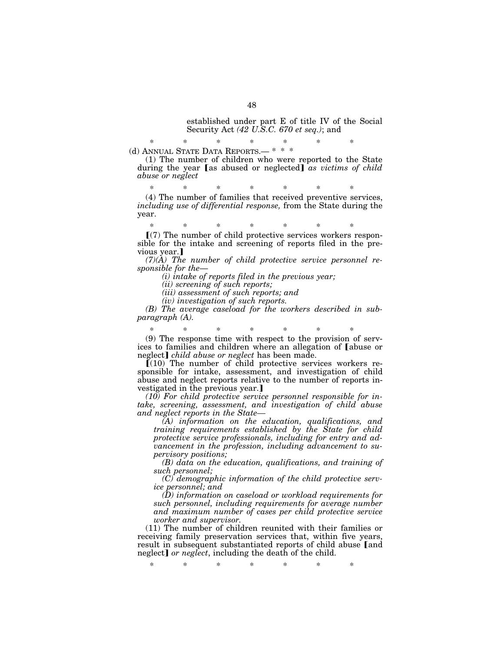established under part E of title IV of the Social Security Act *(42 U.S.C. 670 et seq.)*; and

\* \* \* \* \* \* \* (d) ANNUAL STATE DATA REPORTS.— \* \* \*

(1) The number of children who were reported to the State during the year [as abused or neglected] *as victims of child abuse or neglect* 

\* \* \* \* \* \* \* (4) The number of families that received preventive services, *including use of differential response,* from the State during the year.

\* \* \* \* \* \* \*  $(7)$  The number of child protective services workers responsible for the intake and screening of reports filed in the previous year.

*(7)(A) The number of child protective service personnel responsible for the*—

*(i) intake of reports filed in the previous year;* 

*(ii) screening of such reports;* 

*(iii) assessment of such reports; and* 

*(iv) investigation of such reports.* 

*(B) The average caseload for the workers described in subparagraph (A).* 

\* \* \* \* \* \* \* (9) The response time with respect to the provision of services to families and children where an allegation of [abuse or neglect] *child abuse or neglect* has been made.

 $\overline{I(10)}$  The number of child protective services workers responsible for intake, assessment, and investigation of child abuse and neglect reports relative to the number of reports investigated in the previous year.

*(10) For child protective service personnel responsible for intake, screening, assessment, and investigation of child abuse and neglect reports in the State—* 

*(A) information on the education, qualifications, and training requirements established by the State for child protective service professionals, including for entry and advancement in the profession, including advancement to supervisory positions;* 

*(B) data on the education, qualifications, and training of such personnel;* 

*(C) demographic information of the child protective service personnel; and* 

*(D) information on caseload or workload requirements for such personnel, including requirements for average number*  and maximum number of cases per child protective service *worker and supervisor.* 

(11) The number of children reunited with their families or receiving family preservation services that, within five years, result in subsequent substantiated reports of child abuse [and neglect] or neglect, including the death of the child.

\* \* \* \* \* \* \*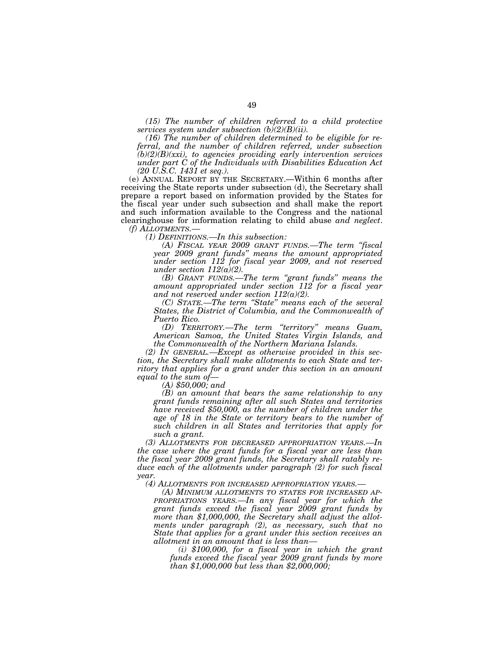*(15) The number of children referred to a child protective services system under subsection (b)(2)(B)(ii).* 

*(16) The number of children determined to be eligible for referral, and the number of children referred, under subsection (b)(2)(B)(xxi), to agencies providing early intervention services under part C of the Individuals with Disabilities Education Act (20 U.S.C. 1431 et seq.).* 

(e) ANNUAL REPORT BY THE SECRETARY.—Within 6 months after receiving the State reports under subsection (d), the Secretary shall prepare a report based on information provided by the States for the fiscal year under such subsection and shall make the report and such information available to the Congress and the national clearinghouse for information relating to child abuse *and neglect*. *(f) ALLOTMENTS.— (1) DEFINITIONS.—In this subsection:* 

*(A) FISCAL YEAR 2009 GRANT FUNDS.—The term ''fiscal year 2009 grant funds'' means the amount appropriated under section 112 for fiscal year 2009, and not reserved under section 112(a)(2).* 

*(B) GRANT FUNDS.—The term ''grant funds'' means the amount appropriated under section 112 for a fiscal year and not reserved under section 112(a)(2).* 

*(C) STATE.—The term ''State'' means each of the several States, the District of Columbia, and the Commonwealth of Puerto Rico.* 

*(D) TERRITORY.—The term ''territory'' means Guam, American Samoa, the United States Virgin Islands, and the Commonwealth of the Northern Mariana Islands.* 

*(2) IN GENERAL.—Except as otherwise provided in this section, the Secretary shall make allotments to each State and territory that applies for a grant under this section in an amount equal to the sum of— (A) \$50,000; and* 

*(B) an amount that bears the same relationship to any grant funds remaining after all such States and territories have received \$50,000, as the number of children under the age of 18 in the State or territory bears to the number of such children in all States and territories that apply for such a grant.* 

*(3) ALLOTMENTS FOR DECREASED APPROPRIATION YEARS.—In the case where the grant funds for a fiscal year are less than the fiscal year 2009 grant funds, the Secretary shall ratably reduce each of the allotments under paragraph (2) for such fiscal year.* 

*(4) ALLOTMENTS FOR INCREASED APPROPRIATION YEARS.—* 

*(A) MINIMUM ALLOTMENTS TO STATES FOR INCREASED AP-PROPRIATIONS YEARS.—In any fiscal year for which the grant funds exceed the fiscal year 2009 grant funds by more than \$1,000,000, the Secretary shall adjust the allotments under paragraph (2), as necessary, such that no State that applies for a grant under this section receives an allotment in an amount that is less than—* 

*(i) \$100,000, for a fiscal year in which the grant funds exceed the fiscal year 2009 grant funds by more than \$1,000,000 but less than \$2,000,000;*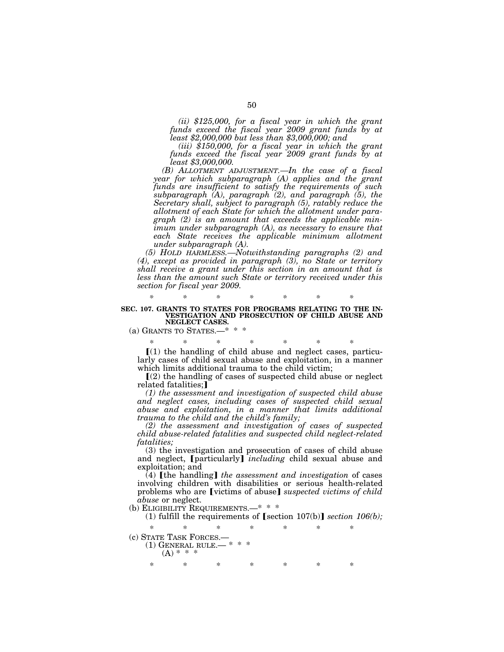*(ii) \$125,000, for a fiscal year in which the grant funds exceed the fiscal year 2009 grant funds by at least \$2,000,000 but less than \$3,000,000; and* 

*(iii) \$150,000, for a fiscal year in which the grant funds exceed the fiscal year 2009 grant funds by at least \$3,000,000.* 

*(B) ALLOTMENT ADJUSTMENT.—In the case of a fiscal year for which subparagraph (A) applies and the grant funds are insufficient to satisfy the requirements of such subparagraph (A), paragraph (2), and paragraph (5), the Secretary shall, subject to paragraph (5), ratably reduce the allotment of each State for which the allotment under paragraph (2) is an amount that exceeds the applicable minimum under subparagraph (A), as necessary to ensure that each State receives the applicable minimum allotment under subparagraph (A).* 

*(5) HOLD HARMLESS.—Notwithstanding paragraphs (2) and (4), except as provided in paragraph (3), no State or territory shall receive a grant under this section in an amount that is less than the amount such State or territory received under this section for fiscal year 2009.* 

#### **SEC. 107. GRANTS TO STATES FOR PROGRAMS RELATING TO THE IN-VESTIGATION AND PROSECUTION OF CHILD ABUSE AND NEGLECT CASES.**

*\* \* \* \* \* \* \** 

(a) GRANTS TO STATES.—\* \* \*

\* \* \* \* \* \* \*

 $(1)$  the handling of child abuse and neglect cases, particularly cases of child sexual abuse and exploitation, in a manner which limits additional trauma to the child victim;

 $(2)$  the handling of cases of suspected child abuse or neglect related fatalities;

*(1) the assessment and investigation of suspected child abuse and neglect cases, including cases of suspected child sexual abuse and exploitation, in a manner that limits additional trauma to the child and the child's family;* 

*(2) the assessment and investigation of cases of suspected child abuse-related fatalities and suspected child neglect-related fatalities;* 

(3) the investigation and prosecution of cases of child abuse and neglect, [particularly] *including* child sexual abuse and exploitation; and

(4) **[the handling]** *the assessment and investigation* of cases involving children with disabilities or serious health-related problems who are [victims of abuse] *suspected victims of child abuse* or neglect.

(b) ELIGIBILITY REQUIREMENTS.—\* \* \*

(1) fulfill the requirements of  $[section 107(b)]$  *section 106(b)*;

\* \* \* \* \* \* \* (c) STATE TASK FORCES. $-$ <br>(1) GENERAL BULE  $-$ \*  $(1)$  GENERAL RULE. $(A) * *$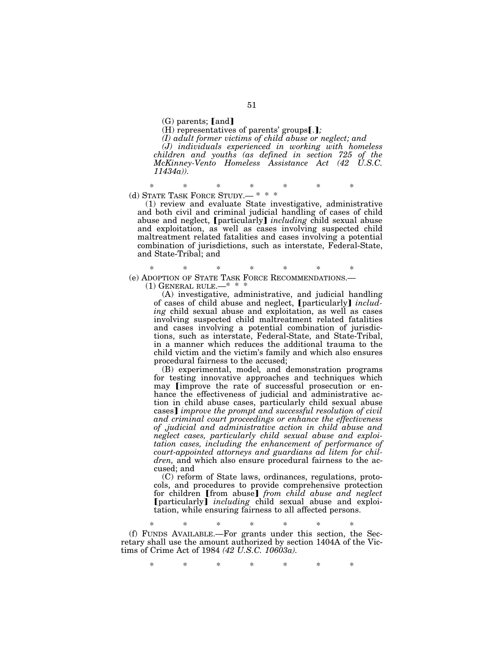$(G)$  parents; [and]

(H) representatives of parents' groups[.];

*(I) adult former victims of child abuse or neglect; and* 

*(J) individuals experienced in working with homeless children and youths (as defined in section 725 of the McKinney-Vento Homeless Assistance Act (42 U.S.C. 11434a)).* 

\* \* \* \* \* \* \* (d) STATE TASK FORCE STUDY.— \* \* \*

(1) review and evaluate State investigative, administrative and both civil and criminal judicial handling of cases of child abuse and neglect, [particularly] *including* child sexual abuse and exploitation, as well as cases involving suspected child maltreatment related fatalities and cases involving a potential combination of jurisdictions, such as interstate, Federal-State, and State-Tribal; and

\* \* \* \* \* \* \* (e) ADOPTION OF STATE TASK FORCE RECOMMENDATIONS.— (1) GENERAL RULE.— $*$  \* \*

(A) investigative, administrative, and judicial handling of cases of child abuse and neglect, [particularly] *including* child sexual abuse and exploitation, as well as cases involving suspected child maltreatment related fatalities and cases involving a potential combination of jurisdictions, such as interstate, Federal-State, and State-Tribal, in a manner which reduces the additional trauma to the child victim and the victim's family and which also ensures procedural fairness to the accused;

(B) experimental, model*,* and demonstration programs for testing innovative approaches and techniques which may [improve the rate of successful prosecution or enhance the effectiveness of judicial and administrative action in child abuse cases, particularly child sexual abuse cases] *improve the prompt and successful resolution of civil and criminal court proceedings or enhance the effectiveness of ,judicial and administrative action in child abuse and neglect cases, particularly child sexual abuse and exploitation cases, including the enhancement of performance of court-appointed attorneys and guardians ad litem for children,* and which also ensure procedural fairness to the accused; and

(C) reform of State laws, ordinances, regulations, protocols, and procedures to provide comprehensive protection for children **[from abuse]** from child abuse and neglect øparticularly¿ *including* child sexual abuse and exploitation, while ensuring fairness to all affected persons.

\* \* \* \* \* \* \*

(f) FUNDS AVAILABLE.—For grants under this section, the Secretary shall use the amount authorized by section 1404A of the Victims of Crime Act of 1984 *(42 U.S.C. 10603a).* 

\* \* \* \* \* \* \*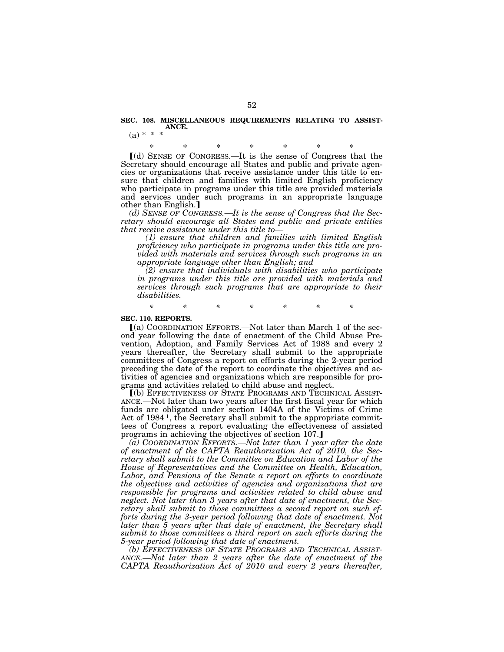#### **SEC. 108. MISCELLANEOUS REQUIREMENTS RELATING TO ASSIST-ANCE.**   $(a) * * *$

\* \* \* \* \* \* \*  $\lceil$ (d) SENSE OF CONGRESS.—It is the sense of Congress that the Secretary should encourage all States and public and private agencies or organizations that receive assistance under this title to ensure that children and families with limited English proficiency who participate in programs under this title are provided materials and services under such programs in an appropriate language other than English.]

*(d) SENSE OF CONGRESS.—It is the sense of Congress that the Secretary should encourage all States and public and private entities that receive assistance under this title to—* 

*(1) ensure that children and families with limited English proficiency who participate in programs under this title are provided with materials and services through such programs in an appropriate language other than English; and* 

*(2) ensure that individuals with disabilities who participate in programs under this title are provided with materials and services through such programs that are appropriate to their disabilities.* 

*\* \* \* \* \* \* \** 

#### **SEC. 110. REPORTS.**

 $(a)$  COORDINATION EFFORTS.—Not later than March 1 of the second year following the date of enactment of the Child Abuse Prevention, Adoption, and Family Services Act of 1988 and every 2 years thereafter, the Secretary shall submit to the appropriate committees of Congress a report on efforts during the 2-year period preceding the date of the report to coordinate the objectives and activities of agencies and organizations which are responsible for programs and activities related to child abuse and neglect.

ø(b) EFFECTIVENESS OF STATE PROGRAMS AND TECHNICAL ASSIST-ANCE.—Not later than two years after the first fiscal year for which funds are obligated under section 1404A of the Victims of Crime Act of 1984<sup>1</sup>, the Secretary shall submit to the appropriate committees of Congress a report evaluating the effectiveness of assisted programs in achieving the objectives of section 107.]

*(a) COORDINATION EFFORTS.—Not later than 1 year after the date of enactment of the CAPTA Reauthorization Act of 2010, the Secretary shall submit to the Committee on Education and Labor of the House of Representatives and the Committee on Health, Education, Labor, and Pensions of the Senate a report on efforts to coordinate the objectives and activities of agencies and organizations that are responsible for programs and activities related to child abuse and neglect. Not later than 3 years after that date of enactment, the Secretary shall submit to those committees a second report on such efforts during the 3-year period following that date of enactment. Not later than 5 years after that date of enactment, the Secretary shall submit to those committees a third report on such efforts during the 5-year period following that date of enactment.* 

*(b) EFFECTIVENESS OF STATE PROGRAMS AND TECHNICAL ASSIST- ANCE.—Not later than 2 years after the date of enactment of the CAPTA Reauthorization Act of 2010 and every 2 years thereafter,*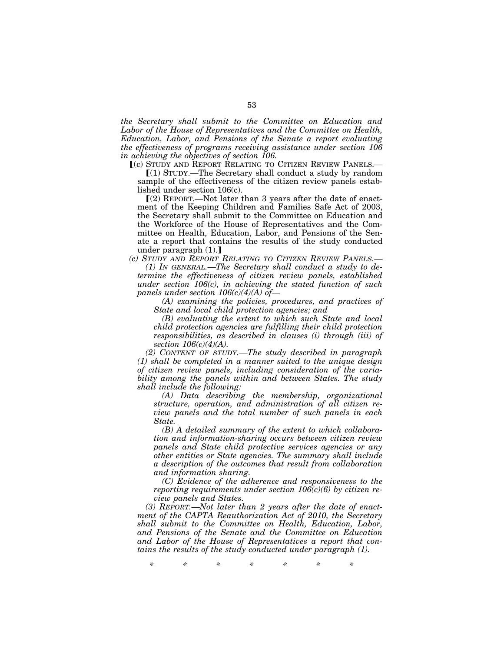*the Secretary shall submit to the Committee on Education and Labor of the House of Representatives and the Committee on Health, Education, Labor, and Pensions of the Senate a report evaluating the effectiveness of programs receiving assistance under section 106 in achieving the objectives of section 106.* 

ø(c) STUDY AND REPORT RELATING TO CITIZEN REVIEW PANELS.—

 $(1)$  STUDY.—The Secretary shall conduct a study by random sample of the effectiveness of the citizen review panels established under section 106(c).

 $(Q)$  REPORT.—Not later than 3 years after the date of enactment of the Keeping Children and Families Safe Act of 2003, the Secretary shall submit to the Committee on Education and the Workforce of the House of Representatives and the Committee on Health, Education, Labor, and Pensions of the Senate a report that contains the results of the study conducted under paragraph  $(1)$ .

*(c) STUDY AND REPORT RELATING TO CITIZEN REVIEW PANELS.— (1) IN GENERAL.—The Secretary shall conduct a study to determine the effectiveness of citizen review panels, established under section 106(c), in achieving the stated function of such panels under section 106(c)(4)(A) of—* 

*(A) examining the policies, procedures, and practices of State and local child protection agencies; and* 

*(B) evaluating the extent to which such State and local child protection agencies are fulfilling their child protection responsibilities, as described in clauses (i) through (iii) of section 106(c)(4)(A).* 

*(2) CONTENT OF STUDY.—The study described in paragraph (1) shall be completed in a manner suited to the unique design of citizen review panels, including consideration of the variability among the panels within and between States. The study shall include the following:* 

*(A) Data describing the membership, organizational structure, operation, and administration of all citizen review panels and the total number of such panels in each State.* 

*(B) A detailed summary of the extent to which collaboration and information-sharing occurs between citizen review panels and State child protective services agencies or any other entities or State agencies. The summary shall include a description of the outcomes that result from collaboration and information sharing.* 

*(C) Evidence of the adherence and responsiveness to the reporting requirements under section 106(c)(6) by citizen review panels and States.* 

*(3) REPORT.—Not later than 2 years after the date of enactment of the CAPTA Reauthorization Act of 2010, the Secretary shall submit to the Committee on Health, Education, Labor, and Pensions of the Senate and the Committee on Education and Labor of the House of Representatives a report that contains the results of the study conducted under paragraph (1).* 

*\* \* \* \* \* \* \**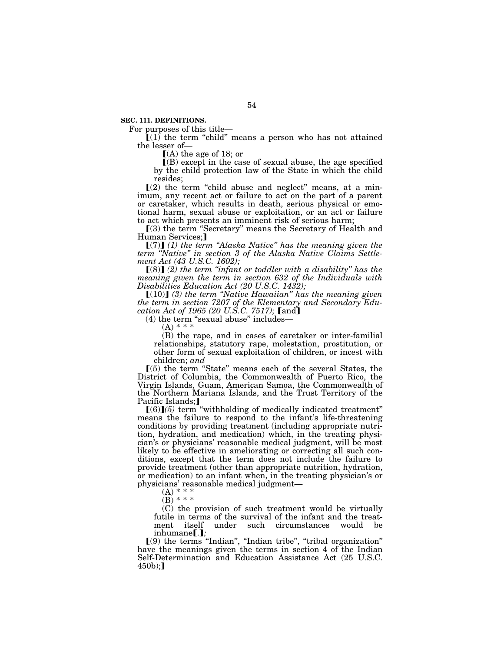**SEC. 111. DEFINITIONS.** 

For purposes of this title—

 $(1)$  the term "child" means a person who has not attained the lesser of—

 $(A)$  the age of 18; or

 $($ B) except in the case of sexual abuse, the age specified by the child protection law of the State in which the child resides;

 $(2)$  the term "child abuse and neglect" means, at a minimum, any recent act or failure to act on the part of a parent or caretaker, which results in death, serious physical or emotional harm, sexual abuse or exploitation, or an act or failure to act which presents an imminent risk of serious harm;

ø(3) the term ''Secretary'' means the Secretary of Health and Human Services:1

 $[(7)]$  (1) the term "Alaska Native" has the meaning given the *term ''Native'' in section 3 of the Alaska Native Claims Settlement Act (43 U.S.C. 1602);* 

 $[(8)]$  (2) the term "infant or toddler with a disability" has the *meaning given the term in section 632 of the Individuals with Disabilities Education Act (20 U.S.C. 1432);* 

 $[(10)]$  (3) the term "Native Hawaiian" has the meaning given *the term in section 7207 of the Elementary and Secondary Education Act of 1965 (20 U.S.C. 7517)*; [and]

 $(4)$  the term "sexual abuse" includes-

 $(A) * * *$ 

(B) the rape, and in cases of caretaker or inter-familial relationships, statutory rape, molestation, prostitution, or other form of sexual exploitation of children, or incest with children; *and*

 $(5)$  the term "State" means each of the several States, the District of Columbia, the Commonwealth of Puerto Rico, the Virgin Islands, Guam, American Samoa, the Commonwealth of the Northern Mariana Islands, and the Trust Territory of the Pacific Islands;]

 $[(6)](5)$  term "withholding of medically indicated treatment" means the failure to respond to the infant's life-threatening conditions by providing treatment (including appropriate nutrition, hydration, and medication) which, in the treating physician's or physicians' reasonable medical judgment, will be most likely to be effective in ameliorating or correcting all such conditions, except that the term does not include the failure to provide treatment (other than appropriate nutrition, hydration, or medication) to an infant when, in the treating physician's or physicians' reasonable medical judgment—

 $(A) * * *$ 

 $(B)$  \* \* \*

(C) the provision of such treatment would be virtually futile in terms of the survival of the infant and the treatment itself under such circumstances would be inhumane[.];

 $(9)$  the terms "Indian", "Indian tribe", "tribal organization" have the meanings given the terms in section 4 of the Indian Self-Determination and Education Assistance Act (25 U.S.C.  $450b$ ;]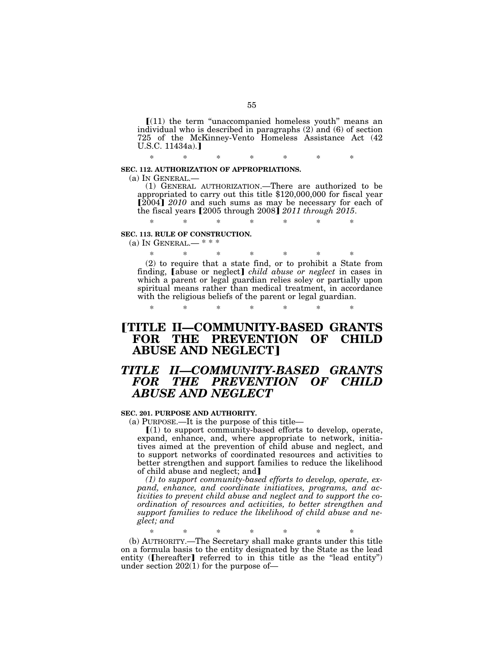$[(11)$  the term "unaccompanied homeless youth" means an individual who is described in paragraphs (2) and (6) of section 725 of the McKinney-Vento Homeless Assistance Act (42  $U.S.C. 11434a.$ ]

\* \* \* \* \* \* \*

### **SEC. 112. AUTHORIZATION OF APPROPRIATIONS.**

(a) IN GENERAL.— (1) GENERAL AUTHORIZATION.—There are authorized to be appropriated to carry out this title \$120,000,000 for fiscal year [2004] 2010 and such sums as may be necessary for each of the fiscal years [2005 through 2008] 2011 through 2015.

\* \* \* \* \* \* \*

## **SEC. 113. RULE OF CONSTRUCTION.**

(a) IN GENERAL.— \* \* \*

\* \* \* \* \* \* \* (2) to require that a state find, or to prohibit a State from finding, *abuse* or neglect*] child abuse or neglect* in cases in which a parent or legal guardian relies soley or partially upon spiritual means rather than medical treatment, in accordance with the religious beliefs of the parent or legal guardian.

\* \* \* \* \* \* \*

# ø**TITLE II—COMMUNITY-BASED GRANTS FOR THE PREVENTION OF CHILD ABUSE AND NEGLECT**¿

# *TITLE II—COMMUNITY-BASED GRANTS FOR THE PREVENTION OF CHILD ABUSE AND NEGLECT*

# **SEC. 201. PURPOSE AND AUTHORITY.**

(a) PURPOSE.—It is the purpose of this title—

 $(1)$  to support community-based efforts to develop, operate, expand, enhance, and, where appropriate to network, initiatives aimed at the prevention of child abuse and neglect, and to support networks of coordinated resources and activities to better strengthen and support families to reduce the likelihood of child abuse and neglect; and

*(1) to support community-based efforts to develop, operate, expand, enhance, and coordinate initiatives, programs, and activities to prevent child abuse and neglect and to support the coordination of resources and activities, to better strengthen and support families to reduce the likelihood of child abuse and neglect; and* 

\* \* \* \* \* \* \*

(b) AUTHORITY.—The Secretary shall make grants under this title on a formula basis to the entity designated by the State as the lead entity ( $\lceil \text{hereafter} \rceil$  referred to in this title as the "lead entity") under section 202(1) for the purpose of—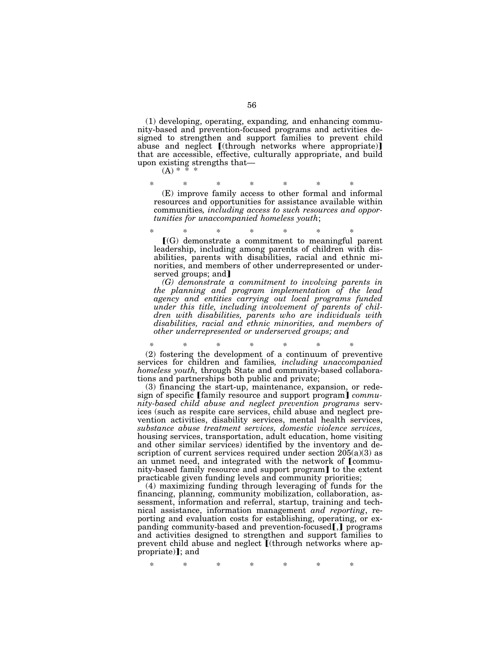(1) developing, operating, expanding*,* and enhancing community-based and prevention-focused programs and activities designed to strengthen and support families to prevent child abuse and neglect [(through networks where appropriate)] that are accessible, effective, culturally appropriate, and build upon existing strengths that—

 $(A)$  \*

\* \* \* \* \* \* \*

(E) improve family access to other formal and informal resources and opportunities for assistance available within communities*, including access to such resources and opportunities for unaccompanied homeless youth*;

\* \* \* \* \* \* \*  $\Gamma(G)$  demonstrate a commitment to meaningful parent leadership, including among parents of children with disabilities, parents with disabilities, racial and ethnic minorities, and members of other underrepresented or underserved groups; and

*(G) demonstrate a commitment to involving parents in the planning and program implementation of the lead agency and entities carrying out local programs funded under this title, including involvement of parents of children with disabilities, parents who are individuals with disabilities, racial and ethnic minorities, and members of other underrepresented or underserved groups; and* 

*\* \* \* \* \* \* \**  (2) fostering the development of a continuum of preventive services for children and families*, including unaccompanied homeless youth,* through State and community-based collaborations and partnerships both public and private;

(3) financing the start-up, maintenance, expansion, or redesign of specific [family resource and support program] *community-based child abuse and neglect prevention programs* services (such as respite care services, child abuse and neglect prevention activities, disability services, mental health services, *substance abuse treatment services, domestic violence services,*  housing services, transportation, adult education, home visiting and other similar services) identified by the inventory and description of current services required under section  $205(a)(3)$  as an unmet need, and integrated with the network of [community-based family resource and support program] to the extent practicable given funding levels and community priorities;

(4) maximizing funding through leveraging of funds for the financing, planning, community mobilization, collaboration, assessment, information and referral, startup, training and technical assistance, information management *and reporting*, reporting and evaluation costs for establishing, operating, or expanding community-based and prevention-focused $\llbracket$ , programs and activities designed to strengthen and support families to prevent child abuse and neglect  $\mathbf{I}$ (through networks where appropriate); and

\* \* \* \* \* \* \*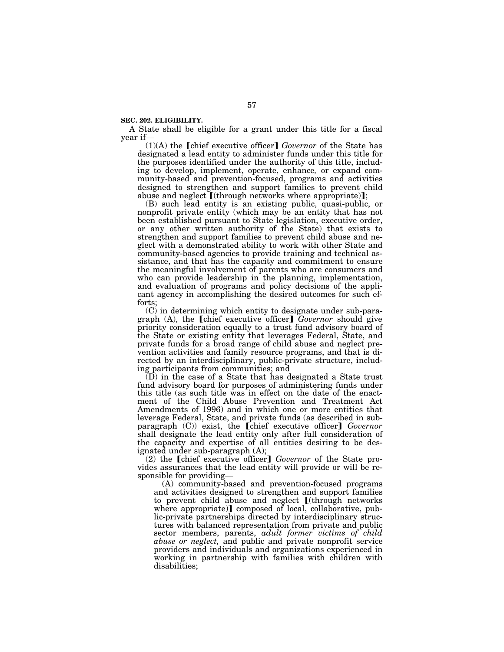### **SEC. 202. ELIGIBILITY.**

A State shall be eligible for a grant under this title for a fiscal year if—

 $(1)(A)$  the  $\lceil$ chief executive officer $\rceil$  *Governor* of the State has designated a lead entity to administer funds under this title for the purposes identified under the authority of this title, including to develop, implement, operate, enhance*,* or expand community-based and prevention-focused, programs and activities designed to strengthen and support families to prevent child abuse and neglect  $\lceil$  (through networks where appropriate)];

(B) such lead entity is an existing public, quasi-public, or nonprofit private entity (which may be an entity that has not been established pursuant to State legislation, executive order, or any other written authority of the State) that exists to strengthen and support families to prevent child abuse and neglect with a demonstrated ability to work with other State and community-based agencies to provide training and technical assistance, and that has the capacity and commitment to ensure the meaningful involvement of parents who are consumers and who can provide leadership in the planning, implementation, and evaluation of programs and policy decisions of the applicant agency in accomplishing the desired outcomes for such efforts;

(C) in determining which entity to designate under sub-paragraph (A), the **Chief** executive officer **C** *Governor* should give priority consideration equally to a trust fund advisory board of the State or existing entity that leverages Federal, State, and private funds for a broad range of child abuse and neglect prevention activities and family resource programs, and that is directed by an interdisciplinary, public-private structure, including participants from communities; and

(D) in the case of a State that has designated a State trust fund advisory board for purposes of administering funds under this title (as such title was in effect on the date of the enactment of the Child Abuse Prevention and Treatment Act Amendments of 1996) and in which one or more entities that leverage Federal, State, and private funds (as described in subparagraph (C)) exist, the *chief* executive officer*] Governor* shall designate the lead entity only after full consideration of the capacity and expertise of all entities desiring to be designated under sub-paragraph (A);

(2) the **[chief executive officer]** *Governor* of the State provides assurances that the lead entity will provide or will be responsible for providing—

(A) community-based and prevention-focused programs and activities designed to strengthen and support families to prevent child abuse and neglect  $[(through networks$ where appropriate)] composed of local, collaborative, public-private partnerships directed by interdisciplinary structures with balanced representation from private and public sector members, parents, *adult former victims of child abuse or neglect,* and public and private nonprofit service providers and individuals and organizations experienced in working in partnership with families with children with disabilities;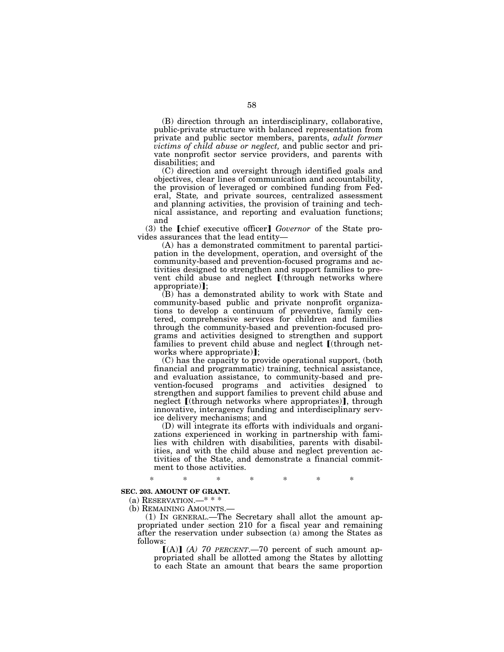(B) direction through an interdisciplinary, collaborative, public-private structure with balanced representation from private and public sector members, parents, *adult former victims of child abuse or neglect,* and public sector and private nonprofit sector service providers, and parents with disabilities; and

(C) direction and oversight through identified goals and objectives, clear lines of communication and accountability, the provision of leveraged or combined funding from Federal, State*,* and private sources, centralized assessment and planning activities, the provision of training and technical assistance, and reporting and evaluation functions; and

(3) the **[chief executive officer]** *Governor* of the State provides assurances that the lead entity—

(A) has a demonstrated commitment to parental participation in the development, operation, and oversight of the community-based and prevention-focused programs and activities designed to strengthen and support families to prevent child abuse and neglect  $[(through networks where$  $appropriate$ **]**;

(B) has a demonstrated ability to work with State and community-based public and private nonprofit organizations to develop a continuum of preventive, family centered, comprehensive services for children and families through the community-based and prevention-focused programs and activities designed to strengthen and support families to prevent child abuse and neglect  $\llbracket$  (through networks where appropriate)];

(C) has the capacity to provide operational support, (both financial and programmatic) training, technical assistance, and evaluation assistance, to community-based and prevention-focused programs and activities designed to strengthen and support families to prevent child abuse and neglect [(through networks where appropriates)], through innovative, interagency funding and interdisciplinary service delivery mechanisms; and

(D) will integrate its efforts with individuals and organizations experienced in working in partnership with families with children with disabilities, parents with disabilities, and with the child abuse and neglect prevention activities of the State, and demonstrate a financial commitment to those activities.

\* \* \* \* \* \* \*

# **SEC. 203. AMOUNT OF GRANT.**

(a) RESERVATION.—\* \* \*

(b) REMAINING AMOUNTS.—

(1) IN GENERAL.—The Secretary shall allot the amount appropriated under section 210 for a fiscal year and remaining after the reservation under subsection (a) among the States as follows:

 $[(A)]$  *(A)* 70 PERCENT.—70 percent of such amount appropriated shall be allotted among the States by allotting to each State an amount that bears the same proportion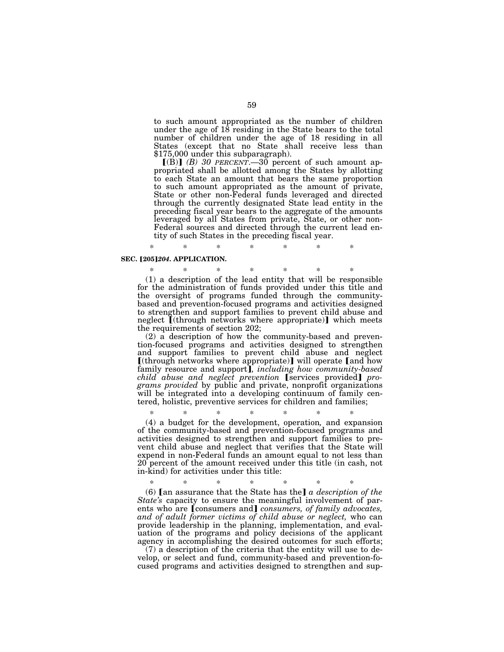to such amount appropriated as the number of children under the age of 18 residing in the State bears to the total number of children under the age of 18 residing in all States (except that no State shall receive less than \$175,000 under this subparagraph).

 $[(B)]$  *(B)* 30 PERCENT.—30 percent of such amount appropriated shall be allotted among the States by allotting to each State an amount that bears the same proportion to such amount appropriated as the amount of private, State or other non-Federal funds leveraged and directed through the currently designated State lead entity in the preceding fiscal year bears to the aggregate of the amounts leveraged by all States from private, State, or other non-Federal sources and directed through the current lead entity of such States in the preceding fiscal year.

### **SEC.** [205]204. APPLICATION.

\* \* \* \* \* \* \* (1) a description of the lead entity that will be responsible for the administration of funds provided under this title and the oversight of programs funded through the communitybased and prevention-focused programs and activities designed to strengthen and support families to prevent child abuse and neglect  $[(through networks where appropriate)]$  which meets the requirements of section 202;

\* \* \* \* \* \* \*

(2) a description of how the community-based and prevention-focused programs and activities designed to strengthen and support families to prevent child abuse and neglect  $[$ (through networks where appropriate) $]$  will operate  $[$  and how family resource and support¿*, including how community-based child abuse and neglect prevention* [services provided] *programs provided* by public and private, nonprofit organizations will be integrated into a developing continuum of family centered, holistic, preventive services for children and families;

\* \* \* \* \* \* \* (4) a budget for the development, operation*,* and expansion of the community-based and prevention-focused programs and activities designed to strengthen and support families to prevent child abuse and neglect that verifies that the State will expend in non-Federal funds an amount equal to not less than 20 percent of the amount received under this title (in cash, not in-kind) for activities under this title:

\* \* \* \* \* \* \* (6)  $\Box$  an assurance that the State has the  $\Box$  *a description of the State's* capacity to ensure the meaningful involvement of parents who are *[consumers and] consumers, of family advocates, and of adult former victims of child abuse or neglect,* who can provide leadership in the planning, implementation, and evaluation of the programs and policy decisions of the applicant agency in accomplishing the desired outcomes for such efforts;

(7) a description of the criteria that the entity will use to develop, or select and fund, community-based and prevention-focused programs and activities designed to strengthen and sup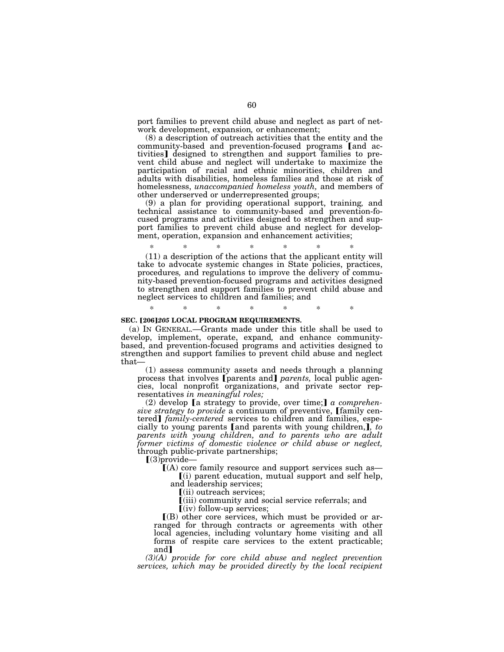port families to prevent child abuse and neglect as part of network development, expansion*,* or enhancement;

(8) a description of outreach activities that the entity and the community-based and prevention-focused programs [and activities] designed to strengthen and support families to prevent child abuse and neglect will undertake to maximize the participation of racial and ethnic minorities, children and adults with disabilities, homeless families and those at risk of homelessness, *unaccompanied homeless youth,* and members of other underserved or underrepresented groups;

(9) a plan for providing operational support, training*,* and technical assistance to community-based and prevention-focused programs and activities designed to strengthen and support families to prevent child abuse and neglect for development, operation, expansion and enhancement activities;

\* \* \* \* \* \* \* (11) a description of the actions that the applicant entity will take to advocate systemic changes in State policies, practices, procedures*,* and regulations to improve the delivery of community-based prevention-focused programs and activities designed to strengthen and support families to prevent child abuse and neglect services to children and families; and

\* \* \* \* \* \* \*

### **SEC. [206]205 LOCAL PROGRAM REQUIREMENTS.**

(a) IN GENERAL.—Grants made under this title shall be used to develop, implement, operate, expand*,* and enhance communitybased, and prevention-focused programs and activities designed to strengthen and support families to prevent child abuse and neglect that—

(1) assess community assets and needs through a planning process that involves [parents and] *parents*, local public agencies, local nonprofit organizations, and private sector representatives *in meaningful roles;* 

(2) develop [a strategy to provide, over time;] a comprehen*sive strategy to provide* a continuum of preventive, [family centered] *family-centered* services to children and families, especially to young parents [and parents with young children,], to *parents with young children, and to parents who are adult former victims of domestic violence or child abuse or neglect,*  through public-private partnerships;

 $\llbracket$ (3)provide

 $I(A)$  core family resource and support services such as—  $(i)$  parent education, mutual support and self help,

and leadership services;

ø(ii) outreach services;

ø(iii) community and social service referrals; and

 $\lceil$ (iv) follow-up services;

 $(6)$  other core services, which must be provided or arranged for through contracts or agreements with other local agencies, including voluntary home visiting and all forms of respite care services to the extent practicable; and

*(3)(A) provide for core child abuse and neglect prevention services, which may be provided directly by the local recipient*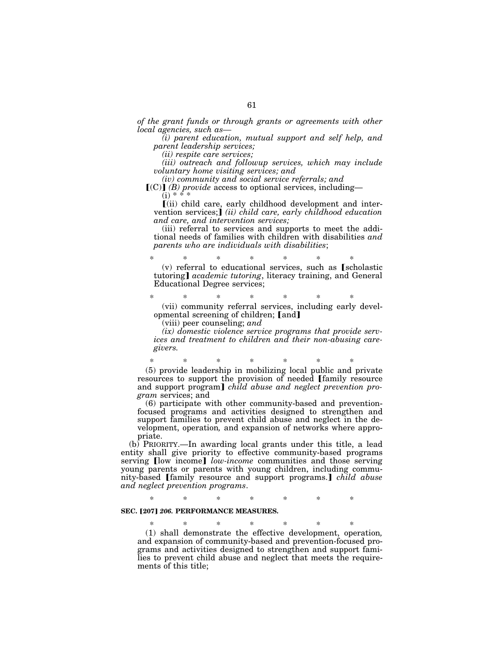*of the grant funds or through grants or agreements with other local agencies, such as—* 

*(i) parent education, mutual support and self help, and parent leadership services;* 

*(ii) respite care services;* 

*(iii) outreach and followup services, which may include voluntary home visiting services; and* 

*(iv) community and social service referrals; and*   $[(C)]$  *(B) provide* access to optional services, including—  $(i) * * * *$ 

 $\tilde{I}$ (ii) child care, early childhood development and intervention services;**j** *(ii) child care, early childhood education and care, and intervention services;* 

(iii) referral to services and supports to meet the additional needs of families with children with disabilities *and parents who are individuals with disabilities*;

\* \* \* \* \* \* \*  $(v)$  referral to educational services, such as [scholastic tutoring] *academic tutoring*, literacy training, and General Educational Degree services;

\* \* \* \* \* \* \* (vii) community referral services, including early developmental screening of children; [and]

(viii) peer counseling; *and* 

*(ix) domestic violence service programs that provide services and treatment to children and their non-abusing caregivers.* 

\* \* \* \* \* \* \* (5) provide leadership in mobilizing local public and private resources to support the provision of needed [family resource and support program] *child abuse and neglect prevention program* services; and

(6) participate with other community-based and preventionfocused programs and activities designed to strengthen and support families to prevent child abuse and neglect in the development, operation*,* and expansion of networks where appropriate.

(b) PRIORITY.—In awarding local grants under this title, a lead entity shall give priority to effective community-based programs serving [low income] *low-income* communities and those serving young parents or parents with young children, including community-based [family resource and support programs.] *child abuse and neglect prevention programs*.

\* \* \* \* \* \* \*

# **SEC. [207] 206. PERFORMANCE MEASURES.**

\* \* \* \* \* \* \* (1) shall demonstrate the effective development, operation*,* and expansion of community-based and prevention-focused programs and activities designed to strengthen and support families to prevent child abuse and neglect that meets the requirements of this title;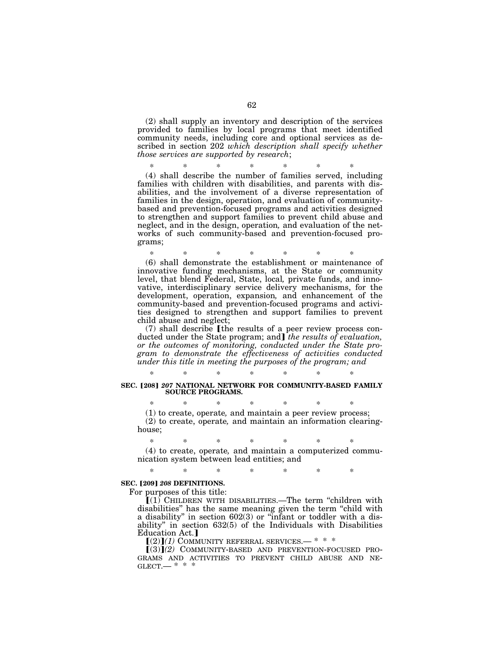(2) shall supply an inventory and description of the services provided to families by local programs that meet identified community needs, including core and optional services as described in section 202 *which description shall specify whether those services are supported by research*;

\* \* \* \* \* \* \* (4) shall describe the number of families served, including families with children with disabilities, and parents with disabilities, and the involvement of a diverse representation of families in the design, operation, and evaluation of communitybased and prevention-focused programs and activities designed to strengthen and support families to prevent child abuse and neglect, and in the design, operation*,* and evaluation of the networks of such community-based and prevention-focused programs;

\* \* \* \* \* \* \* (6) shall demonstrate the establishment or maintenance of innovative funding mechanisms, at the State or community level, that blend Federal, State, local*,* private funds, and innovative, interdisciplinary service delivery mechanisms, for the development, operation, expansion*,* and enhancement of the community-based and prevention-focused programs and activities designed to strengthen and support families to prevent child abuse and neglect;

 $(7)$  shall describe [the results of a peer review process conducted under the State program; and *the results of evaluation*, *or the outcomes of monitoring, conducted under the State program to demonstrate the effectiveness of activities conducted under this title in meeting the purposes of the program; and* 

\* \* \* \* \* \* \*

### **SEC. [208] 207 NATIONAL NETWORK FOR COMMUNITY-BASED FAMILY SOURCE PROGRAMS.**

\* \* \* \* \* \* \* (1) to create, operate*,* and maintain a peer review process; (2) to create, operate*,* and maintain an information clearinghouse;

\* \* \* \* \* \* \* (4) to create, operate*,* and maintain a computerized communication system between lead entities; and

\* \* \* \* \* \* \*

# **SEC.** [209] *208* **DEFINITIONS.**

For purposes of this title:

 $I(1)$  CHILDREN WITH DISABILITIES.—The term "children with disabilities'' has the same meaning given the term ''child with a disability'' in section 602(3) or ''infant or toddler with a disability'' in section 632(5) of the Individuals with Disabilities Education Act.]

 $[(2)](1)$  COMMUNITY REFERRAL SERVICES.— \* \* \*

<sup>ø</sup>(3)¿*(2)* COMMUNITY-BASED AND PREVENTION-FOCUSED PRO- GRAMS AND ACTIVITIES TO PREVENT CHILD ABUSE AND NE-GLECT.— $* * *$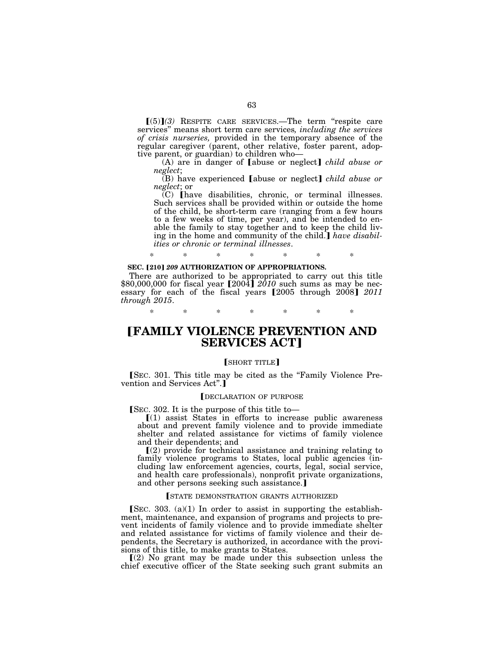$(5)$  $(3)$  RESPITE CARE SERVICES.—The term "respite care services'' means short term care services*, including the services of crisis nurseries,* provided in the temporary absence of the regular caregiver (parent, other relative, foster parent, adoptive parent, or guardian) to children who—

(A) are in danger of [abuse or neglect] *child abuse or neglect*;

(B) have experienced [abuse or neglect] *child abuse or neglect*; or

 $(C)$  [have disabilities, chronic, or terminal illnesses. Such services shall be provided within or outside the home of the child, be short-term care (ranging from a few hours to a few weeks of time, per year), and be intended to enable the family to stay together and to keep the child living in the home and community of the child. *I have disabilities or chronic or terminal illnesses*.

# \* \* \* \* \* \* \*

## **SEC. [210] 209 AUTHORIZATION OF APPROPRIATIONS.**

There are authorized to be appropriated to carry out this title \$80,000,000 for fiscal year  $[2004]$  *2010* such sums as may be necessary for each of the fiscal years [2005 through 2008] 2011 *through 2015*.

\* \* \* \* \* \* \*

# ø**FAMILY VIOLENCE PREVENTION AND SERVICES ACT1**

# [SHORT TITLE]

[SEC. 301. This title may be cited as the "Family Violence Prevention and Services Act".

## DECLARATION OF PURPOSE

 $SEC. 302. It is the purpose of this title to—$ 

 $(1)$  assist States in efforts to increase public awareness about and prevent family violence and to provide immediate shelter and related assistance for victims of family violence and their dependents; and

 $(2)$  provide for technical assistance and training relating to family violence programs to States, local public agencies (including law enforcement agencies, courts, legal, social service, and health care professionals), nonprofit private organizations, and other persons seeking such assistance.

#### **STATE DEMONSTRATION GRANTS AUTHORIZED**

[SEC. 303. (a)(1) In order to assist in supporting the establishment, maintenance, and expansion of programs and projects to prevent incidents of family violence and to provide immediate shelter and related assistance for victims of family violence and their dependents, the Secretary is authorized, in accordance with the provisions of this title, to make grants to States.

 $(2)$  No grant may be made under this subsection unless the chief executive officer of the State seeking such grant submits an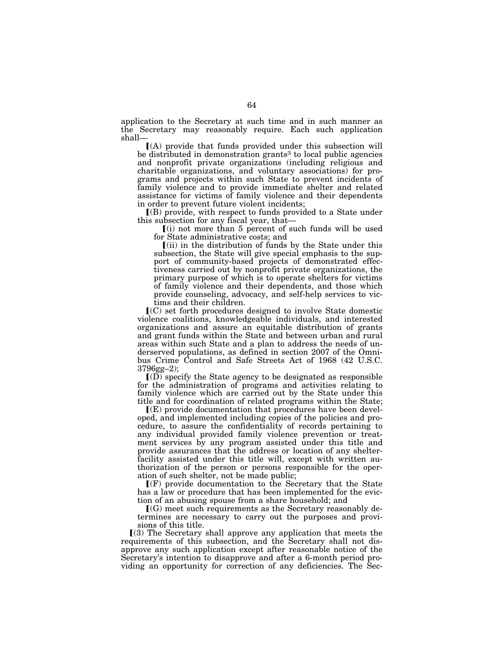application to the Secretary at such time and in such manner as the Secretary may reasonably require. Each such application shall—

 $(A)$  provide that funds provided under this subsection will be distributed in demonstration grants<sup>3</sup> to local public agencies and nonprofit private organizations (including religious and charitable organizations, and voluntary associations) for programs and projects within such State to prevent incidents of family violence and to provide immediate shelter and related assistance for victims of family violence and their dependents in order to prevent future violent incidents;

 $(6)$  provide, with respect to funds provided to a State under this subsection for any fiscal year, that—

 $(i)$  not more than 5 percent of such funds will be used for State administrative costs; and

 $(iii)$  in the distribution of funds by the State under this subsection, the State will give special emphasis to the support of community-based projects of demonstrated effectiveness carried out by nonprofit private organizations, the primary purpose of which is to operate shelters for victims of family violence and their dependents, and those which provide counseling, advocacy, and self-help services to victims and their children.

 $\mathbf{C}(\mathbf{C})$  set forth procedures designed to involve State domestic violence coalitions, knowledgeable individuals, and interested organizations and assure an equitable distribution of grants and grant funds within the State and between urban and rural areas within such State and a plan to address the needs of underserved populations, as defined in section 2007 of the Omnibus Crime Control and Safe Streets Act of 1968 (42 U.S.C. 3796gg–2);

 $I(D)$  specify the State agency to be designated as responsible for the administration of programs and activities relating to family violence which are carried out by the State under this title and for coordination of related programs within the State;

 $\mathbb{I}(E)$  provide documentation that procedures have been developed, and implemented including copies of the policies and procedure, to assure the confidentiality of records pertaining to any individual provided family violence prevention or treatment services by any program assisted under this title and provide assurances that the address or location of any shelterfacility assisted under this title will, except with written authorization of the person or persons responsible for the operation of such shelter, not be made public;

 $\Gamma(F)$  provide documentation to the Secretary that the State has a law or procedure that has been implemented for the eviction of an abusing spouse from a share household; and

 $\Gamma(G)$  meet such requirements as the Secretary reasonably determines are necessary to carry out the purposes and provisions of this title.

 $(3)$  The Secretary shall approve any application that meets the requirements of this subsection, and the Secretary shall not disapprove any such application except after reasonable notice of the Secretary's intention to disapprove and after a 6-month period providing an opportunity for correction of any deficiencies. The Sec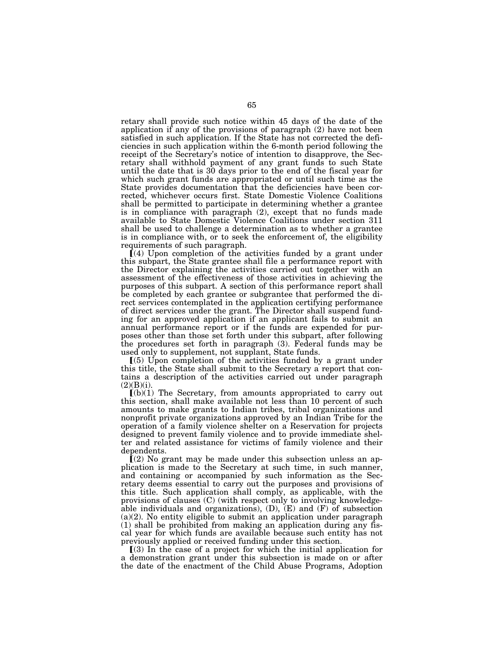retary shall provide such notice within 45 days of the date of the application if any of the provisions of paragraph (2) have not been satisfied in such application. If the State has not corrected the deficiencies in such application within the 6-month period following the receipt of the Secretary's notice of intention to disapprove, the Secretary shall withhold payment of any grant funds to such State until the date that is 30 days prior to the end of the fiscal year for which such grant funds are appropriated or until such time as the State provides documentation that the deficiencies have been corrected, whichever occurs first. State Domestic Violence Coalitions shall be permitted to participate in determining whether a grantee is in compliance with paragraph (2), except that no funds made available to State Domestic Violence Coalitions under section 311 shall be used to challenge a determination as to whether a grantee is in compliance with, or to seek the enforcement of, the eligibility requirements of such paragraph.

 $(a)$  Upon completion of the activities funded by a grant under this subpart, the State grantee shall file a performance report with the Director explaining the activities carried out together with an assessment of the effectiveness of those activities in achieving the purposes of this subpart. A section of this performance report shall be completed by each grantee or subgrantee that performed the direct services contemplated in the application certifying performance of direct services under the grant. The Director shall suspend funding for an approved application if an applicant fails to submit an annual performance report or if the funds are expended for purposes other than those set forth under this subpart, after following the procedures set forth in paragraph (3). Federal funds may be used only to supplement, not supplant, State funds.

 $(5)$  Upon completion of the activities funded by a grant under this title, the State shall submit to the Secretary a report that contains a description of the activities carried out under paragraph  $(2)(B)(i)$ .

 $(a)(1)$  The Secretary, from amounts appropriated to carry out this section, shall make available not less than 10 percent of such amounts to make grants to Indian tribes, tribal organizations and nonprofit private organizations approved by an Indian Tribe for the operation of a family violence shelter on a Reservation for projects designed to prevent family violence and to provide immediate shelter and related assistance for victims of family violence and their dependents.

 $(2)$  No grant may be made under this subsection unless an application is made to the Secretary at such time, in such manner, and containing or accompanied by such information as the Secretary deems essential to carry out the purposes and provisions of this title. Such application shall comply, as applicable, with the provisions of clauses (C) (with respect only to involving knowledgeable individuals and organizations),  $(D)$ ,  $(E)$  and  $(F)$  of subsection  $(a)(2)$ . No entity eligible to submit an application under paragraph (1) shall be prohibited from making an application during any fiscal year for which funds are available because such entity has not previously applied or received funding under this section.

 $(3)$  In the case of a project for which the initial application for a demonstration grant under this subsection is made on or after the date of the enactment of the Child Abuse Programs, Adoption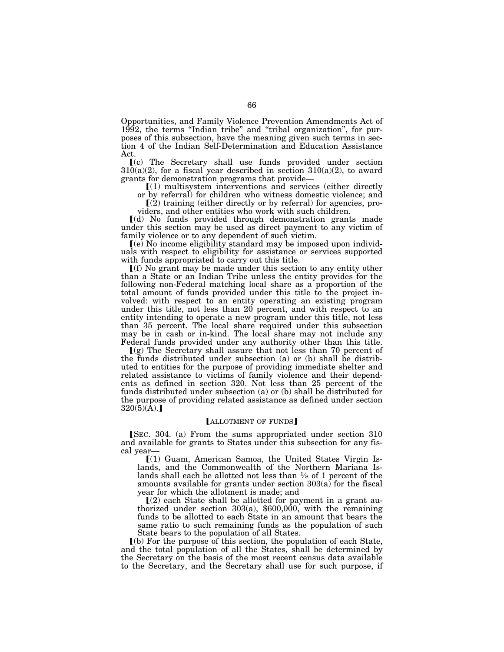Opportunities, and Family Violence Prevention Amendments Act of 1992, the terms ''Indian tribe'' and ''tribal organization'', for purposes of this subsection, have the meaning given such terms in section 4 of the Indian Self-Determination and Education Assistance Act.

ø(c) The Secretary shall use funds provided under section  $310(a)(2)$ , for a fiscal year described in section  $310(a)(2)$ , to award grants for demonstration programs that provide—

 $(1)$  multisystem interventions and services (either directly or by referral) for children who witness domestic violence; and

 $(2)$  training (either directly or by referral) for agencies, pro-

viders, and other entities who work with such children.

ø(d) No funds provided through demonstration grants made under this section may be used as direct payment to any victim of family violence or to any dependent of such victim.

ø(e) No income eligibility standard may be imposed upon individuals with respect to eligibility for assistance or services supported with funds appropriated to carry out this title.

 $\Gamma(f)$  No grant may be made under this section to any entity other than a State or an Indian Tribe unless the entity provides for the following non-Federal matching local share as a proportion of the total amount of funds provided under this title to the project involved: with respect to an entity operating an existing program under this title, not less than 20 percent, and with respect to an entity intending to operate a new program under this title, not less than 35 percent. The local share required under this subsection may be in cash or in-kind. The local share may not include any Federal funds provided under any authority other than this title.

 $(q)$  The Secretary shall assure that not less than 70 percent of the funds distributed under subsection (a) or (b) shall be distributed to entities for the purpose of providing immediate shelter and related assistance to victims of family violence and their dependents as defined in section 320. Not less than 25 percent of the funds distributed under subsection (a) or (b) shall be distributed for the purpose of providing related assistance as defined under section  $320(5)(A).$ 

# [ALLOTMENT OF FUNDS]

[SEC. 304. (a) From the sums appropriated under section 310 and available for grants to States under this subsection for any fiscal year—

 $[(1)$  Guam, American Samoa, the United States Virgin Islands, and the Commonwealth of the Northern Mariana Islands shall each be allotted not less than  $\frac{1}{8}$  of 1 percent of the amounts available for grants under section  $303(a)$  for the fiscal year for which the allotment is made; and

 $(2)$  each State shall be allotted for payment in a grant authorized under section 303(a), \$600,000, with the remaining funds to be allotted to each State in an amount that bears the same ratio to such remaining funds as the population of such State bears to the population of all States.

 $\lceil$ (b) For the purpose of this section, the population of each State, and the total population of all the States, shall be determined by the Secretary on the basis of the most recent census data available to the Secretary, and the Secretary shall use for such purpose, if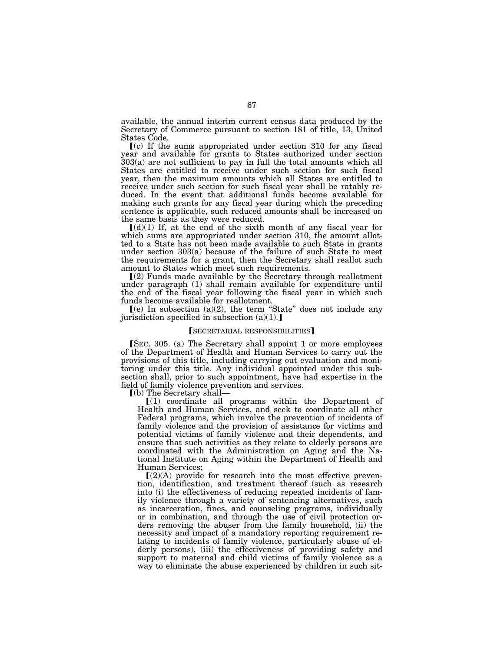available, the annual interim current census data produced by the Secretary of Commerce pursuant to section 181 of title, 13, United States Code.

 $\lceil$ (c) If the sums appropriated under section 310 for any fiscal year and available for grants to States authorized under section 303(a) are not sufficient to pay in full the total amounts which all States are entitled to receive under such section for such fiscal year, then the maximum amounts which all States are entitled to receive under such section for such fiscal year shall be ratably reduced. In the event that additional funds become available for making such grants for any fiscal year during which the preceding sentence is applicable, such reduced amounts shall be increased on the same basis as they were reduced.

 $\lceil (d)(1) \rceil$  If, at the end of the sixth month of any fiscal year for which sums are appropriated under section 310, the amount allotted to a State has not been made available to such State in grants under section 303(a) because of the failure of such State to meet the requirements for a grant, then the Secretary shall reallot such amount to States which meet such requirements.

 $(2)$  Funds made available by the Secretary through reallotment under paragraph (1) shall remain available for expenditure until the end of the fiscal year following the fiscal year in which such funds become available for reallotment.

 $(e)$  In subsection (a)(2), the term "State" does not include any jurisdiction specified in subsection  $(a)(1)$ .

### **SECRETARIAL RESPONSIBILITIES**

[SEC. 305. (a) The Secretary shall appoint 1 or more employees of the Department of Health and Human Services to carry out the provisions of this title, including carrying out evaluation and monitoring under this title. Any individual appointed under this subsection shall, prior to such appointment, have had expertise in the field of family violence prevention and services.

 $\lceil$ (b) The Secretary shall-

 $(1)$  coordinate all programs within the Department of Health and Human Services, and seek to coordinate all other Federal programs, which involve the prevention of incidents of family violence and the provision of assistance for victims and potential victims of family violence and their dependents, and ensure that such activities as they relate to elderly persons are coordinated with the Administration on Aging and the National Institute on Aging within the Department of Health and Human Services;

 $[(2)(A)$  provide for research into the most effective prevention, identification, and treatment thereof (such as research into (i) the effectiveness of reducing repeated incidents of family violence through a variety of sentencing alternatives, such as incarceration, fines, and counseling programs, individually or in combination, and through the use of civil protection orders removing the abuser from the family household, (ii) the necessity and impact of a mandatory reporting requirement relating to incidents of family violence, particularly abuse of elderly persons), (iii) the effectiveness of providing safety and support to maternal and child victims of family violence as a way to eliminate the abuse experienced by children in such sit-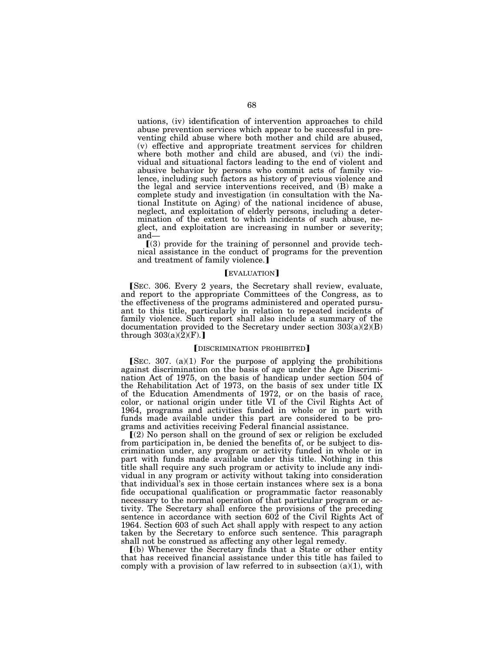uations, (iv) identification of intervention approaches to child abuse prevention services which appear to be successful in preventing child abuse where both mother and child are abused, (v) effective and appropriate treatment services for children where both mother and child are abused, and (vi) the individual and situational factors leading to the end of violent and abusive behavior by persons who commit acts of family violence, including such factors as history of previous violence and the legal and service interventions received, and (B) make a complete study and investigation (in consultation with the National Institute on Aging) of the national incidence of abuse, neglect, and exploitation of elderly persons, including a determination of the extent to which incidents of such abuse, neglect, and exploitation are increasing in number or severity; and—

 $(3)$  provide for the training of personnel and provide technical assistance in the conduct of programs for the prevention and treatment of family violence.

#### **EVALUATION**

**SEC.** 306. Every 2 years, the Secretary shall review, evaluate, and report to the appropriate Committees of the Congress, as to the effectiveness of the programs administered and operated pursuant to this title, particularly in relation to repeated incidents of family violence. Such report shall also include a summary of the documentation provided to the Secretary under section  $303(a)(2)(B)$ through  $303(a)(2)(F)$ .

### [DISCRIMINATION PROHIBITED]

[SEC. 307.  $(a)(1)$  For the purpose of applying the prohibitions against discrimination on the basis of age under the Age Discrimination Act of 1975, on the basis of handicap under section 504 of the Rehabilitation Act of 1973, on the basis of sex under title IX of the Education Amendments of 1972, or on the basis of race, color, or national origin under title VI of the Civil Rights Act of 1964, programs and activities funded in whole or in part with funds made available under this part are considered to be programs and activities receiving Federal financial assistance.

 $(2)$  No person shall on the ground of sex or religion be excluded from participation in, be denied the benefits of, or be subject to discrimination under, any program or activity funded in whole or in part with funds made available under this title. Nothing in this title shall require any such program or activity to include any individual in any program or activity without taking into consideration that individual's sex in those certain instances where sex is a bona fide occupational qualification or programmatic factor reasonably necessary to the normal operation of that particular program or activity. The Secretary shall enforce the provisions of the preceding sentence in accordance with section 602 of the Civil Rights Act of 1964. Section 603 of such Act shall apply with respect to any action taken by the Secretary to enforce such sentence. This paragraph shall not be construed as affecting any other legal remedy.

ø(b) Whenever the Secretary finds that a State or other entity that has received financial assistance under this title has failed to comply with a provision of law referred to in subsection  $(a)(1)$ , with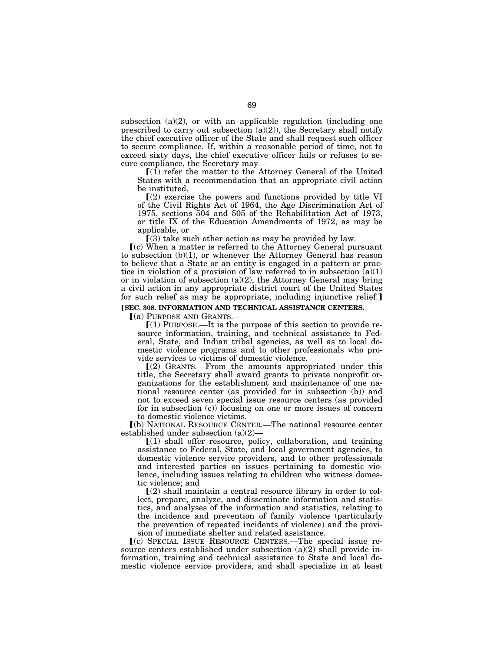subsection  $(a)(2)$ , or with an applicable regulation (including one prescribed to carry out subsection  $(a)(2)$ ), the Secretary shall notify the chief executive officer of the State and shall request such officer to secure compliance. If, within a reasonable period of time, not to exceed sixty days, the chief executive officer fails or refuses to secure compliance, the Secretary may—

 $[(1)$  refer the matter to the Attorney General of the United States with a recommendation that an appropriate civil action be instituted,

 $(2)$  exercise the powers and functions provided by title VI of the Civil Rights Act of 1964, the Age Discrimination Act of 1975, sections 504 and 505 of the Rehabilitation Act of 1973, or title IX of the Education Amendments of 1972, as may be applicable, or

 $(3)$  take such other action as may be provided by law.

 $(c)$  When a matter is referred to the Attorney General pursuant to subsection (b)(1), or whenever the Attorney General has reason to believe that a State or an entity is engaged in a pattern or practice in violation of a provision of law referred to in subsection  $(a)(1)$ or in violation of subsection  $(a)(2)$ , the Attorney General may bring a civil action in any appropriate district court of the United States for such relief as may be appropriate, including injunctive relief.

# **[SEC. 308. INFORMATION AND TECHNICAL ASSISTANCE CENTERS.**

 $(a)$  PURPOSE AND GRANTS.

 $(1)$  PURPOSE.—It is the purpose of this section to provide resource information, training, and technical assistance to Federal, State, and Indian tribal agencies, as well as to local domestic violence programs and to other professionals who provide services to victims of domestic violence.

 $(Q)$  GRANTS.—From the amounts appropriated under this title, the Secretary shall award grants to private nonprofit organizations for the establishment and maintenance of one national resource center (as provided for in subsection (b)) and not to exceed seven special issue resource centers (as provided for in subsection (c)) focusing on one or more issues of concern to domestic violence victims.

ø(b) NATIONAL RESOURCE CENTER.—The national resource center established under subsection (a)(2)—

 $(1)$  shall offer resource, policy, collaboration, and training assistance to Federal, State, and local government agencies, to domestic violence service providers, and to other professionals and interested parties on issues pertaining to domestic violence, including issues relating to children who witness domestic violence; and

 $\Gamma(2)$  shall maintain a central resource library in order to collect, prepare, analyze, and disseminate information and statistics, and analyses of the information and statistics, relating to the incidence and prevention of family violence (particularly the prevention of repeated incidents of violence) and the provision of immediate shelter and related assistance.

ø(c) SPECIAL ISSUE RESOURCE CENTERS.—The special issue resource centers established under subsection  $(a)(2)$  shall provide information, training and technical assistance to State and local domestic violence service providers, and shall specialize in at least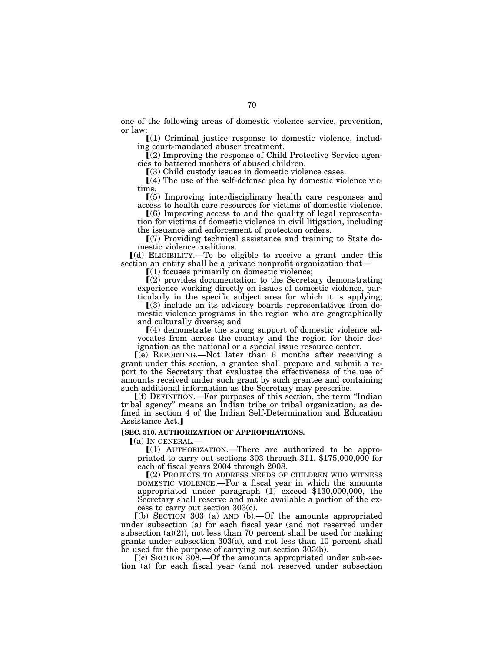one of the following areas of domestic violence service, prevention, or law:

 $(1)$  Criminal justice response to domestic violence, including court-mandated abuser treatment.

 $(Q)$  Improving the response of Child Protective Service agencies to battered mothers of abused children.

 $(3)$  Child custody issues in domestic violence cases.

 $(4)$  The use of the self-defense plea by domestic violence victims.

ø(5) Improving interdisciplinary health care responses and access to health care resources for victims of domestic violence.

 $(6)$  Improving access to and the quality of legal representation for victims of domestic violence in civil litigation, including the issuance and enforcement of protection orders.

 $(7)$  Providing technical assistance and training to State domestic violence coalitions.

ø(d) ELIGIBILITY.—To be eligible to receive a grant under this section an entity shall be a private nonprofit organization that—

 $(1)$  focuses primarily on domestic violence;

 $\Gamma(2)$  provides documentation to the Secretary demonstrating experience working directly on issues of domestic violence, particularly in the specific subject area for which it is applying;

 $(3)$  include on its advisory boards representatives from domestic violence programs in the region who are geographically and culturally diverse; and

 $(4)$  demonstrate the strong support of domestic violence advocates from across the country and the region for their designation as the national or a special issue resource center.

 $(e)$  REPORTING.—Not later than 6 months after receiving a grant under this section, a grantee shall prepare and submit a report to the Secretary that evaluates the effectiveness of the use of amounts received under such grant by such grantee and containing such additional information as the Secretary may prescribe.

ø(f) DEFINITION.—For purposes of this section, the term ''Indian tribal agency'' means an Indian tribe or tribal organization, as defined in section 4 of the Indian Self-Determination and Education Assistance Act.]

### **[SEC. 310. AUTHORIZATION OF APPROPRIATIONS.**

 $(a)$  In GENERAL.

 $(1)$  AUTHORIZATION.—There are authorized to be appropriated to carry out sections 303 through 311, \$175,000,000 for each of fiscal years 2004 through 2008.

ø(2) PROJECTS TO ADDRESS NEEDS OF CHILDREN WHO WITNESS DOMESTIC VIOLENCE.—For a fiscal year in which the amounts appropriated under paragraph (1) exceed \$130,000,000, the Secretary shall reserve and make available a portion of the excess to carry out section 303(c).

 $(a)$  SECTION 303 (a) AND (b). - Of the amounts appropriated under subsection (a) for each fiscal year (and not reserved under subsection  $(a)(2)$ , not less than 70 percent shall be used for making grants under subsection 303(a), and not less than 10 percent shall be used for the purpose of carrying out section 303(b).

 $\lceil$ (c) SECTION 308.—Of the amounts appropriated under sub-section (a) for each fiscal year (and not reserved under subsection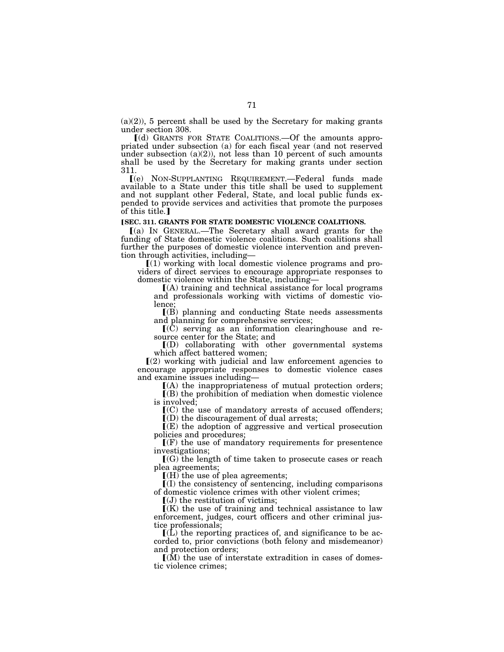$(a)(2)$ , 5 percent shall be used by the Secretary for making grants under section 308.

ø(d) GRANTS FOR STATE COALITIONS.—Of the amounts appropriated under subsection (a) for each fiscal year (and not reserved under subsection  $(a)(2)$ , not less than 10 percent of such amounts shall be used by the Secretary for making grants under section 311.

ø(e) NON-SUPPLANTING REQUIREMENT.—Federal funds made available to a State under this title shall be used to supplement and not supplant other Federal, State, and local public funds expended to provide services and activities that promote the purposes of this title.]

## **[SEC. 311. GRANTS FOR STATE DOMESTIC VIOLENCE COALITIONS.**

ø(a) IN GENERAL.—The Secretary shall award grants for the funding of State domestic violence coalitions. Such coalitions shall further the purposes of domestic violence intervention and prevention through activities, including—

 $(1)$  working with local domestic violence programs and providers of direct services to encourage appropriate responses to domestic violence within the State, including—

 $(A)$  training and technical assistance for local programs and professionals working with victims of domestic violence;

 $(R)$  planning and conducting State needs assessments and planning for comprehensive services;

 $\mathbf{I}(\mathbf{C})$  serving as an information clearinghouse and resource center for the State; and

 $\overline{I(D)}$  collaborating with other governmental systems which affect battered women;

 $(2)$  working with judicial and law enforcement agencies to encourage appropriate responses to domestic violence cases and examine issues including—

ø(A) the inappropriateness of mutual protection orders;  $\overline{I}(B)$  the prohibition of mediation when domestic violence is involved;

 $\mathcal{L}(\mathcal{C})$  the use of mandatory arrests of accused offenders;  $\mathbb{I}(D)$  the discouragement of dual arrests;

 $I(E)$  the adoption of aggressive and vertical prosecution policies and procedures;

 $\Gamma(F)$  the use of mandatory requirements for presentence investigations;

 $[(G)$  the length of time taken to prosecute cases or reach plea agreements;

 $\left[$ (H) the use of plea agreements;

 $I(I)$  the consistency of sentencing, including comparisons of domestic violence crimes with other violent crimes;

 $\left[\mathrm{U}\right]$  the restitution of victims;

 $K(K)$  the use of training and technical assistance to law enforcement, judges, court officers and other criminal justice professionals;

 $\mathbf{I}(\mathbf{L})$  the reporting practices of, and significance to be accorded to, prior convictions (both felony and misdemeanor) and protection orders;

 $(M)$  the use of interstate extradition in cases of domestic violence crimes;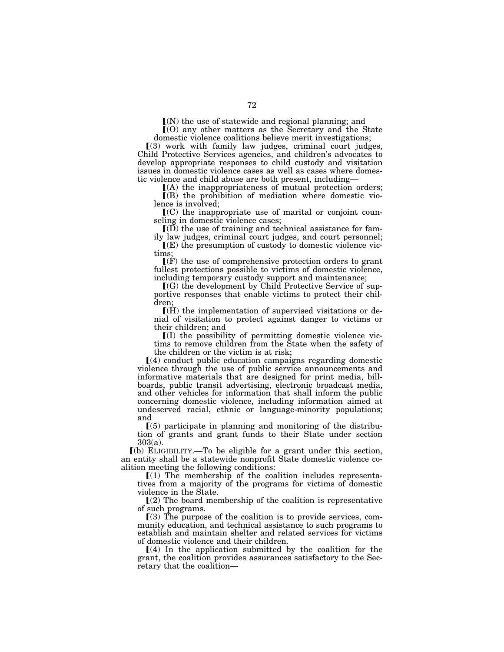$(N)$  the use of statewide and regional planning; and

 $(0)$  any other matters as the Secretary and the State domestic violence coalitions believe merit investigations;

 $(3)$  work with family law judges, criminal court judges, Child Protective Services agencies, and children's advocates to develop appropriate responses to child custody and visitation issues in domestic violence cases as well as cases where domestic violence and child abuse are both present, including—

 $(A)$  the inappropriateness of mutual protection orders;  $\mathbf{I}(\mathbf{B})$  the prohibition of mediation where domestic violence is involved;

 $\mathbf{I}(C)$  the inappropriate use of marital or conjoint counseling in domestic violence cases;

 $I(D)$  the use of training and technical assistance for family law judges, criminal court judges, and court personnel;

 $\mathbf{I}(\mathbf{E})$  the presumption of custody to domestic violence victims;

 $\Gamma(F)$  the use of comprehensive protection orders to grant fullest protections possible to victims of domestic violence, including temporary custody support and maintenance;

 $\Gamma(G)$  the development by Child Protective Service of supportive responses that enable victims to protect their children;

 $\Gamma(H)$  the implementation of supervised visitations or denial of visitation to protect against danger to victims or their children; and

 $I(I)$  the possibility of permitting domestic violence victims to remove children from the State when the safety of the children or the victim is at risk;

 $(4)$  conduct public education campaigns regarding domestic violence through the use of public service announcements and informative materials that are designed for print media, billboards, public transit advertising, electronic broadcast media, and other vehicles for information that shall inform the public concerning domestic violence, including information aimed at undeserved racial, ethnic or language-minority populations; and

 $(5)$  participate in planning and monitoring of the distribution of grants and grant funds to their State under section 303(a).

ø(b) ELIGIBILITY.—To be eligible for a grant under this section, an entity shall be a statewide nonprofit State domestic violence coalition meeting the following conditions:

 $[(1)$  The membership of the coalition includes representatives from a majority of the programs for victims of domestic violence in the State.

 $(2)$  The board membership of the coalition is representative of such programs.

 $(3)$  The purpose of the coalition is to provide services, community education, and technical assistance to such programs to establish and maintain shelter and related services for victims of domestic violence and their children.

 $(4)$  In the application submitted by the coalition for the grant, the coalition provides assurances satisfactory to the Secretary that the coalition—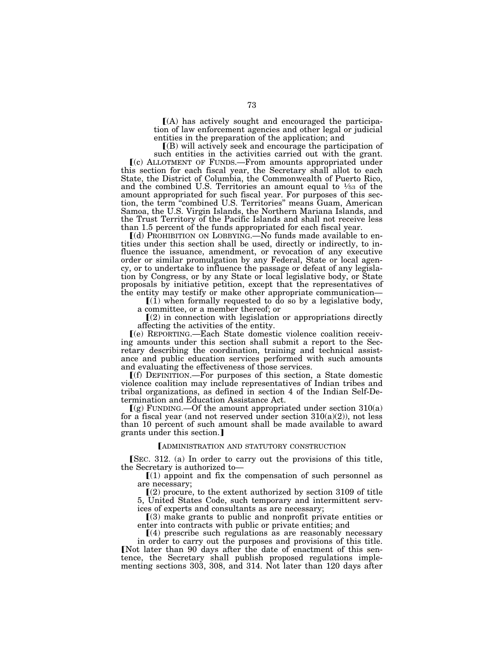$(A)$  has actively sought and encouraged the participation of law enforcement agencies and other legal or judicial entities in the preparation of the application; and

 $($ B) will actively seek and encourage the participation of such entities in the activities carried out with the grant.

ø(c) ALLOTMENT OF FUNDS.—From amounts appropriated under this section for each fiscal year, the Secretary shall allot to each State, the District of Columbia, the Commonwealth of Puerto Rico, and the combined U.S. Territories an amount equal to  $\frac{1}{5}$  of the amount appropriated for such fiscal year. For purposes of this section, the term ''combined U.S. Territories'' means Guam, American Samoa, the U.S. Virgin Islands, the Northern Mariana Islands, and the Trust Territory of the Pacific Islands and shall not receive less than 1.5 percent of the funds appropriated for each fiscal year.

 $(d)$  PROHIBITION ON LOBBYING.—No funds made available to entities under this section shall be used, directly or indirectly, to influence the issuance, amendment, or revocation of any executive order or similar promulgation by any Federal, State or local agency, or to undertake to influence the passage or defeat of any legislation by Congress, or by any State or local legislative body, or State proposals by initiative petition, except that the representatives of the entity may testify or make other appropriate communication—

 $(1)$  when formally requested to do so by a legislative body, a committee, or a member thereof; or

 $(2)$  in connection with legislation or appropriations directly affecting the activities of the entity.

ø(e) REPORTING.—Each State domestic violence coalition receiving amounts under this section shall submit a report to the Secretary describing the coordination, training and technical assistance and public education services performed with such amounts and evaluating the effectiveness of those services.

 $[(f)$  DEFINITION.—For purposes of this section, a State domestic violence coalition may include representatives of Indian tribes and tribal organizations, as defined in section 4 of the Indian Self-Determination and Education Assistance Act.

 $(q)$  FUNDING.—Of the amount appropriated under section 310(a) for a fiscal year (and not reserved under section  $310(a)(2)$ ), not less than 10 percent of such amount shall be made available to award grants under this section.

#### LADMINISTRATION AND STATUTORY CONSTRUCTION

[SEC. 312. (a) In order to carry out the provisions of this title, the Secretary is authorized to—

 $(1)$  appoint and fix the compensation of such personnel as are necessary;

 $(2)$  procure, to the extent authorized by section 3109 of title 5, United States Code, such temporary and intermittent services of experts and consultants as are necessary;

 $(3)$  make grants to public and nonprofit private entities or enter into contracts with public or private entities; and

 $(a)$  prescribe such regulations as are reasonably necessary in order to carry out the purposes and provisions of this title. Not later than 90 days after the date of enactment of this sentence, the Secretary shall publish proposed regulations imple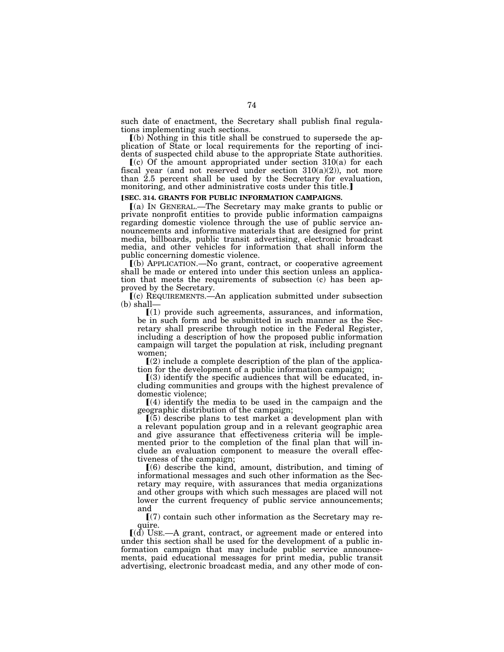such date of enactment, the Secretary shall publish final regulations implementing such sections.

ø(b) Nothing in this title shall be construed to supersede the application of State or local requirements for the reporting of incidents of suspected child abuse to the appropriate State authorities.

 $(c)$  Of the amount appropriated under section 310(a) for each fiscal year (and not reserved under section  $310(a)(2)$ ), not more than 2.5 percent shall be used by the Secretary for evaluation, monitoring, and other administrative costs under this title.]

#### **[SEC. 314. GRANTS FOR PUBLIC INFORMATION CAMPAIGNS.**

ø(a) IN GENERAL.—The Secretary may make grants to public or private nonprofit entities to provide public information campaigns regarding domestic violence through the use of public service announcements and informative materials that are designed for print media, billboards, public transit advertising, electronic broadcast media, and other vehicles for information that shall inform the public concerning domestic violence.

ø(b) APPLICATION.—No grant, contract, or cooperative agreement shall be made or entered into under this section unless an application that meets the requirements of subsection (c) has been approved by the Secretary.

ø(c) REQUIREMENTS.—An application submitted under subsection (b) shall—

 $(1)$  provide such agreements, assurances, and information, be in such form and be submitted in such manner as the Secretary shall prescribe through notice in the Federal Register, including a description of how the proposed public information campaign will target the population at risk, including pregnant women;

 $(2)$  include a complete description of the plan of the application for the development of a public information campaign;

 $(3)$  identify the specific audiences that will be educated, including communities and groups with the highest prevalence of domestic violence;

 $\Gamma(4)$  identify the media to be used in the campaign and the geographic distribution of the campaign;

 $(5)$  describe plans to test market a development plan with a relevant population group and in a relevant geographic area and give assurance that effectiveness criteria will be implemented prior to the completion of the final plan that will include an evaluation component to measure the overall effectiveness of the campaign;

 $(6)$  describe the kind, amount, distribution, and timing of informational messages and such other information as the Secretary may require, with assurances that media organizations and other groups with which such messages are placed will not lower the current frequency of public service announcements; and

 $(7)$  contain such other information as the Secretary may require.

 $[(d)$  USE.—A grant, contract, or agreement made or entered into under this section shall be used for the development of a public information campaign that may include public service announcements, paid educational messages for print media, public transit advertising, electronic broadcast media, and any other mode of con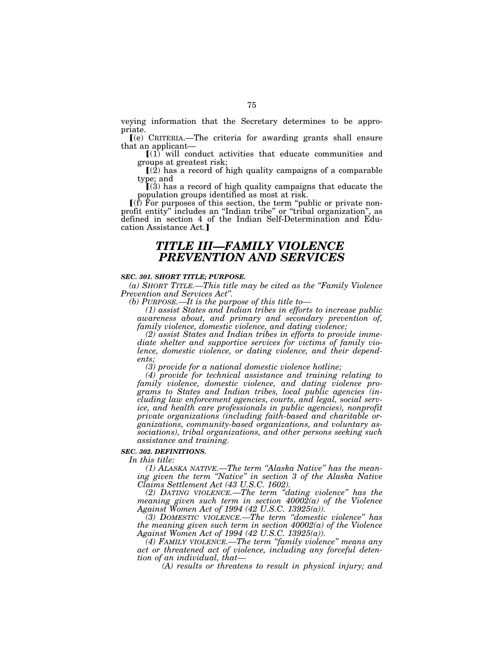veying information that the Secretary determines to be appropriate.

ø(e) CRITERIA.—The criteria for awarding grants shall ensure that an applicant—

 $[(1)$  will conduct activities that educate communities and groups at greatest risk;

 $\mathbb{I}(\overline{2})$  has a record of high quality campaigns of a comparable type; and

 $(3)$  has a record of high quality campaigns that educate the population groups identified as most at risk.

 $\left[\right]$ (f) For purposes of this section, the term "public or private nonprofit entity'' includes an ''Indian tribe'' or ''tribal organization'', as defined in section 4 of the Indian Self-Determination and Education Assistance Act.]

# *TITLE III—FAMILY VIOLENCE PREVENTION AND SERVICES*

#### *SEC. 301. SHORT TITLE; PURPOSE.*

*(a) SHORT TITLE.—This title may be cited as the ''Family Violence Prevention and Services Act''.* 

*(b) PURPOSE.—It is the purpose of this title to—* 

*(1) assist States and Indian tribes in efforts to increase public awareness about, and primary and secondary prevention of, family violence, domestic violence, and dating violence;* 

*(2) assist States and Indian tribes in efforts to provide immediate shelter and supportive services for victims of family violence, domestic violence, or dating violence, and their dependents;* 

*(3) provide for a national domestic violence hotline;* 

*(4) provide for technical assistance and training relating to family violence, domestic violence, and dating violence programs to States and Indian tribes, local public agencies (including law enforcement agencies, courts, and legal, social service, and health care professionals in public agencies), nonprofit private organizations (including faith-based and charitable organizations, community-based organizations, and voluntary associations), tribal organizations, and other persons seeking such assistance and training.* 

#### *SEC. 302. DEFINITIONS.*

*In this title:* 

*(1) ALASKA NATIVE.—The term ''Alaska Native'' has the meaning given the term ''Native'' in section 3 of the Alaska Native Claims Settlement Act (43 U.S.C. 1602).* 

*(2) DATING VIOLENCE.—The term ''dating violence'' has the meaning given such term in section 40002(a) of the Violence Against Women Act of 1994 (42 U.S.C. 13925(a)).* 

*(3) DOMESTIC VIOLENCE.—The term ''domestic violence'' has the meaning given such term in section 40002(a) of the Violence Against Women Act of 1994 (42 U.S.C. 13925(a)).* 

*(4) FAMILY VIOLENCE.—The term ''family violence'' means any act or threatened act of violence, including any forceful detention of an individual, that—* 

*(A) results or threatens to result in physical injury; and*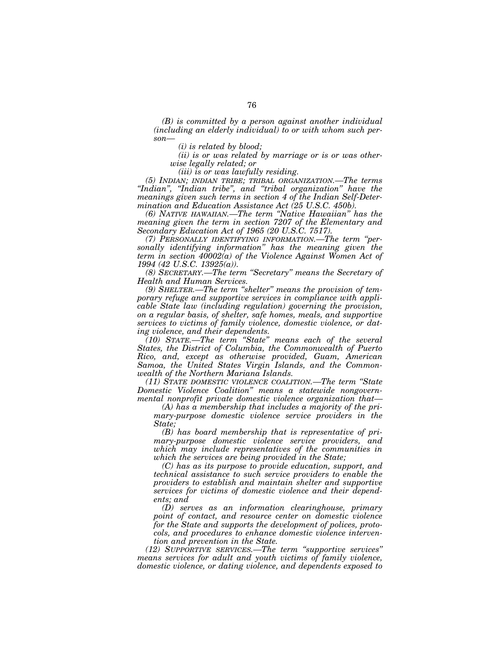*(B) is committed by a person against another individual (including an elderly individual) to or with whom such person—* 

*(i) is related by blood;* 

*(ii) is or was related by marriage or is or was otherwise legally related; or* 

*(iii) is or was lawfully residing.* 

*(5) INDIAN; INDIAN TRIBE; TRIBAL ORGANIZATION.—The terms ''Indian'', ''Indian tribe'', and ''tribal organization'' have the meanings given such terms in section 4 of the Indian Self-Determination and Education Assistance Act (25 U.S.C. 450b).* 

*(6) NATIVE HAWAIIAN.—The term ''Native Hawaiian'' has the meaning given the term in section 7207 of the Elementary and Secondary Education Act of 1965 (20 U.S.C. 7517).* 

*(7) PERSONALLY IDENTIFYING INFORMATION.—The term ''personally identifying information'' has the meaning given the term in section 40002(a) of the Violence Against Women Act of 1994 (42 U.S.C. 13925(a)).* 

*(8) SECRETARY.—The term ''Secretary'' means the Secretary of Health and Human Services.* 

*(9) SHELTER.—The term ''shelter'' means the provision of temporary refuge and supportive services in compliance with applicable State law (including regulation) governing the provision, on a regular basis, of shelter, safe homes, meals, and supportive services to victims of family violence, domestic violence, or dating violence, and their dependents.* 

*(10) STATE.—The term ''State'' means each of the several States, the District of Columbia, the Commonwealth of Puerto Rico, and, except as otherwise provided, Guam, American Samoa, the United States Virgin Islands, and the Commonwealth of the Northern Mariana Islands.* 

*(11) STATE DOMESTIC VIOLENCE COALITION.—The term ''State Domestic Violence Coalition'' means a statewide nongovernmental nonprofit private domestic violence organization that—* 

*(A) has a membership that includes a majority of the primary-purpose domestic violence service providers in the State;* 

*(B) has board membership that is representative of primary-purpose domestic violence service providers, and which may include representatives of the communities in which the services are being provided in the State;* 

*(C) has as its purpose to provide education, support, and technical assistance to such service providers to enable the providers to establish and maintain shelter and supportive services for victims of domestic violence and their dependents; and* 

*(D) serves as an information clearinghouse, primary point of contact, and resource center on domestic violence for the State and supports the development of polices, protocols, and procedures to enhance domestic violence intervention and prevention in the State.* 

*(12) SUPPORTIVE SERVICES.—The term ''supportive services'' means services for adult and youth victims of family violence, domestic violence, or dating violence, and dependents exposed to*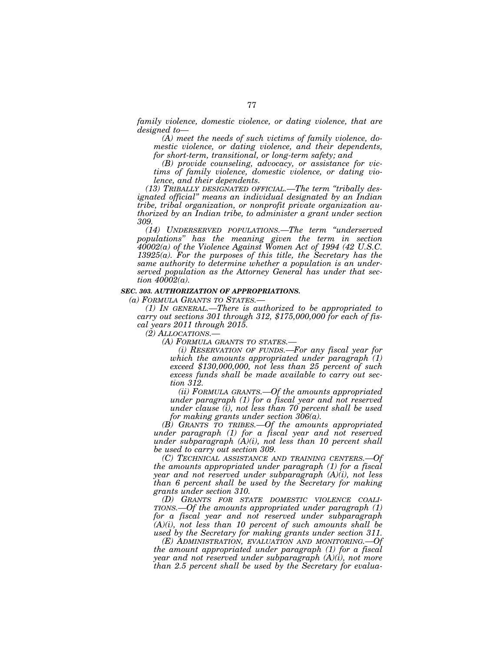*family violence, domestic violence, or dating violence, that are designed to—* 

*(A) meet the needs of such victims of family violence, domestic violence, or dating violence, and their dependents, for short-term, transitional, or long-term safety; and* 

*(B) provide counseling, advocacy, or assistance for victims of family violence, domestic violence, or dating violence, and their dependents.* 

*(13) TRIBALLY DESIGNATED OFFICIAL.—The term ''tribally designated official'' means an individual designated by an Indian tribe, tribal organization, or nonprofit private organization authorized by an Indian tribe, to administer a grant under section 309.* 

*(14) UNDERSERVED POPULATIONS.—The term ''underserved populations'' has the meaning given the term in section 40002(a) of the Violence Against Women Act of 1994 (42 U.S.C. 13925(a). For the purposes of this title, the Secretary has the same authority to determine whether a population is an underserved population as the Attorney General has under that section 40002(a).* 

### *SEC. 303. AUTHORIZATION OF APPROPRIATIONS.*

*(a) FORMULA GRANTS TO STATES.—* 

*(1) IN GENERAL.—There is authorized to be appropriated to carry out sections 301 through 312, \$175,000,000 for each of fiscal years 2011 through 2015.* 

*(2) ALLOCATIONS.—* 

*(A) FORMULA GRANTS TO STATES.—* 

*(i) RESERVATION OF FUNDS.—For any fiscal year for which the amounts appropriated under paragraph (1) exceed \$130,000,000, not less than 25 percent of such excess funds shall be made available to carry out section 312.* 

*(ii) FORMULA GRANTS.—Of the amounts appropriated under paragraph (1) for a fiscal year and not reserved under clause (i), not less than 70 percent shall be used for making grants under section 306(a).* 

*(B) GRANTS TO TRIBES.—Of the amounts appropriated under paragraph (1) for a fiscal year and not reserved under subparagraph (A)(i), not less than 10 percent shall be used to carry out section 309.* 

*(C) TECHNICAL ASSISTANCE AND TRAINING CENTERS.—Of the amounts appropriated under paragraph (1) for a fiscal year and not reserved under subparagraph (A)(i), not less than 6 percent shall be used by the Secretary for making grants under section 310.* 

*(D) GRANTS FOR STATE DOMESTIC VIOLENCE COALI-TIONS.—Of the amounts appropriated under paragraph (1) for a fiscal year and not reserved under subparagraph (A)(i), not less than 10 percent of such amounts shall be used by the Secretary for making grants under section 311.* 

*(E) ADMINISTRATION, EVALUATION AND MONITORING.—Of the amount appropriated under paragraph (1) for a fiscal year and not reserved under subparagraph (A)(i), not more than 2.5 percent shall be used by the Secretary for evalua-*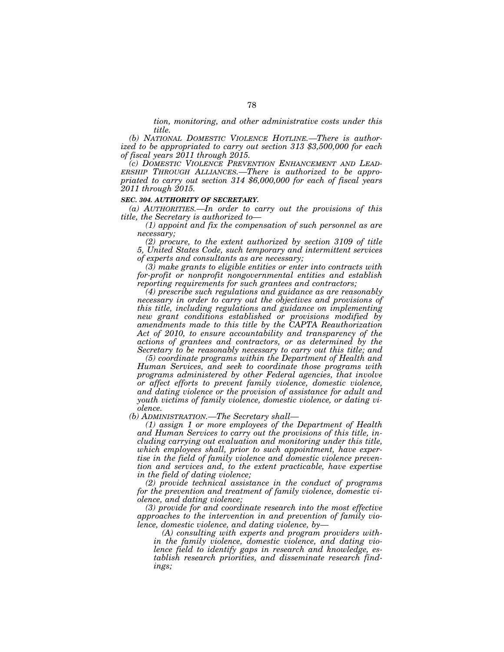*tion, monitoring, and other administrative costs under this title.* 

*(b) NATIONAL DOMESTIC VIOLENCE HOTLINE.—There is authorized to be appropriated to carry out section 313 \$3,500,000 for each of fiscal years 2011 through 2015.* 

*(c) DOMESTIC VIOLENCE PREVENTION ENHANCEMENT AND LEAD-ERSHIP THROUGH ALLIANCES.—There is authorized to be appropriated to carry out section 314 \$6,000,000 for each of fiscal years 2011 through 2015.* 

#### *SEC. 304. AUTHORITY OF SECRETARY.*

*(a) AUTHORITIES.—In order to carry out the provisions of this title, the Secretary is authorized to—* 

*(1) appoint and fix the compensation of such personnel as are necessary;* 

*(2) procure, to the extent authorized by section 3109 of title 5, United States Code, such temporary and intermittent services of experts and consultants as are necessary;* 

*(3) make grants to eligible entities or enter into contracts with for-profit or nonprofit nongovernmental entities and establish reporting requirements for such grantees and contractors;* 

*(4) prescribe such regulations and guidance as are reasonably necessary in order to carry out the objectives and provisions of this title, including regulations and guidance on implementing new grant conditions established or provisions modified by amendments made to this title by the CAPTA Reauthorization Act of 2010, to ensure accountability and transparency of the actions of grantees and contractors, or as determined by the Secretary to be reasonably necessary to carry out this title; and* 

*(5) coordinate programs within the Department of Health and Human Services, and seek to coordinate those programs with programs administered by other Federal agencies, that involve or affect efforts to prevent family violence, domestic violence, and dating violence or the provision of assistance for adult and youth victims of family violence, domestic violence, or dating violence.* 

*(b) ADMINISTRATION.—The Secretary shall—* 

*(1) assign 1 or more employees of the Department of Health and Human Services to carry out the provisions of this title, including carrying out evaluation and monitoring under this title, which employees shall, prior to such appointment, have expertise in the field of family violence and domestic violence prevention and services and, to the extent practicable, have expertise in the field of dating violence;* 

*(2) provide technical assistance in the conduct of programs for the prevention and treatment of family violence, domestic violence, and dating violence;* 

*(3) provide for and coordinate research into the most effective approaches to the intervention in and prevention of family violence, domestic violence, and dating violence, by—* 

*(A) consulting with experts and program providers within the family violence, domestic violence, and dating violence field to identify gaps in research and knowledge, establish research priorities, and disseminate research findings;*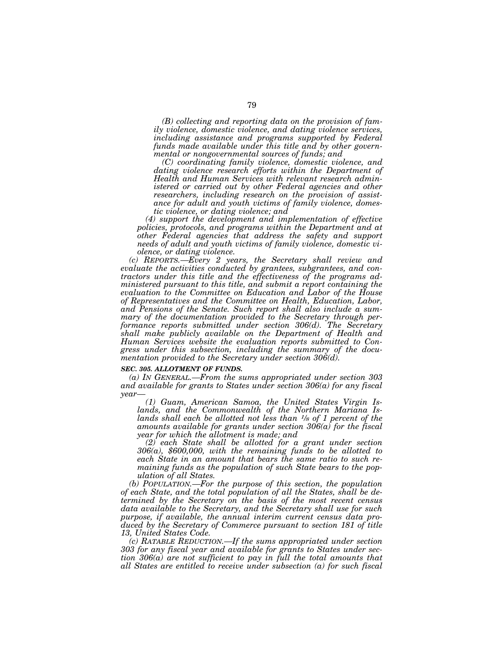*(B) collecting and reporting data on the provision of family violence, domestic violence, and dating violence services, including assistance and programs supported by Federal funds made available under this title and by other governmental or nongovernmental sources of funds; and* 

*(C) coordinating family violence, domestic violence, and*  dating violence research efforts within the Department of *Health and Human Services with relevant research administered or carried out by other Federal agencies and other researchers, including research on the provision of assistance for adult and youth victims of family violence, domestic violence, or dating violence; and* 

*(4) support the development and implementation of effective policies, protocols, and programs within the Department and at other Federal agencies that address the safety and support needs of adult and youth victims of family violence, domestic violence, or dating violence.* 

*(c) REPORTS.—Every 2 years, the Secretary shall review and evaluate the activities conducted by grantees, subgrantees, and contractors under this title and the effectiveness of the programs administered pursuant to this title, and submit a report containing the evaluation to the Committee on Education and Labor of the House of Representatives and the Committee on Health, Education, Labor, and Pensions of the Senate. Such report shall also include a summary of the documentation provided to the Secretary through performance reports submitted under section 306(d). The Secretary shall make publicly available on the Department of Health and Human Services website the evaluation reports submitted to Congress under this subsection, including the summary of the documentation provided to the Secretary under section 306(d).* 

## *SEC. 305. ALLOTMENT OF FUNDS.*

*(a) IN GENERAL.—From the sums appropriated under section 303 and available for grants to States under section 306(a) for any fiscal year—* 

*(1) Guam, American Samoa, the United States Virgin Islands, and the Commonwealth of the Northern Mariana Islands shall each be allotted not less than 1⁄8 of 1 percent of the amounts available for grants under section 306(a) for the fiscal year for which the allotment is made; and* 

*(2) each State shall be allotted for a grant under section 306(a), \$600,000, with the remaining funds to be allotted to each State in an amount that bears the same ratio to such remaining funds as the population of such State bears to the population of all States.* 

*(b) POPULATION.—For the purpose of this section, the population of each State, and the total population of all the States, shall be determined by the Secretary on the basis of the most recent census data available to the Secretary, and the Secretary shall use for such purpose, if available, the annual interim current census data produced by the Secretary of Commerce pursuant to section 181 of title 13, United States Code.* 

*(c) RATABLE REDUCTION.—If the sums appropriated under section 303 for any fiscal year and available for grants to States under section 306(a) are not sufficient to pay in full the total amounts that all States are entitled to receive under subsection (a) for such fiscal*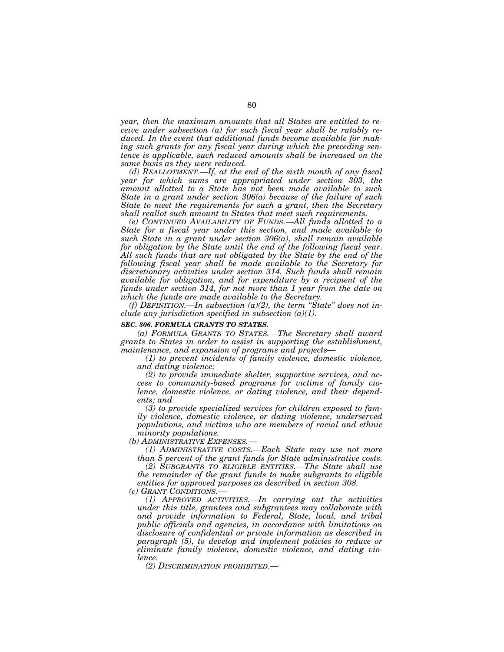*year, then the maximum amounts that all States are entitled to receive under subsection (a) for such fiscal year shall be ratably reduced. In the event that additional funds become available for making such grants for any fiscal year during which the preceding sentence is applicable, such reduced amounts shall be increased on the same basis as they were reduced.* 

*(d) REALLOTMENT.—If, at the end of the sixth month of any fiscal year for which sums are appropriated under section 303, the amount allotted to a State has not been made available to such State in a grant under section 306(a) because of the failure of such State to meet the requirements for such a grant, then the Secretary shall reallot such amount to States that meet such requirements.* 

*(e) CONTINUED AVAILABILITY OF FUNDS.—All funds allotted to a State for a fiscal year under this section, and made available to such State in a grant under section 306(a), shall remain available for obligation by the State until the end of the following fiscal year. All such funds that are not obligated by the State by the end of the following fiscal year shall be made available to the Secretary for discretionary activities under section 314. Such funds shall remain available for obligation, and for expenditure by a recipient of the funds under section 314, for not more than 1 year from the date on which the funds are made available to the Secretary.* 

*(f) DEFINITION.—In subsection (a)(2), the term ''State'' does not include any jurisdiction specified in subsection (a)(1).* 

#### *SEC. 306. FORMULA GRANTS TO STATES.*

*(a) FORMULA GRANTS TO STATES.—The Secretary shall award grants to States in order to assist in supporting the establishment, maintenance, and expansion of programs and projects—* 

*(1) to prevent incidents of family violence, domestic violence, and dating violence;* 

*(2) to provide immediate shelter, supportive services, and access to community-based programs for victims of family violence, domestic violence, or dating violence, and their dependents; and* 

*(3) to provide specialized services for children exposed to family violence, domestic violence, or dating violence, underserved populations, and victims who are members of racial and ethnic minority populations.* 

*(b) ADMINISTRATIVE EXPENSES.—* 

*(1) ADMINISTRATIVE COSTS.—Each State may use not more than 5 percent of the grant funds for State administrative costs.* 

*(2) SUBGRANTS TO ELIGIBLE ENTITIES.—The State shall use the remainder of the grant funds to make subgrants to eligible entities for approved purposes as described in section 308.* 

*(c) GRANT CONDITIONS.—* 

*(1) APPROVED ACTIVITIES.—In carrying out the activities under this title, grantees and subgrantees may collaborate with and provide information to Federal, State, local, and tribal public officials and agencies, in accordance with limitations on disclosure of confidential or private information as described in paragraph (5), to develop and implement policies to reduce or eliminate family violence, domestic violence, and dating violence.* 

*(2) DISCRIMINATION PROHIBITED.—*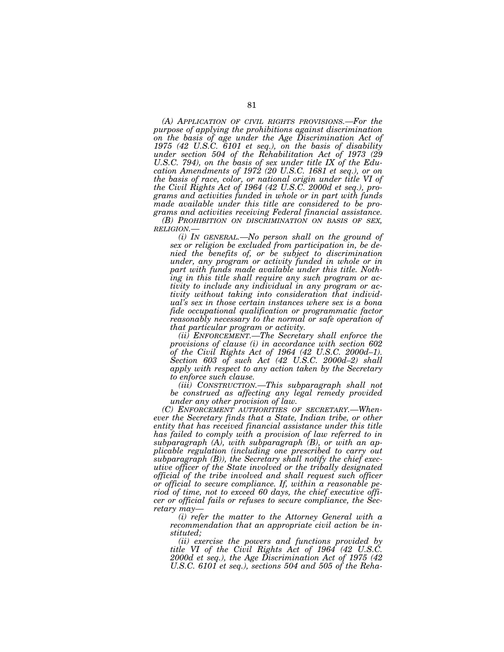*(A) APPLICATION OF CIVIL RIGHTS PROVISIONS.—For the purpose of applying the prohibitions against discrimination on the basis of age under the Age Discrimination Act of 1975 (42 U.S.C. 6101 et seq.), on the basis of disability under section 504 of the Rehabilitation Act of 1973 (29 U.S.C. 794), on the basis of sex under title IX of the Education Amendments of 1972 (20 U.S.C. 1681 et seq.), or on the basis of race, color, or national origin under title VI of the Civil Rights Act of 1964 (42 U.S.C. 2000d et seq.), programs and activities funded in whole or in part with funds made available under this title are considered to be programs and activities receiving Federal financial assistance.* 

*(B) PROHIBITION ON DISCRIMINATION ON BASIS OF SEX, RELIGION.— (i) IN GENERAL.—No person shall on the ground of* 

*sex or religion be excluded from participation in, be denied the benefits of, or be subject to discrimination under, any program or activity funded in whole or in part with funds made available under this title. Nothing in this title shall require any such program or activity to include any individual in any program or activity without taking into consideration that individual's sex in those certain instances where sex is a bona fide occupational qualification or programmatic factor reasonably necessary to the normal or safe operation of that particular program or activity.* 

*(ii) ENFORCEMENT.—The Secretary shall enforce the provisions of clause (i) in accordance with section 602 of the Civil Rights Act of 1964 (42 U.S.C. 2000d–1). Section 603 of such Act (42 U.S.C. 2000d–2) shall apply with respect to any action taken by the Secretary to enforce such clause.* 

*(iii) CONSTRUCTION.—This subparagraph shall not be construed as affecting any legal remedy provided under any other provision of law.* 

*(C) ENFORCEMENT AUTHORITIES OF SECRETARY.—Whenever the Secretary finds that a State, Indian tribe, or other entity that has received financial assistance under this title has failed to comply with a provision of law referred to in subparagraph (A), with subparagraph (B), or with an applicable regulation (including one prescribed to carry out subparagraph (B)), the Secretary shall notify the chief executive officer of the State involved or the tribally designated official of the tribe involved and shall request such officer or official to secure compliance. If, within a reasonable period of time, not to exceed 60 days, the chief executive officer or official fails or refuses to secure compliance, the Secretary may—* 

*(i) refer the matter to the Attorney General with a recommendation that an appropriate civil action be instituted;* 

*(ii) exercise the powers and functions provided by title VI of the Civil Rights Act of 1964 (42 U.S.C. 2000d et seq.), the Age Discrimination Act of 1975 (42 U.S.C. 6101 et seq.), sections 504 and 505 of the Reha-*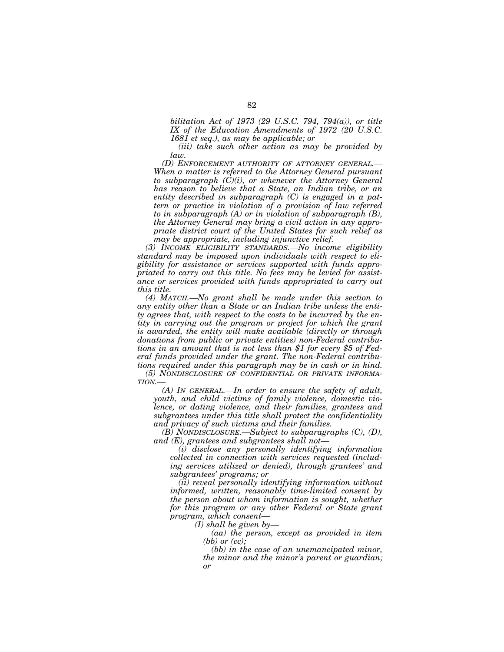*bilitation Act of 1973 (29 U.S.C. 794, 794(a)), or title IX of the Education Amendments of 1972 (20 U.S.C. 1681 et seq.), as may be applicable; or* 

*(iii) take such other action as may be provided by law.* 

*(D) ENFORCEMENT AUTHORITY OF ATTORNEY GENERAL.— When a matter is referred to the Attorney General pursuant to subparagraph (C)(i), or whenever the Attorney General has reason to believe that a State, an Indian tribe, or an entity described in subparagraph (C) is engaged in a pattern or practice in violation of a provision of law referred to in subparagraph (A) or in violation of subparagraph (B), the Attorney General may bring a civil action in any appropriate district court of the United States for such relief as may be appropriate, including injunctive relief.* 

*(3) INCOME ELIGIBILITY STANDARDS.—No income eligibility standard may be imposed upon individuals with respect to eligibility for assistance or services supported with funds appropriated to carry out this title. No fees may be levied for assistance or services provided with funds appropriated to carry out this title.* 

*(4) MATCH.—No grant shall be made under this section to any entity other than a State or an Indian tribe unless the entity agrees that, with respect to the costs to be incurred by the entity in carrying out the program or project for which the grant is awarded, the entity will make available (directly or through donations from public or private entities) non-Federal contributions in an amount that is not less than \$1 for every \$5 of Federal funds provided under the grant. The non-Federal contributions required under this paragraph may be in cash or in kind.* 

*(5) NONDISCLOSURE OF CONFIDENTIAL OR PRIVATE INFORMA-TION.—* 

*(A) IN GENERAL.—In order to ensure the safety of adult, youth, and child victims of family violence, domestic violence, or dating violence, and their families, grantees and subgrantees under this title shall protect the confidentiality and privacy of such victims and their families.* 

*(B) NONDISCLOSURE.—Subject to subparagraphs (C), (D), and (E), grantees and subgrantees shall not—* 

*(i) disclose any personally identifying information collected in connection with services requested (including services utilized or denied), through grantees' and subgrantees' programs; or* 

*(ii) reveal personally identifying information without informed, written, reasonably time-limited consent by the person about whom information is sought, whether for this program or any other Federal or State grant program, which consent—* 

*(I) shall be given by—* 

*(aa) the person, except as provided in item (bb) or (cc);* 

*(bb) in the case of an unemancipated minor, the minor and the minor's parent or guardian; or*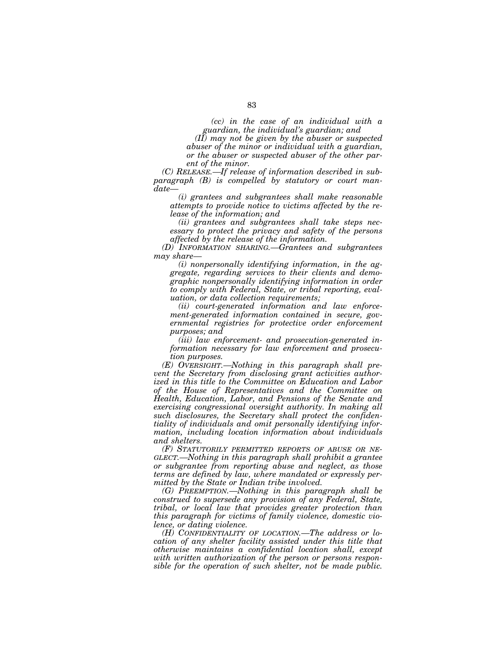*(cc) in the case of an individual with a guardian, the individual's guardian; and* 

*(II) may not be given by the abuser or suspected abuser of the minor or individual with a guardian, or the abuser or suspected abuser of the other parent of the minor.* 

*(C) RELEASE.—If release of information described in subparagraph (B) is compelled by statutory or court mandate—* 

*(i) grantees and subgrantees shall make reasonable attempts to provide notice to victims affected by the release of the information; and* 

*(ii) grantees and subgrantees shall take steps necessary to protect the privacy and safety of the persons affected by the release of the information.* 

*(D) INFORMATION SHARING.—Grantees and subgrantees may share—* 

*(i) nonpersonally identifying information, in the aggregate, regarding services to their clients and demographic nonpersonally identifying information in order to comply with Federal, State, or tribal reporting, evaluation, or data collection requirements;* 

*(ii) court-generated information and law enforcement-generated information contained in secure, governmental registries for protective order enforcement purposes; and* 

*(iii) law enforcement- and prosecution-generated information necessary for law enforcement and prosecution purposes.* 

*(E) OVERSIGHT.—Nothing in this paragraph shall prevent the Secretary from disclosing grant activities authorized in this title to the Committee on Education and Labor of the House of Representatives and the Committee on Health, Education, Labor, and Pensions of the Senate and exercising congressional oversight authority. In making all such disclosures, the Secretary shall protect the confidentiality of individuals and omit personally identifying information, including location information about individuals and shelters.* 

*(F) STATUTORILY PERMITTED REPORTS OF ABUSE OR NE-GLECT.—Nothing in this paragraph shall prohibit a grantee or subgrantee from reporting abuse and neglect, as those terms are defined by law, where mandated or expressly permitted by the State or Indian tribe involved.* 

*(G) PREEMPTION.—Nothing in this paragraph shall be construed to supersede any provision of any Federal, State, tribal, or local law that provides greater protection than this paragraph for victims of family violence, domestic violence, or dating violence.* 

*(H) CONFIDENTIALITY OF LOCATION.—The address or location of any shelter facility assisted under this title that otherwise maintains a confidential location shall, except with written authorization of the person or persons responsible for the operation of such shelter, not be made public.*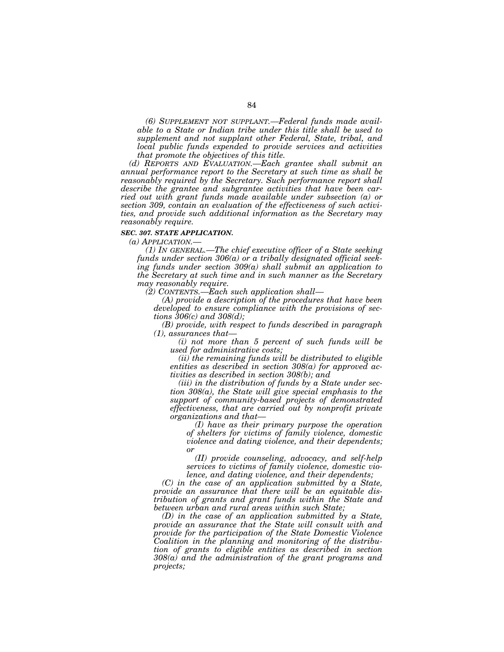*(6) SUPPLEMENT NOT SUPPLANT.—Federal funds made available to a State or Indian tribe under this title shall be used to supplement and not supplant other Federal, State, tribal, and local public funds expended to provide services and activities that promote the objectives of this title.* 

*(d) REPORTS AND EVALUATION.—Each grantee shall submit an annual performance report to the Secretary at such time as shall be reasonably required by the Secretary. Such performance report shall describe the grantee and subgrantee activities that have been carried out with grant funds made available under subsection (a) or section 309, contain an evaluation of the effectiveness of such activities, and provide such additional information as the Secretary may reasonably require.* 

#### *SEC. 307. STATE APPLICATION.*

*(a) APPLICATION.—* 

*(1) IN GENERAL.—The chief executive officer of a State seeking funds under section 306(a) or a tribally designated official seeking funds under section 309(a) shall submit an application to the Secretary at such time and in such manner as the Secretary may reasonably require.* 

*(2) CONTENTS.—Each such application shall—* 

*(A) provide a description of the procedures that have been developed to ensure compliance with the provisions of sections 306(c) and 308(d);* 

*(B) provide, with respect to funds described in paragraph (1), assurances that—* 

*(i) not more than 5 percent of such funds will be used for administrative costs;* 

*(ii) the remaining funds will be distributed to eligible entities as described in section 308(a) for approved activities as described in section 308(b); and* 

*(iii) in the distribution of funds by a State under section 308(a), the State will give special emphasis to the support of community-based projects of demonstrated effectiveness, that are carried out by nonprofit private organizations and that—* 

*(I) have as their primary purpose the operation of shelters for victims of family violence, domestic violence and dating violence, and their dependents; or* 

*(II) provide counseling, advocacy, and self-help services to victims of family violence, domestic violence, and dating violence, and their dependents;* 

*(C) in the case of an application submitted by a State, provide an assurance that there will be an equitable distribution of grants and grant funds within the State and between urban and rural areas within such State;* 

*(D) in the case of an application submitted by a State, provide an assurance that the State will consult with and provide for the participation of the State Domestic Violence Coalition in the planning and monitoring of the distribution of grants to eligible entities as described in section 308(a) and the administration of the grant programs and projects;*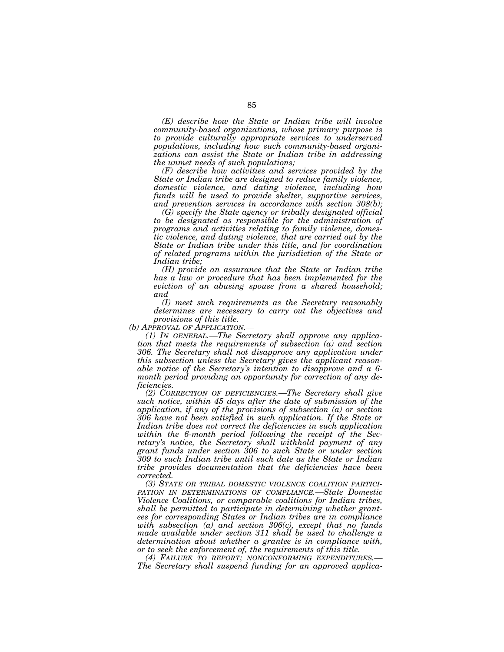*(E) describe how the State or Indian tribe will involve community-based organizations, whose primary purpose is to provide culturally appropriate services to underserved populations, including how such community-based organizations can assist the State or Indian tribe in addressing the unmet needs of such populations;* 

*(F) describe how activities and services provided by the State or Indian tribe are designed to reduce family violence, domestic violence, and dating violence, including how funds will be used to provide shelter, supportive services, and prevention services in accordance with section 308(b);* 

*(G) specify the State agency or tribally designated official to be designated as responsible for the administration of programs and activities relating to family violence, domestic violence, and dating violence, that are carried out by the State or Indian tribe under this title, and for coordination of related programs within the jurisdiction of the State or Indian tribe;* 

*(H) provide an assurance that the State or Indian tribe has a law or procedure that has been implemented for the eviction of an abusing spouse from a shared household; and* 

*(I) meet such requirements as the Secretary reasonably determines are necessary to carry out the objectives and* 

*provisions of this title.* 

*(1) In GENERAL.—The Secretary shall approve any application that meets the requirements of subsection (a) and section 306. The Secretary shall not disapprove any application under this subsection unless the Secretary gives the applicant reasonable notice of the Secretary's intention to disapprove and a 6 month period providing an opportunity for correction of any deficiencies.* 

*(2) CORRECTION OF DEFICIENCIES.—The Secretary shall give such notice, within 45 days after the date of submission of the application, if any of the provisions of subsection (a) or section 306 have not been satisfied in such application. If the State or*  Indian tribe does not correct the deficiencies in such application *within the 6-month period following the receipt of the Secretary's notice, the Secretary shall withhold payment of any grant funds under section 306 to such State or under section 309 to such Indian tribe until such date as the State or Indian tribe provides documentation that the deficiencies have been corrected.* 

*(3) STATE OR TRIBAL DOMESTIC VIOLENCE COALITION PARTICI-PATION IN DETERMINATIONS OF COMPLIANCE.—State Domestic Violence Coalitions, or comparable coalitions for Indian tribes, shall be permitted to participate in determining whether grantees for corresponding States or Indian tribes are in compliance with subsection (a) and section 306(c), except that no funds made available under section 311 shall be used to challenge a determination about whether a grantee is in compliance with, or to seek the enforcement of, the requirements of this title.* 

*(4) FAILURE TO REPORT; NONCONFORMING EXPENDITURES.— The Secretary shall suspend funding for an approved applica-*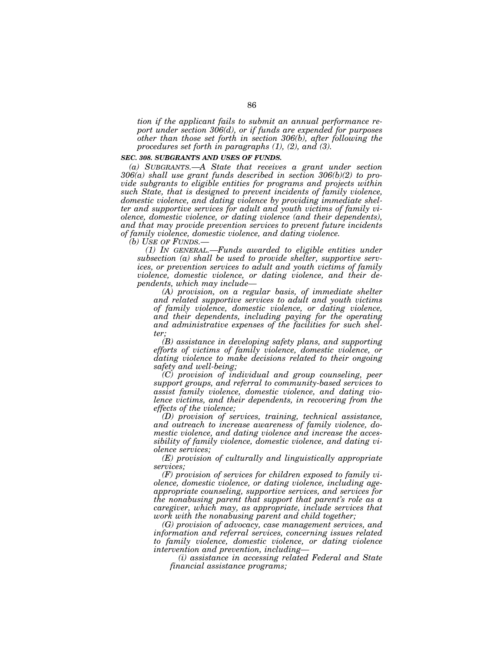*tion if the applicant fails to submit an annual performance report under section 306(d), or if funds are expended for purposes other than those set forth in section 306(b), after following the procedures set forth in paragraphs (1), (2), and (3).* 

### *SEC. 308. SUBGRANTS AND USES OF FUNDS.*

*(a) SUBGRANTS.—A State that receives a grant under section 306(a) shall use grant funds described in section 306(b)(2) to provide subgrants to eligible entities for programs and projects within such State, that is designed to prevent incidents of family violence, domestic violence, and dating violence by providing immediate shelter and supportive services for adult and youth victims of family violence, domestic violence, or dating violence (and their dependents), and that may provide prevention services to prevent future incidents of family violence, domestic violence, and dating violence.* 

*(b) USE OF FUNDS.—* 

*(1) IN GENERAL.—Funds awarded to eligible entities under subsection (a) shall be used to provide shelter, supportive services, or prevention services to adult and youth victims of family violence, domestic violence, or dating violence, and their dependents, which may include—* 

*(A) provision, on a regular basis, of immediate shelter and related supportive services to adult and youth victims of family violence, domestic violence, or dating violence, and their dependents, including paying for the operating and administrative expenses of the facilities for such shelter;* 

*(B) assistance in developing safety plans, and supporting efforts of victims of family violence, domestic violence, or dating violence to make decisions related to their ongoing safety and well-being;* 

*(C) provision of individual and group counseling, peer support groups, and referral to community-based services to assist family violence, domestic violence, and dating violence victims, and their dependents, in recovering from the effects of the violence;* 

*(D) provision of services, training, technical assistance, and outreach to increase awareness of family violence, domestic violence, and dating violence and increase the accessibility of family violence, domestic violence, and dating violence services;* 

*(E) provision of culturally and linguistically appropriate services;* 

*(F) provision of services for children exposed to family violence, domestic violence, or dating violence, including ageappropriate counseling, supportive services, and services for the nonabusing parent that support that parent's role as a caregiver, which may, as appropriate, include services that work with the nonabusing parent and child together;* 

*(G) provision of advocacy, case management services, and information and referral services, concerning issues related to family violence, domestic violence, or dating violence intervention and prevention, including—* 

*(i) assistance in accessing related Federal and State financial assistance programs;*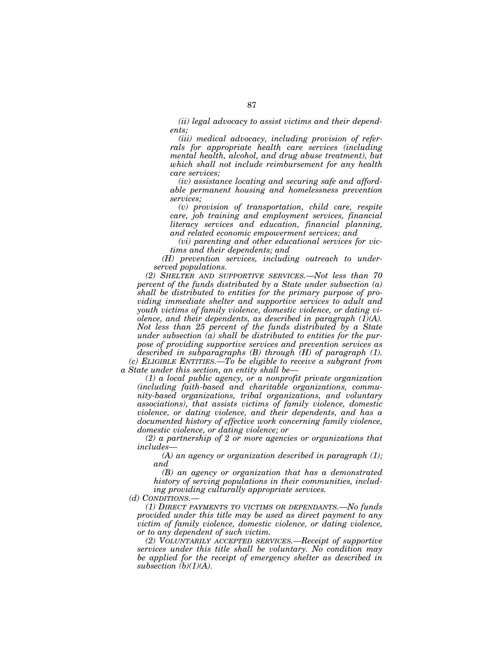*(ii) legal advocacy to assist victims and their dependents;* 

*(iii) medical advocacy, including provision of referrals for appropriate health care services (including mental health, alcohol, and drug abuse treatment), but which shall not include reimbursement for any health care services;* 

*(iv) assistance locating and securing safe and affordable permanent housing and homelessness prevention services;* 

*(v) provision of transportation, child care, respite care, job training and employment services, financial literacy services and education, financial planning, and related economic empowerment services; and* 

*(vi) parenting and other educational services for victims and their dependents; and* 

*(H) prevention services, including outreach to underserved populations.* 

*(2) SHELTER AND SUPPORTIVE SERVICES.—Not less than 70 percent of the funds distributed by a State under subsection (a) shall be distributed to entities for the primary purpose of providing immediate shelter and supportive services to adult and youth victims of family violence, domestic violence, or dating violence, and their dependents, as described in paragraph (1)(A). Not less than 25 percent of the funds distributed by a State under subsection (a) shall be distributed to entities for the purpose of providing supportive services and prevention services as described in subparagraphs (B) through (H) of paragraph (1). (c) ELIGIBLE ENTITIES.—To be eligible to receive a subgrant from* 

*a State under this section, an entity shall be—* 

*(1) a local public agency, or a nonprofit private organization (including faith-based and charitable organizations, community-based organizations, tribal organizations, and voluntary associations), that assists victims of family violence, domestic violence, or dating violence, and their dependents, and has a documented history of effective work concerning family violence, domestic violence, or dating violence; or* 

*(2) a partnership of 2 or more agencies or organizations that includes—* 

*(A) an agency or organization described in paragraph (1); and* 

*(B) an agency or organization that has a demonstrated history of serving populations in their communities, including providing culturally appropriate services.* 

*(d) CONDITIONS.—* 

*(1) DIRECT PAYMENTS TO VICTIMS OR DEPENDANTS.—No funds provided under this title may be used as direct payment to any victim of family violence, domestic violence, or dating violence, or to any dependent of such victim.* 

*(2) VOLUNTARILY ACCEPTED SERVICES.—Receipt of supportive services under this title shall be voluntary. No condition may be applied for the receipt of emergency shelter as described in subsection (b)(1)(A).*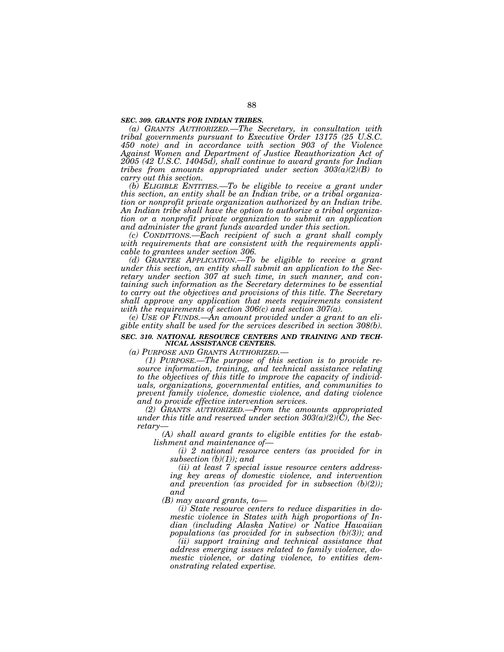#### *SEC. 309. GRANTS FOR INDIAN TRIBES.*

*(a) GRANTS AUTHORIZED.—The Secretary, in consultation with tribal governments pursuant to Executive Order 13175 (25 U.S.C. 450 note) and in accordance with section 903 of the Violence Against Women and Department of Justice Reauthorization Act of 2005 (42 U.S.C. 14045d), shall continue to award grants for Indian tribes from amounts appropriated under section 303(a)(2)(B) to carry out this section.* 

*(b) ELIGIBLE ENTITIES.—To be eligible to receive a grant under this section, an entity shall be an Indian tribe, or a tribal organization or nonprofit private organization authorized by an Indian tribe. An Indian tribe shall have the option to authorize a tribal organization or a nonprofit private organization to submit an application and administer the grant funds awarded under this section.* 

*(c) CONDITIONS.—Each recipient of such a grant shall comply with requirements that are consistent with the requirements applicable to grantees under section 306.* 

*(d) GRANTEE APPLICATION.—To be eligible to receive a grant under this section, an entity shall submit an application to the Secretary under section 307 at such time, in such manner, and containing such information as the Secretary determines to be essential to carry out the objectives and provisions of this title. The Secretary shall approve any application that meets requirements consistent with the requirements of section 306(c) and section 307(a).* 

*(e) USE OF FUNDS.—An amount provided under a grant to an eligible entity shall be used for the services described in section 308(b).* 

#### *SEC. 310. NATIONAL RESOURCE CENTERS AND TRAINING AND TECH-NICAL ASSISTANCE CENTERS.*

*(a) PURPOSE AND GRANTS AUTHORIZED.—* 

*(1) PURPOSE.—The purpose of this section is to provide resource information, training, and technical assistance relating to the objectives of this title to improve the capacity of individuals, organizations, governmental entities, and communities to prevent family violence, domestic violence, and dating violence and to provide effective intervention services.* 

*(2) GRANTS AUTHORIZED.—From the amounts appropriated under this title and reserved under section*  $303(a)(2)(\tilde{C})$ *, the Secretary—* 

*(A) shall award grants to eligible entities for the establishment and maintenance of—* 

*(i) 2 national resource centers (as provided for in subsection (b)(1)); and* 

*(ii) at least 7 special issue resource centers addressing key areas of domestic violence, and intervention and prevention (as provided for in subsection (b)(2)); and* 

*(B) may award grants, to—* 

*(i) State resource centers to reduce disparities in domestic violence in States with high proportions of Indian (including Alaska Native) or Native Hawaiian populations (as provided for in subsection (b)(3)); and* 

*(ii) support training and technical assistance that address emerging issues related to family violence, domestic violence, or dating violence, to entities demonstrating related expertise.*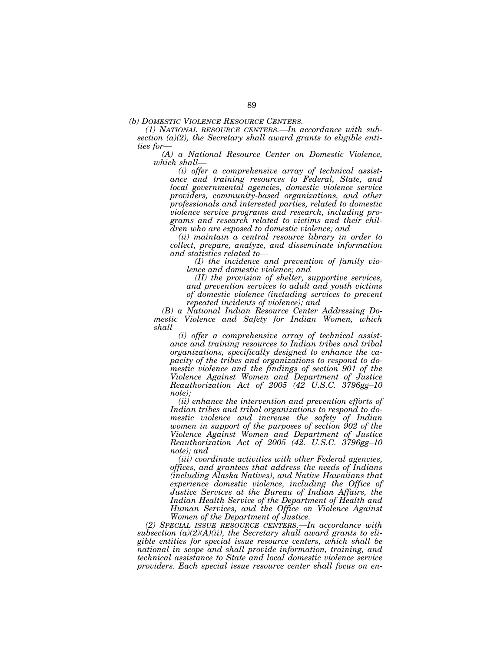*(b) DOMESTIC VIOLENCE RESOURCE CENTERS.— (1) NATIONAL RESOURCE CENTERS.—In accordance with subsection (a)(2), the Secretary shall award grants to eligible entities for—* 

*(A) a National Resource Center on Domestic Violence, which shall—* 

*(i) offer a comprehensive array of technical assistance and training resources to Federal, State, and local governmental agencies, domestic violence service providers, community-based organizations, and other professionals and interested parties, related to domestic violence service programs and research, including programs and research related to victims and their children who are exposed to domestic violence; and* 

*(ii) maintain a central resource library in order to collect, prepare, analyze, and disseminate information and statistics related to—* 

*(I) the incidence and prevention of family violence and domestic violence; and* 

*(II) the provision of shelter, supportive services, and prevention services to adult and youth victims of domestic violence (including services to prevent repeated incidents of violence); and* 

*(B) a National Indian Resource Center Addressing Domestic Violence and Safety for Indian Women, which shall—* 

*(i) offer a comprehensive array of technical assistance and training resources to Indian tribes and tribal organizations, specifically designed to enhance the capacity of the tribes and organizations to respond to domestic violence and the findings of section 901 of the Violence Against Women and Department of Justice Reauthorization Act of 2005 (42 U.S.C. 3796gg–10 note);* 

*(ii) enhance the intervention and prevention efforts of Indian tribes and tribal organizations to respond to domestic violence and increase the safety of Indian women in support of the purposes of section 902 of the Violence Against Women and Department of Justice Reauthorization Act of 2005 (42. U.S.C. 3796gg–10 note); and* 

*(iii) coordinate activities with other Federal agencies, offices, and grantees that address the needs of Indians (including Alaska Natives), and Native Hawaiians that experience domestic violence, including the Office of Justice Services at the Bureau of Indian Affairs, the Indian Health Service of the Department of Health and Human Services, and the Office on Violence Against Women of the Department of Justice.* 

*(2) SPECIAL ISSUE RESOURCE CENTERS.—In accordance with subsection (a)(2)(A)(ii), the Secretary shall award grants to eligible entities for special issue resource centers, which shall be national in scope and shall provide information, training, and technical assistance to State and local domestic violence service providers. Each special issue resource center shall focus on en-*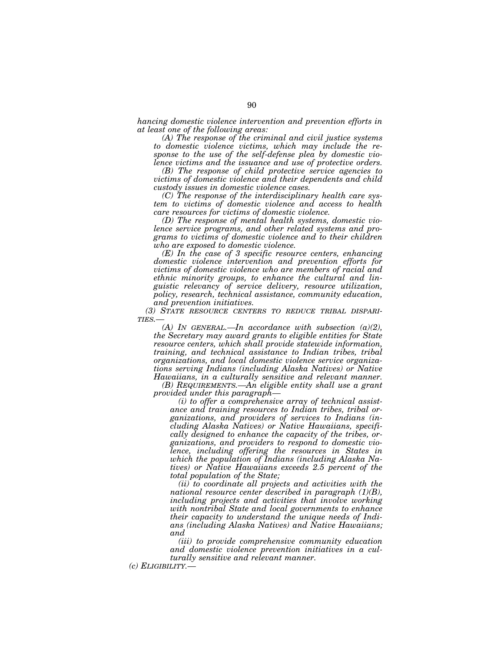*hancing domestic violence intervention and prevention efforts in at least one of the following areas:* 

*(A) The response of the criminal and civil justice systems to domestic violence victims, which may include the response to the use of the self-defense plea by domestic violence victims and the issuance and use of protective orders.* 

*(B) The response of child protective service agencies to victims of domestic violence and their dependents and child custody issues in domestic violence cases.* 

*(C) The response of the interdisciplinary health care system to victims of domestic violence and access to health care resources for victims of domestic violence.* 

*(D) The response of mental health systems, domestic violence service programs, and other related systems and programs to victims of domestic violence and to their children who are exposed to domestic violence.* 

*(E) In the case of 3 specific resource centers, enhancing domestic violence intervention and prevention efforts for victims of domestic violence who are members of racial and ethnic minority groups, to enhance the cultural and linguistic relevancy of service delivery, resource utilization, policy, research, technical assistance, community education, and prevention initiatives.* 

*(3) STATE RESOURCE CENTERS TO REDUCE TRIBAL DISPARI- TIES.— (A) IN GENERAL.—In accordance with subsection (a)(2),* 

*the Secretary may award grants to eligible entities for State resource centers, which shall provide statewide information, training, and technical assistance to Indian tribes, tribal organizations, and local domestic violence service organizations serving Indians (including Alaska Natives) or Native Hawaiians, in a culturally sensitive and relevant manner.* 

*(B) REQUIREMENTS.—An eligible entity shall use a grant provided under this paragraph—* 

*(i) to offer a comprehensive array of technical assistance and training resources to Indian tribes, tribal organizations, and providers of services to Indians (including Alaska Natives) or Native Hawaiians, specifically designed to enhance the capacity of the tribes, organizations, and providers to respond to domestic violence, including offering the resources in States in which the population of Indians (including Alaska Natives) or Native Hawaiians exceeds 2.5 percent of the total population of the State;* 

*(ii) to coordinate all projects and activities with the national resource center described in paragraph (1)(B), including projects and activities that involve working with nontribal State and local governments to enhance their capacity to understand the unique needs of Indians (including Alaska Natives) and Native Hawaiians; and* 

*(iii) to provide comprehensive community education and domestic violence prevention initiatives in a culturally sensitive and relevant manner.* 

*(c) ELIGIBILITY.—*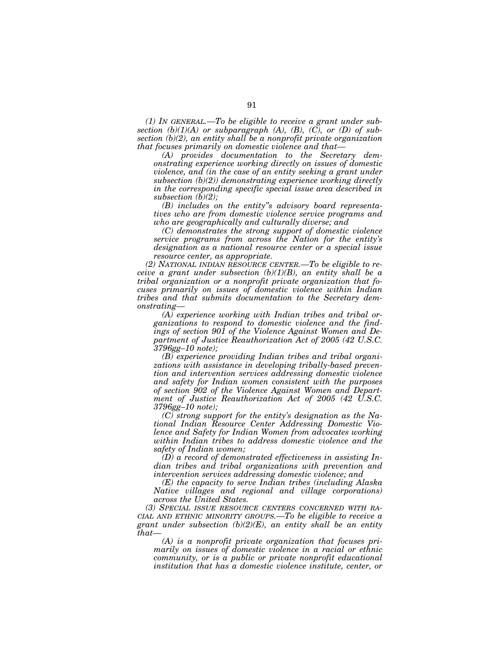*(1) IN GENERAL.—To be eligible to receive a grant under subsection (b)(1)(A) or subparagraph (A), (B), (C), or (D) of subsection (b)(2), an entity shall be a nonprofit private organization that focuses primarily on domestic violence and that—* 

*(A) provides documentation to the Secretary demonstrating experience working directly on issues of domestic violence, and (in the case of an entity seeking a grant under subsection (b)(2)) demonstrating experience working directly in the corresponding specific special issue area described in subsection (b)(2);* 

*(B) includes on the entity''s advisory board representatives who are from domestic violence service programs and who are geographically and culturally diverse; and* 

*(C) demonstrates the strong support of domestic violence service programs from across the Nation for the entity's designation as a national resource center or a special issue resource center, as appropriate.* 

*(2) NATIONAL INDIAN RESOURCE CENTER.—To be eligible to receive a grant under subsection (b)(1)(B), an entity shall be a tribal organization or a nonprofit private organization that focuses primarily on issues of domestic violence within Indian tribes and that submits documentation to the Secretary demonstrating—* 

*(A) experience working with Indian tribes and tribal organizations to respond to domestic violence and the findings of section 901 of the Violence Against Women and Department of Justice Reauthorization Act of 2005 (42 U.S.C. 3796gg–10 note);* 

*(B) experience providing Indian tribes and tribal organizations with assistance in developing tribally-based prevention and intervention services addressing domestic violence and safety for Indian women consistent with the purposes of section 902 of the Violence Against Women and Department of Justice Reauthorization Act of 2005 (42 U.S.C. 3796gg–10 note);* 

*(C) strong support for the entity's designation as the National Indian Resource Center Addressing Domestic Violence and Safety for Indian Women from advocates working within Indian tribes to address domestic violence and the safety of Indian women;* 

*(D) a record of demonstrated effectiveness in assisting Indian tribes and tribal organizations with prevention and intervention services addressing domestic violence; and* 

*(E) the capacity to serve Indian tribes (including Alaska Native villages and regional and village corporations) across the United States.* 

*(3) SPECIAL ISSUE RESOURCE CENTERS CONCERNED WITH RA-CIAL AND ETHNIC MINORITY GROUPS.—To be eligible to receive a grant under subsection (b)(2)(E), an entity shall be an entity that—* 

*(A) is a nonprofit private organization that focuses primarily on issues of domestic violence in a racial or ethnic community, or is a public or private nonprofit educational institution that has a domestic violence institute, center, or*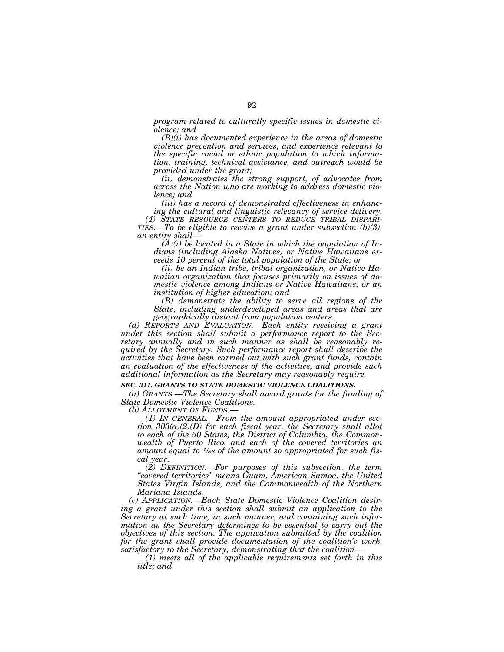*program related to culturally specific issues in domestic violence; and* 

*(B)(i) has documented experience in the areas of domestic violence prevention and services, and experience relevant to the specific racial or ethnic population to which information, training, technical assistance, and outreach would be provided under the grant;* 

*(ii) demonstrates the strong support, of advocates from across the Nation who are working to address domestic violence; and* 

*(iii) has a record of demonstrated effectiveness in enhancing the cultural and linguistic relevancy of service delivery.* 

*(4) STATE RESOURCE CENTERS TO REDUCE TRIBAL DISPARI- TIES.—To be eligible to receive a grant under subsection (b)(3), an entity shall—* 

*(A)(i) be located in a State in which the population of Indians (including Alaska Natives) or Native Hawaiians exceeds 10 percent of the total population of the State; or* 

*(ii) be an Indian tribe, tribal organization, or Native Hawaiian organization that focuses primarily on issues of domestic violence among Indians or Native Hawaiians, or an institution of higher education; and* 

*(B) demonstrate the ability to serve all regions of the State, including underdeveloped areas and areas that are geographically distant from population centers.* 

*(d) REPORTS AND EVALUATION.—Each entity receiving a grant under this section shall submit a performance report to the Secretary annually and in such manner as shall be reasonably required by the Secretary. Such performance report shall describe the activities that have been carried out with such grant funds, contain an evaluation of the effectiveness of the activities, and provide such additional information as the Secretary may reasonably require.* 

#### *SEC. 311. GRANTS TO STATE DOMESTIC VIOLENCE COALITIONS.*

*(a) GRANTS.—The Secretary shall award grants for the funding of State Domestic Violence Coalitions.* 

*(b) ALLOTMENT OF FUNDS.— (1) IN GENERAL.—From the amount appropriated under section 303(a)(2)(D) for each fiscal year, the Secretary shall allot to each of the 50 States, the District of Columbia, the Commonwealth of Puerto Rico, and each of the covered territories an amount equal to 1⁄56 of the amount so appropriated for such fiscal year.* 

*(2) DEFINITION.—For purposes of this subsection, the term ''covered territories'' means Guam, American Samoa, the United States Virgin Islands, and the Commonwealth of the Northern Mariana Islands.* 

*(c) APPLICATION.—Each State Domestic Violence Coalition desir*ing a grant under this section shall submit an application to the *Secretary at such time, in such manner, and containing such information as the Secretary determines to be essential to carry out the objectives of this section. The application submitted by the coalition for the grant shall provide documentation of the coalition's work, satisfactory to the Secretary, demonstrating that the coalition—* 

*(1) meets all of the applicable requirements set forth in this title; and*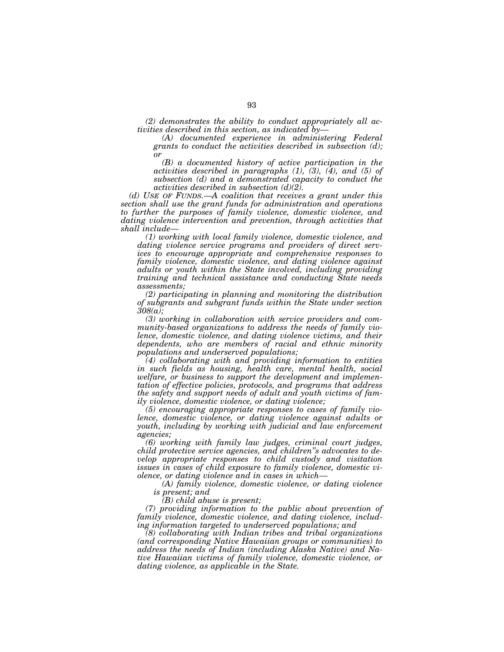*(2) demonstrates the ability to conduct appropriately all activities described in this section, as indicated by—* 

*(A) documented experience in administering Federal grants to conduct the activities described in subsection (d); or* 

*(B) a documented history of active participation in the activities described in paragraphs (1), (3), (4), and (5) of subsection (d) and a demonstrated capacity to conduct the activities described in subsection (d)(2).* 

*(d) USE OF FUNDS.—A coalition that receives a grant under this section shall use the grant funds for administration and operations to further the purposes of family violence, domestic violence, and dating violence intervention and prevention, through activities that shall include—* 

*(1) working with local family violence, domestic violence, and dating violence service programs and providers of direct services to encourage appropriate and comprehensive responses to family violence, domestic violence, and dating violence against adults or youth within the State involved, including providing training and technical assistance and conducting State needs assessments;* 

*(2) participating in planning and monitoring the distribution of subgrants and subgrant funds within the State under section 308(a);* 

*(3) working in collaboration with service providers and community-based organizations to address the needs of family violence, domestic violence, and dating violence victims, and their dependents, who are members of racial and ethnic minority populations and underserved populations;* 

*(4) collaborating with and providing information to entities in such fields as housing, health care, mental health, social welfare, or business to support the development and implementation of effective policies, protocols, and programs that address the safety and support needs of adult and youth victims of family violence, domestic violence, or dating violence;* 

*(5) encouraging appropriate responses to cases of family violence, domestic violence, or dating violence against adults or youth, including by working with judicial and law enforcement agencies;* 

*(6) working with family law judges, criminal court judges, child protective service agencies, and children''s advocates to develop appropriate responses to child custody and visitation issues in cases of child exposure to family violence, domestic violence, or dating violence and in cases in which—* 

*(A) family violence, domestic violence, or dating violence is present; and* 

*(B) child abuse is present;* 

*(7) providing information to the public about prevention of family violence, domestic violence, and dating violence, including information targeted to underserved populations; and* 

*(8) collaborating with Indian tribes and tribal organizations (and corresponding Native Hawaiian groups or communities) to address the needs of Indian (including Alaska Native) and Native Hawaiian victims of family violence, domestic violence, or dating violence, as applicable in the State.*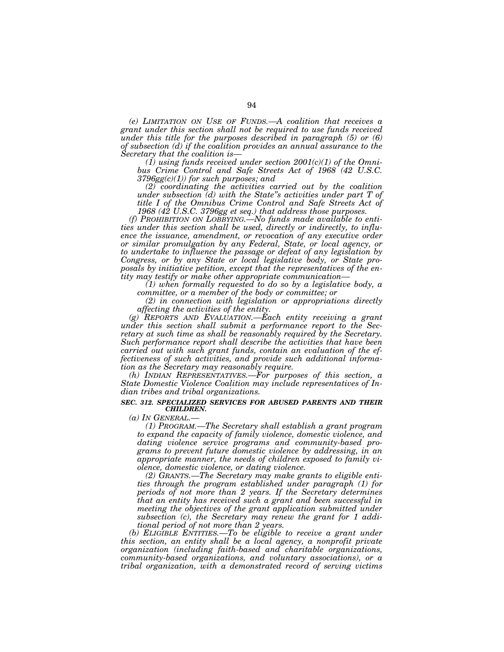*(e) LIMITATION ON USE OF FUNDS.—A coalition that receives a grant under this section shall not be required to use funds received under this title for the purposes described in paragraph (5) or (6) of subsection (d) if the coalition provides an annual assurance to the Secretary that the coalition is—* 

*(1) using funds received under section 2001(c)(1) of the Omnibus Crime Control and Safe Streets Act of 1968 (42 U.S.C. 3796gg(c)(1)) for such purposes; and* 

*(2) coordinating the activities carried out by the coalition under subsection (d) with the State''s activities under part T of title I of the Omnibus Crime Control and Safe Streets Act of 1968 (42 U.S.C. 3796gg et seq.) that address those purposes.* 

*(f) PROHIBITION ON LOBBYING.—No funds made available to entities under this section shall be used, directly or indirectly, to influence the issuance, amendment, or revocation of any executive order or similar promulgation by any Federal, State, or local agency, or to undertake to influence the passage or defeat of any legislation by Congress, or by any State or local legislative body, or State proposals by initiative petition, except that the representatives of the entity may testify or make other appropriate communication—* 

*(1) when formally requested to do so by a legislative body, a committee, or a member of the body or committee; or* 

*(2) in connection with legislation or appropriations directly affecting the activities of the entity.* 

*(g) REPORTS AND EVALUATION.—Each entity receiving a grant under this section shall submit a performance report to the Secretary at such time as shall be reasonably required by the Secretary. Such performance report shall describe the activities that have been carried out with such grant funds, contain an evaluation of the effectiveness of such activities, and provide such additional information as the Secretary may reasonably require.* 

*(h) INDIAN REPRESENTATIVES.—For purposes of this section, a State Domestic Violence Coalition may include representatives of Indian tribes and tribal organizations.* 

#### *SEC. 312. SPECIALIZED SERVICES FOR ABUSED PARENTS AND THEIR CHILDREN.*

*(a) IN GENERAL.—* 

*(1) PROGRAM.—The Secretary shall establish a grant program to expand the capacity of family violence, domestic violence, and dating violence service programs and community-based programs to prevent future domestic violence by addressing, in an appropriate manner, the needs of children exposed to family violence, domestic violence, or dating violence.* 

*(2) GRANTS.—The Secretary may make grants to eligible entities through the program established under paragraph (1) for periods of not more than 2 years. If the Secretary determines that an entity has received such a grant and been successful in meeting the objectives of the grant application submitted under subsection (c), the Secretary may renew the grant for 1 additional period of not more than 2 years.* 

*(b) ELIGIBLE ENTITIES.—To be eligible to receive a grant under this section, an entity shall be a local agency, a nonprofit private organization (including faith-based and charitable organizations, community-based organizations, and voluntary associations), or a tribal organization, with a demonstrated record of serving victims*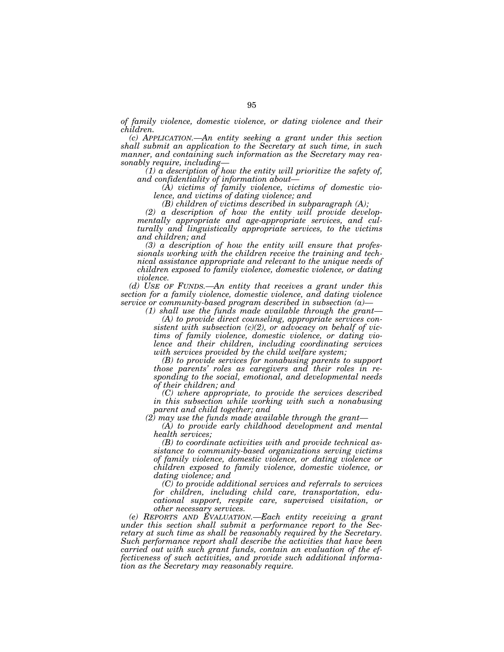*of family violence, domestic violence, or dating violence and their children.* 

*(c) APPLICATION.—An entity seeking a grant under this section shall submit an application to the Secretary at such time, in such manner, and containing such information as the Secretary may reasonably require, including—* 

 $(1)$  a description of how the entity will prioritize the safety of, *and confidentiality of information about—* 

*(A) victims of family violence, victims of domestic violence, and victims of dating violence; and* 

*(B) children of victims described in subparagraph (A);* 

*(2) a description of how the entity will provide developmentally appropriate and age-appropriate services, and culturally and linguistically appropriate services, to the victims and children; and* 

*(3) a description of how the entity will ensure that professionals working with the children receive the training and technical assistance appropriate and relevant to the unique needs of children exposed to family violence, domestic violence, or dating violence.* 

*(d) USE OF FUNDS.—An entity that receives a grant under this section for a family violence, domestic violence, and dating violence service or community-based program described in subsection (a)—* 

*(1) shall use the funds made available through the grant—* 

*(A) to provide direct counseling, appropriate services consistent with subsection (c)(2), or advocacy on behalf of victims of family violence, domestic violence, or dating violence and their children, including coordinating services with services provided by the child welfare system;* 

*(B) to provide services for nonabusing parents to support those parents' roles as caregivers and their roles in responding to the social, emotional, and developmental needs of their children; and* 

*(C) where appropriate, to provide the services described in this subsection while working with such a nonabusing parent and child together; and* 

*(2) may use the funds made available through the grant—* 

*(A) to provide early childhood development and mental health services;* 

*(B) to coordinate activities with and provide technical assistance to community-based organizations serving victims of family violence, domestic violence, or dating violence or children exposed to family violence, domestic violence, or dating violence; and* 

*(C) to provide additional services and referrals to services for children, including child care, transportation, educational support, respite care, supervised visitation, or other necessary services.* 

*(e) REPORTS AND EVALUATION.—Each entity receiving a grant under this section shall submit a performance report to the Secretary at such time as shall be reasonably required by the Secretary. Such performance report shall describe the activities that have been carried out with such grant funds, contain an evaluation of the effectiveness of such activities, and provide such additional information as the Secretary may reasonably require.*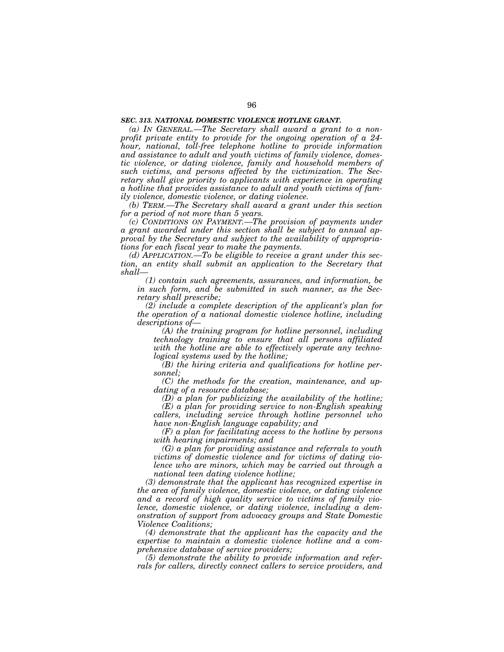## *SEC. 313. NATIONAL DOMESTIC VIOLENCE HOTLINE GRANT.*

*(a) IN GENERAL.—The Secretary shall award a grant to a nonprofit private entity to provide for the ongoing operation of a 24 hour, national, toll-free telephone hotline to provide information and assistance to adult and youth victims of family violence, domestic violence, or dating violence, family and household members of such victims, and persons affected by the victimization. The Secretary shall give priority to applicants with experience in operating a hotline that provides assistance to adult and youth victims of family violence, domestic violence, or dating violence.* 

*(b) TERM.—The Secretary shall award a grant under this section for a period of not more than 5 years.* 

*(c) CONDITIONS ON PAYMENT.—The provision of payments under a grant awarded under this section shall be subject to annual approval by the Secretary and subject to the availability of appropriations for each fiscal year to make the payments.* 

*(d) APPLICATION.—To be eligible to receive a grant under this section, an entity shall submit an application to the Secretary that shall—* 

*(1) contain such agreements, assurances, and information, be in such form, and be submitted in such manner, as the Secretary shall prescribe;* 

*(2) include a complete description of the applicant's plan for the operation of a national domestic violence hotline, including descriptions of—* 

*(A) the training program for hotline personnel, including technology training to ensure that all persons affiliated with the hotline are able to effectively operate any technological systems used by the hotline;* 

*(B) the hiring criteria and qualifications for hotline personnel;* 

*(C) the methods for the creation, maintenance, and updating of a resource database;* 

*(D) a plan for publicizing the availability of the hotline; (E) a plan for providing service to non-English speaking* 

*callers, including service through hotline personnel who have non-English language capability; and* 

*(F) a plan for facilitating access to the hotline by persons with hearing impairments; and* 

*(G) a plan for providing assistance and referrals to youth victims of domestic violence and for victims of dating violence who are minors, which may be carried out through a national teen dating violence hotline;* 

*(3) demonstrate that the applicant has recognized expertise in the area of family violence, domestic violence, or dating violence and a record of high quality service to victims of family violence, domestic violence, or dating violence, including a demonstration of support from advocacy groups and State Domestic Violence Coalitions;* 

*(4) demonstrate that the applicant has the capacity and the expertise to maintain a domestic violence hotline and a comprehensive database of service providers;* 

*(5) demonstrate the ability to provide information and referrals for callers, directly connect callers to service providers, and*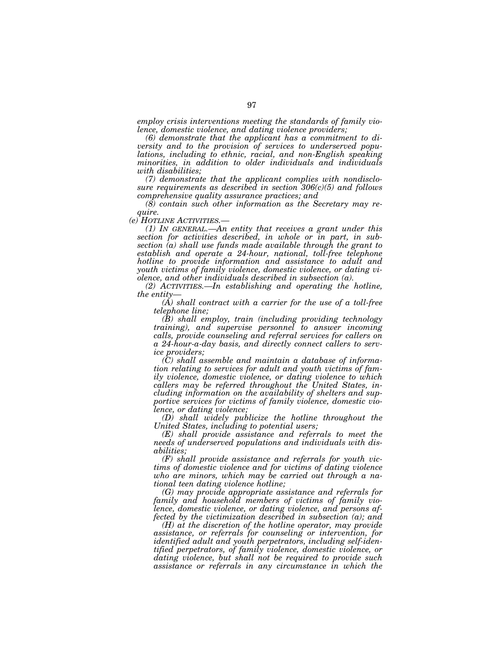*employ crisis interventions meeting the standards of family violence, domestic violence, and dating violence providers;* 

*(6) demonstrate that the applicant has a commitment to diversity and to the provision of services to underserved populations, including to ethnic, racial, and non-English speaking minorities, in addition to older individuals and individuals with disabilities;* 

*(7) demonstrate that the applicant complies with nondisclosure requirements as described in section 306(c)(5) and follows comprehensive quality assurance practices; and* 

*(8) contain such other information as the Secretary may require.* 

*(1) IN GENERAL.—An entity that receives a grant under this section for activities described, in whole or in part, in subsection (a) shall use funds made available through the grant to establish and operate a 24-hour, national, toll-free telephone hotline to provide information and assistance to adult and youth victims of family violence, domestic violence, or dating violence, and other individuals described in subsection (a).* 

*(2) ACTIVITIES.—In establishing and operating the hotline, the entity—* 

*(A) shall contract with a carrier for the use of a toll-free telephone line;* 

*(B) shall employ, train (including providing technology training), and supervise personnel to answer incoming calls, provide counseling and referral services for callers on a 24-hour-a-day basis, and directly connect callers to service providers;* 

*(C) shall assemble and maintain a database of information relating to services for adult and youth victims of family violence, domestic violence, or dating violence to which callers may be referred throughout the United States, including information on the availability of shelters and supportive services for victims of family violence, domestic violence, or dating violence;* 

*(D) shall widely publicize the hotline throughout the United States, including to potential users;* 

*(E) shall provide assistance and referrals to meet the needs of underserved populations and individuals with disabilities;* 

*(F) shall provide assistance and referrals for youth victims of domestic violence and for victims of dating violence who are minors, which may be carried out through a national teen dating violence hotline;* 

*(G) may provide appropriate assistance and referrals for family and household members of victims of family violence, domestic violence, or dating violence, and persons affected by the victimization described in subsection (a); and* 

*(H) at the discretion of the hotline operator, may provide assistance, or referrals for counseling or intervention, for identified adult and youth perpetrators, including self-identified perpetrators, of family violence, domestic violence, or dating violence, but shall not be required to provide such assistance or referrals in any circumstance in which the*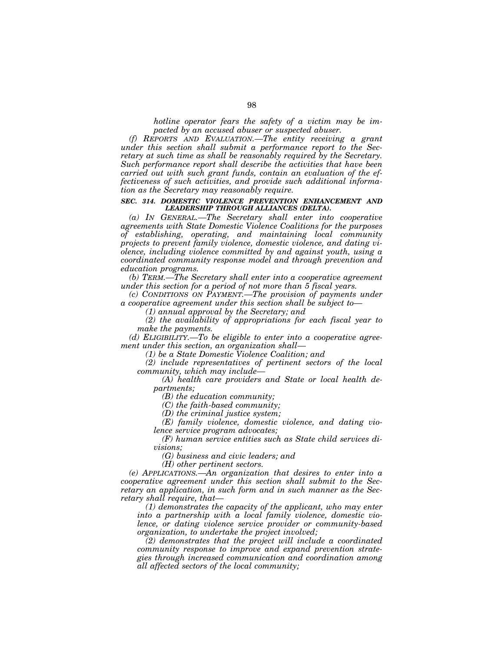*hotline operator fears the safety of a victim may be impacted by an accused abuser or suspected abuser.* 

*(f) REPORTS AND EVALUATION.—The entity receiving a grant under this section shall submit a performance report to the Secretary at such time as shall be reasonably required by the Secretary. Such performance report shall describe the activities that have been carried out with such grant funds, contain an evaluation of the effectiveness of such activities, and provide such additional information as the Secretary may reasonably require.* 

#### *SEC. 314. DOMESTIC VIOLENCE PREVENTION ENHANCEMENT AND LEADERSHIP THROUGH ALLIANCES (DELTA).*

*(a) IN GENERAL.—The Secretary shall enter into cooperative agreements with State Domestic Violence Coalitions for the purposes of establishing, operating, and maintaining local community projects to prevent family violence, domestic violence, and dating violence, including violence committed by and against youth, using a coordinated community response model and through prevention and education programs.* 

*(b) TERM.—The Secretary shall enter into a cooperative agreement under this section for a period of not more than 5 fiscal years.* 

*(c) CONDITIONS ON PAYMENT.—The provision of payments under a cooperative agreement under this section shall be subject to—* 

*(1) annual approval by the Secretary; and* 

*(2) the availability of appropriations for each fiscal year to make the payments.* 

*(d) ELIGIBILITY.—To be eligible to enter into a cooperative agreement under this section, an organization shall—* 

*(1) be a State Domestic Violence Coalition; and* 

*(2) include representatives of pertinent sectors of the local community, which may include—* 

*(A) health care providers and State or local health departments;* 

*(B) the education community;* 

*(C) the faith-based community;* 

*(D) the criminal justice system;* 

*(E) family violence, domestic violence, and dating violence service program advocates;* 

*(F) human service entities such as State child services divisions;* 

*(G) business and civic leaders; and* 

*(H) other pertinent sectors.* 

*(e) APPLICATIONS.—An organization that desires to enter into a cooperative agreement under this section shall submit to the Secretary an application, in such form and in such manner as the Secretary shall require, that—* 

*(1) demonstrates the capacity of the applicant, who may enter into a partnership with a local family violence, domestic violence, or dating violence service provider or community-based organization, to undertake the project involved;* 

*(2) demonstrates that the project will include a coordinated community response to improve and expand prevention strategies through increased communication and coordination among all affected sectors of the local community;*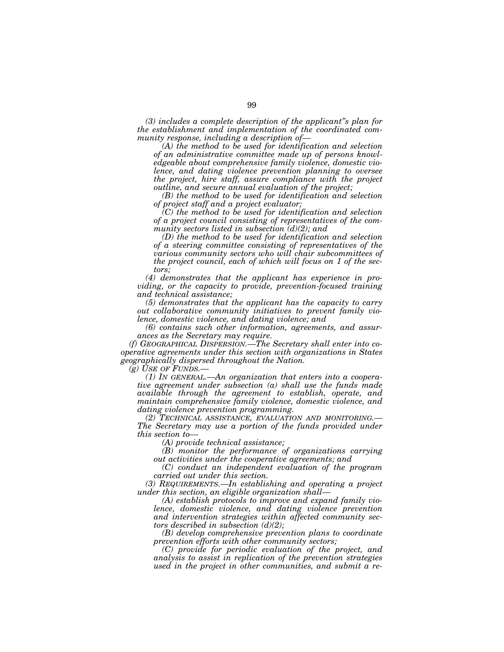*(3) includes a complete description of the applicant''s plan for the establishment and implementation of the coordinated community response, including a description of—* 

*(A) the method to be used for identification and selection of an administrative committee made up of persons knowledgeable about comprehensive family violence, domestic violence, and dating violence prevention planning to oversee the project, hire staff, assure compliance with the project outline, and secure annual evaluation of the project;* 

*(B) the method to be used for identification and selection of project staff and a project evaluator;* 

*(C) the method to be used for identification and selection of a project council consisting of representatives of the community sectors listed in subsection (d)(2); and* 

*(D) the method to be used for identification and selection of a steering committee consisting of representatives of the various community sectors who will chair subcommittees of the project council, each of which will focus on 1 of the sectors;* 

*(4) demonstrates that the applicant has experience in providing, or the capacity to provide, prevention-focused training and technical assistance;* 

*(5) demonstrates that the applicant has the capacity to carry out collaborative community initiatives to prevent family violence, domestic violence, and dating violence; and* 

*(6) contains such other information, agreements, and assurances as the Secretary may require.* 

*(f) GEOGRAPHICAL DISPERSION.—The Secretary shall enter into cooperative agreements under this section with organizations in States geographically dispersed throughout the Nation.* 

*(g) USE OF FUNDS.— (1) IN GENERAL.—An organization that enters into a cooperative agreement under subsection (a) shall use the funds made available through the agreement to establish, operate, and maintain comprehensive family violence, domestic violence, and dating violence prevention programming.*<br>
(2) TECHNICAL ASSISTANCE, EVALUATION AND MONITORING.

*The Secretary may use a portion of the funds provided under this section to—* 

*(A) provide technical assistance;* 

*(B) monitor the performance of organizations carrying out activities under the cooperative agreements; and* 

*(C) conduct an independent evaluation of the program carried out under this section.* 

*(3) REQUIREMENTS.—In establishing and operating a project under this section, an eligible organization shall—* 

*(A) establish protocols to improve and expand family violence, domestic violence, and dating violence prevention and intervention strategies within affected community sectors described in subsection (d)(2);* 

*(B) develop comprehensive prevention plans to coordinate prevention efforts with other community sectors;* 

*(C) provide for periodic evaluation of the project, and analysis to assist in replication of the prevention strategies used in the project in other communities, and submit a re-*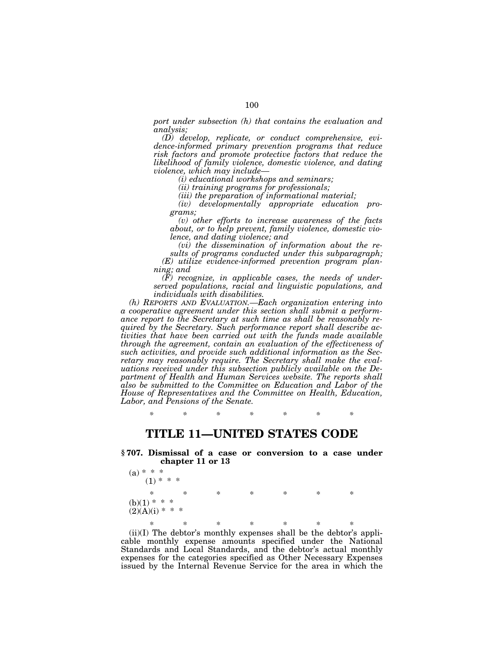*port under subsection (h) that contains the evaluation and analysis;* 

*(D) develop, replicate, or conduct comprehensive, evidence-informed primary prevention programs that reduce risk factors and promote protective factors that reduce the likelihood of family violence, domestic violence, and dating violence, which may include—* 

*(i) educational workshops and seminars;* 

*(ii) training programs for professionals;* 

*(iii) the preparation of informational material;* 

*(iv) developmentally appropriate education programs;* 

*(v) other efforts to increase awareness of the facts about, or to help prevent, family violence, domestic violence, and dating violence; and* 

*(vi) the dissemination of information about the results of programs conducted under this subparagraph; (E) utilize evidence-informed prevention program planning; and* 

*(F) recognize, in applicable cases, the needs of underserved populations, racial and linguistic populations, and individuals with disabilities.* 

*(h) REPORTS AND EVALUATION.—Each organization entering into a cooperative agreement under this section shall submit a performance report to the Secretary at such time as shall be reasonably required by the Secretary. Such performance report shall describe activities that have been carried out with the funds made available through the agreement, contain an evaluation of the effectiveness of such activities, and provide such additional information as the Secretary may reasonably require. The Secretary shall make the evaluations received under this subsection publicly available on the Department of Health and Human Services website. The reports shall also be submitted to the Committee on Education and Labor of the House of Representatives and the Committee on Health, Education, Labor, and Pensions of the Senate.* 

*\* \* \* \* \* \* \** 

## **TITLE 11—UNITED STATES CODE**

**§ 707. Dismissal of a case or conversion to a case under chapter 11 or 13** 

| (a) * * *<br>$(1)$ * * *            |        |        |   |   |   |   |  |
|-------------------------------------|--------|--------|---|---|---|---|--|
| $\ast$                              | $\ast$ | $\ast$ | ∗ | ∗ | ∗ | ∗ |  |
| $(b)(1) * * *$<br>$(2)(A)(i) * * *$ |        |        |   |   |   |   |  |
| *                                   | $\ast$ | $\ast$ | ∗ | ∗ | ∗ | ∗ |  |

(ii)(I) The debtor's monthly expenses shall be the debtor's applicable monthly expense amounts specified under the National Standards and Local Standards, and the debtor's actual monthly expenses for the categories specified as Other Necessary Expenses issued by the Internal Revenue Service for the area in which the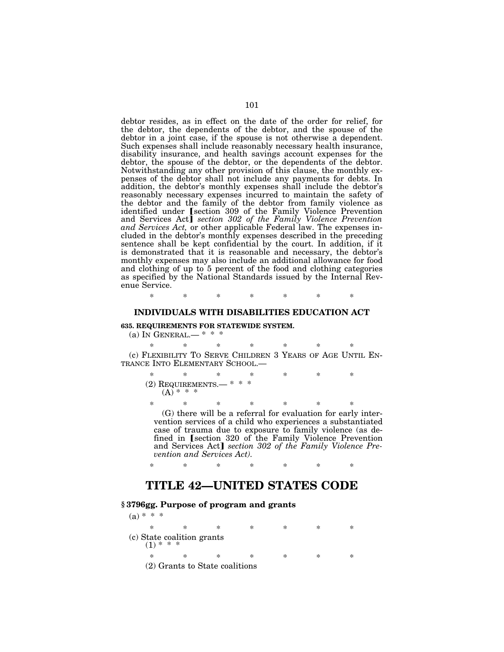debtor resides, as in effect on the date of the order for relief, for the debtor, the dependents of the debtor, and the spouse of the debtor in a joint case, if the spouse is not otherwise a dependent. Such expenses shall include reasonably necessary health insurance, disability insurance, and health savings account expenses for the debtor, the spouse of the debtor, or the dependents of the debtor. Notwithstanding any other provision of this clause, the monthly expenses of the debtor shall not include any payments for debts. In addition, the debtor's monthly expenses shall include the debtor's reasonably necessary expenses incurred to maintain the safety of the debtor and the family of the debtor from family violence as identified under *[section 309 of the Family Violence Prevention* and Services Act] *section 302 of the Family Violence Prevention and Services Act,* or other applicable Federal law. The expenses included in the debtor's monthly expenses described in the preceding sentence shall be kept confidential by the court. In addition, if it is demonstrated that it is reasonable and necessary, the debtor's monthly expenses may also include an additional allowance for food and clothing of up to 5 percent of the food and clothing categories as specified by the National Standards issued by the Internal Revenue Service.

\* \* \* \* \* \* \*

## **INDIVIDUALS WITH DISABILITIES EDUCATION ACT**

## **635. REQUIREMENTS FOR STATEWIDE SYSTEM.**

#### (a) IN GENERAL.—  $* * *$

\* \* \* \* \* \* \* (c) FLEXIBILITY TO SERVE CHILDREN 3 YEARS OF AGE UNTIL EN-TRANCE INTO ELEMENTARY SCHOOL.—

| $\ast$ |                                              |  | × | ж |  |
|--------|----------------------------------------------|--|---|---|--|
|        | $(2)$ REQUIREMENTS. $*$ * *<br>$(A) * * * *$ |  |   |   |  |

\* \* \* \* \* \* \* (G) there will be a referral for evaluation for early intervention services of a child who experiences a substantiated case of trauma due to exposure to family violence (as defined in [section 320 of the Family Violence Prevention and Services Act] section 302 of the Family Violence Pre*vention and Services Act).* 

\* \* \* \* \* \* \*

## **TITLE 42—UNITED STATES CODE**

## **§ 3796gg. Purpose of program and grants**

| $(a) * * *$                               |                                |   |           |   |        |  |
|-------------------------------------------|--------------------------------|---|-----------|---|--------|--|
| *                                         | ∗                              | * | $\ast$    | × | $\ast$ |  |
| (c) State coalition grants<br>$(1)$ * * * |                                |   |           |   |        |  |
| $\ast$                                    | $\ast$                         | * | $^{\ast}$ | ∗ | ∗      |  |
|                                           | (2) Grants to State coalitions |   |           |   |        |  |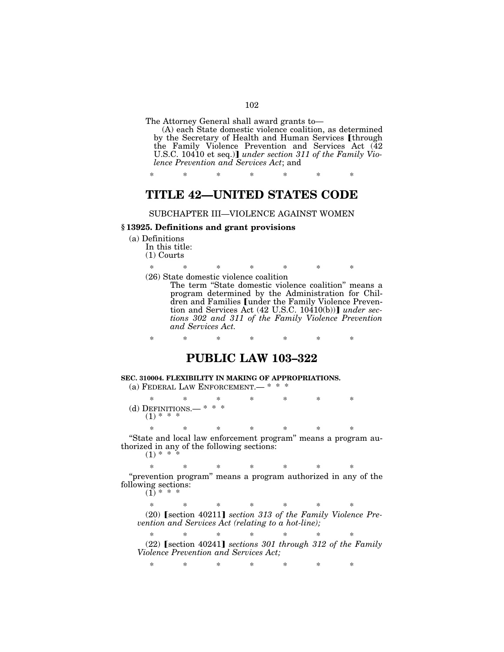The Attorney General shall award grants to—

(A) each State domestic violence coalition, as determined by the Secretary of Health and Human Services [through the Family Violence Prevention and Services Act (42 U.S.C. 10410 et seq.)] under section 311 of the Family Vio*lence Prevention and Services Act*; and

\* \* \* \* \* \* \*

## **TITLE 42—UNITED STATES CODE**

## SUBCHAPTER III—VIOLENCE AGAINST WOMEN

### **§ 13925. Definitions and grant provisions**

(a) Definitions

In this title: (1) Courts

\* \* \* \* \* \* \* (26) State domestic violence coalition

The term "State domestic violence coalition" means a program determined by the Administration for Children and Families *[under the Family Violence Preven*tion and Services Act  $(42 \text{ U.S.C. } 10410(b))$  *under sections 302 and 311 of the Family Violence Prevention and Services Act.* 

\* \* \* \* \* \* \*

# **PUBLIC LAW 103–322**

#### **SEC. 310004. FLEXIBILITY IN MAKING OF APPROPRIATIONS.**  (a) FEDERAL LAW ENFORCEMENT.— \* \* \*

\* \* \* \* \* \* \* (d) DEFINITIONS.—  $* * *$  $(1) * * * *$ 

\* \* \* \* \* \* \*

''State and local law enforcement program'' means a program authorized in any of the following sections:  $(1) * *$ 

\* \* \* \* \* \* \* "prevention program" means a program authorized in any of the following sections:

 $(1)$  \* \* \*

\* \* \* \* \* \* \* (20) **[section 40211]** section 313 of the Family Violence Pre*vention and Services Act (relating to a hot-line);* 

\* \* \* \* \* \* \* (22) øsection 40241¿ *sections 301 through 312 of the Family Violence Prevention and Services Act;* 

\* \* \* \* \* \* \*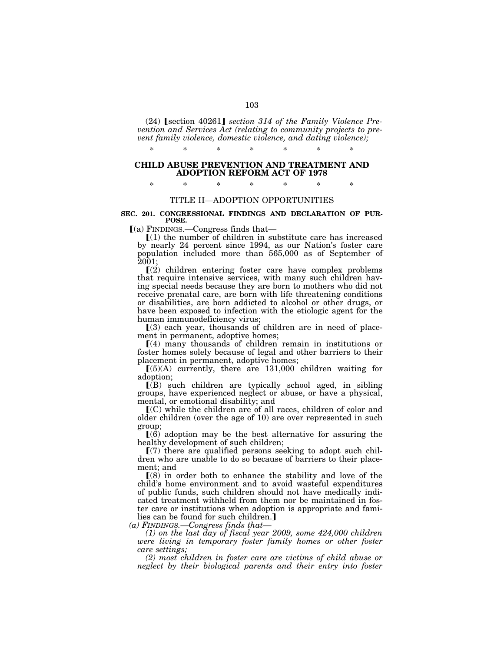(24) **[section 40261]** section 314 of the Family Violence Pre*vention and Services Act (relating to community projects to prevent family violence, domestic violence, and dating violence);* 

#### **CHILD ABUSE PREVENTION AND TREATMENT AND ADOPTION REFORM ACT OF 1978**

\* \* \* \* \* \* \*

## \* \* \* \* \* \* \*

## TITLE II—ADOPTION OPPORTUNITIES

#### **SEC. 201. CONGRESSIONAL FINDINGS AND DECLARATION OF PUR-POSE.**

 $(a)$  FINDINGS.—Congress finds that—

 $\lceil (1)$  the number of children in substitute care has increased by nearly 24 percent since 1994, as our Nation's foster care population included more than 565,000 as of September of  $\bar{2}0\bar{0}1;$ 

 $(2)$  children entering foster care have complex problems that require intensive services, with many such children having special needs because they are born to mothers who did not receive prenatal care, are born with life threatening conditions or disabilities, are born addicted to alcohol or other drugs, or have been exposed to infection with the etiologic agent for the human immunodeficiency virus;

 $(3)$  each year, thousands of children are in need of placement in permanent, adoptive homes;

ø(4) many thousands of children remain in institutions or foster homes solely because of legal and other barriers to their placement in permanent, adoptive homes;

 $(5)(A)$  currently, there are 131,000 children waiting for adoption;

 $\overline{B}$  such children are typically school aged, in sibling groups, have experienced neglect or abuse, or have a physical, mental, or emotional disability; and

 $(C)$  while the children are of all races, children of color and older children (over the age of 10) are over represented in such group;

 $(6)$  adoption may be the best alternative for assuring the healthy development of such children;

 $(7)$  there are qualified persons seeking to adopt such children who are unable to do so because of barriers to their placement; and

 $(8)$  in order both to enhance the stability and love of the child's home environment and to avoid wasteful expenditures of public funds, such children should not have medically indicated treatment withheld from them nor be maintained in foster care or institutions when adoption is appropriate and families can be found for such children.]

*(a) FINDINGS.—Congress finds that—* 

*(1) on the last day of fiscal year 2009, some 424,000 children were living in temporary foster family homes or other foster care settings;* 

*(2) most children in foster care are victims of child abuse or neglect by their biological parents and their entry into foster*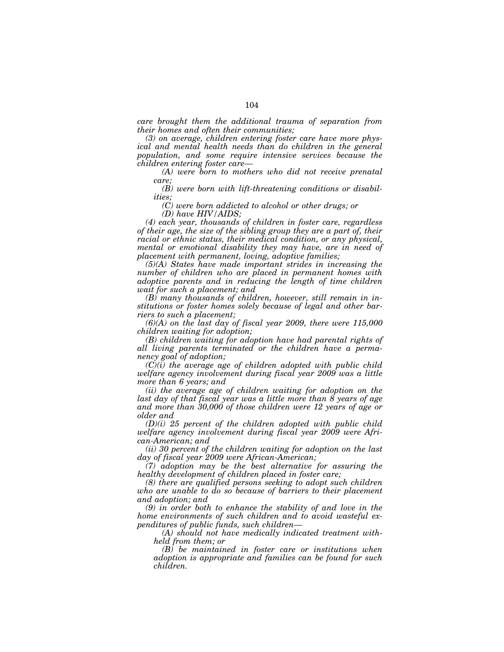*care brought them the additional trauma of separation from their homes and often their communities;* 

*(3) on average, children entering foster care have more physical and mental health needs than do children in the general population, and some require intensive services because the children entering foster care—* 

*(A) were born to mothers who did not receive prenatal care;* 

*(B) were born with lift-threatening conditions or disabilities;* 

*(C) were born addicted to alcohol or other drugs; or* 

*(D) have HIV/AIDS;* 

*(4) each year, thousands of children in foster care, regardless of their age, the size of the sibling group they are a part of, their racial or ethnic status, their medical condition, or any physical, mental or emotional disability they may have, are in need of placement with permanent, loving, adoptive families;* 

*(5)(A) States have made important strides in increasing the number of children who are placed in permanent homes with adoptive parents and in reducing the length of time children wait for such a placement; and* 

*(B) many thousands of children, however, still remain in institutions or foster homes solely because of legal and other barriers to such a placement;* 

 $(6)(A)$  on the last day of fiscal year 2009, there were  $115,000$ *children waiting for adoption;* 

*(B) children waiting for adoption have had parental rights of all living parents terminated or the children have a permanency goal of adoption;* 

*(C)(i) the average age of children adopted with public child welfare agency involvement during fiscal year 2009 was a little more than 6 years; and* 

*(ii) the average age of children waiting for adoption on the last day of that fiscal year was a little more than 8 years of age and more than 30,000 of those children were 12 years of age or older and* 

*(D)(i) 25 percent of the children adopted with public child welfare agency involvement during fiscal year 2009 were African-American; and* 

*(ii) 30 percent of the children waiting for adoption on the last day of fiscal year 2009 were African-American;* 

*(7) adoption may be the best alternative for assuring the healthy development of children placed in foster care;* 

*(8) there are qualified persons seeking to adopt such children who are unable to do so because of barriers to their placement and adoption; and* 

*(9) in order both to enhance the stability of and love in the home environments of such children and to avoid wasteful expenditures of public funds, such children—* 

*(A) should not have medically indicated treatment withheld from them; or* 

*(B) be maintained in foster care or institutions when adoption is appropriate and families can be found for such children.*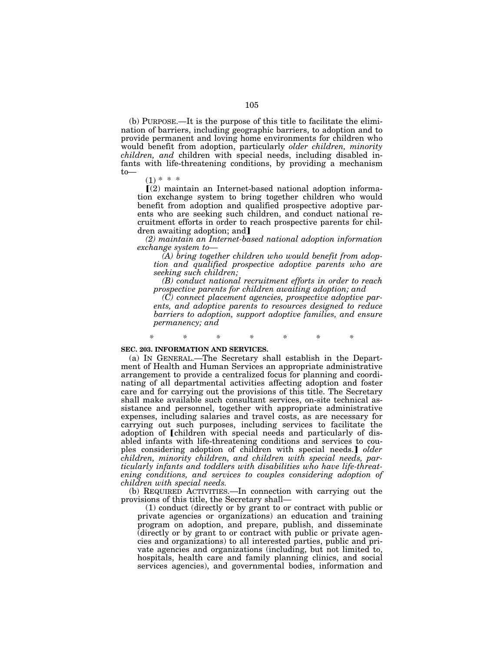(b) PURPOSE.—It is the purpose of this title to facilitate the elimination of barriers, including geographic barriers, to adoption and to provide permanent and loving home environments for children who would benefit from adoption, particularly *older children, minority children, and* children with special needs, including disabled infants with life-threatening conditions, by providing a mechanism to—

 $(1) * * * *$ 

 $(2)$  maintain an Internet-based national adoption information exchange system to bring together children who would benefit from adoption and qualified prospective adoptive parents who are seeking such children, and conduct national recruitment efforts in order to reach prospective parents for children awaiting adoption; and]

*(2) maintain an Internet-based national adoption information exchange system to—* 

*(A) bring together children who would benefit from adoption and qualified prospective adoptive parents who are seeking such children;* 

*(B) conduct national recruitment efforts in order to reach prospective parents for children awaiting adoption; and* 

*(C) connect placement agencies, prospective adoptive parents, and adoptive parents to resources designed to reduce barriers to adoption, support adoptive families, and ensure permanency; and* 

*\* \* \* \* \* \* \** 

#### **SEC. 203. INFORMATION AND SERVICES.**

(a) IN GENERAL.—The Secretary shall establish in the Department of Health and Human Services an appropriate administrative arrangement to provide a centralized focus for planning and coordinating of all departmental activities affecting adoption and foster care and for carrying out the provisions of this title. The Secretary shall make available such consultant services, on-site technical assistance and personnel, together with appropriate administrative expenses, including salaries and travel costs, as are necessary for carrying out such purposes, including services to facilitate the adoption of [children with special needs and particularly of disabled infants with life-threatening conditions and services to couples considering adoption of children with special needs.] *older children, minority children, and children with special needs, particularly infants and toddlers with disabilities who have life-threatening conditions, and services to couples considering adoption of children with special needs.* 

(b) REQUIRED ACTIVITIES.—In connection with carrying out the provisions of this title, the Secretary shall—

(1) conduct (directly or by grant to or contract with public or private agencies or organizations) an education and training program on adoption, and prepare, publish, and disseminate (directly or by grant to or contract with public or private agencies and organizations) to all interested parties, public and private agencies and organizations (including, but not limited to, hospitals, health care and family planning clinics, and social services agencies), and governmental bodies, information and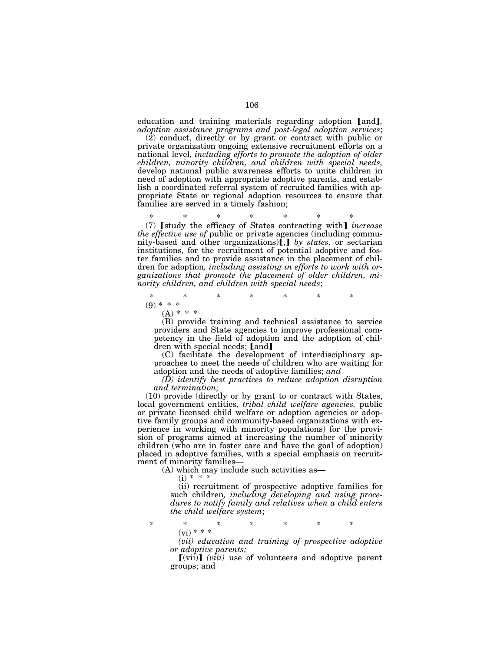education and training materials regarding adoption [and], *adoption assistance programs and post-legal adoption services*;

(2) conduct, directly or by grant or contract with public or private organization ongoing extensive recruitment efforts on a national level*, including efforts to promote the adoption of older children, minority children, and children with special needs,*  develop national public awareness efforts to unite children in need of adoption with appropriate adoptive parents, and establish a coordinated referral system of recruited families with appropriate State or regional adoption resources to ensure that families are served in a timely fashion;

\* \* \* \* \* \* \*

(7) [study the efficacy of States contracting with] *increase the effective use of* public or private agencies (including community-based and other organizations). *by states*, or sectarian institutions*,* for the recruitment of potential adoptive and foster families and to provide assistance in the placement of children for adoption*, including assisting in efforts to work with organizations that promote the placement of older children, minority children, and children with special needs*;

\* \* \* \* \* \* \*  $(9) * * * *$ 

 $(A) * * * *$ 

(B) provide training and technical assistance to service providers and State agencies to improve professional competency in the field of adoption and the adoption of children with special needs; [and]

(C) facilitate the development of interdisciplinary approaches to meet the needs of children who are waiting for adoption and the needs of adoptive families; *and* 

*(D) identify best practices to reduce adoption disruption and termination;* 

(10) provide (directly or by grant to or contract with States, local government entities, *tribal child welfare agencies,* public or private licensed child welfare or adoption agencies or adoptive family groups and community-based organizations with experience in working with minority populations) for the provision of programs aimed at increasing the number of minority children (who are in foster care and have the goal of adoption) placed in adoptive families, with a special emphasis on recruitment of minority families—

(A) which may include such activities as—

 $(i) * *$ 

(ii) recruitment of prospective adoptive families for such children*, including developing and using procedures to notify family and relatives when a child enters the child welfare system*;

\* \* \* \* \* \* \*  $(vi) * * *$ 

*(vii) education and training of prospective adoptive or adoptive parents;* 

 $\lceil$ (vii) $\rceil$  (*viii*) use of volunteers and adoptive parent groups; and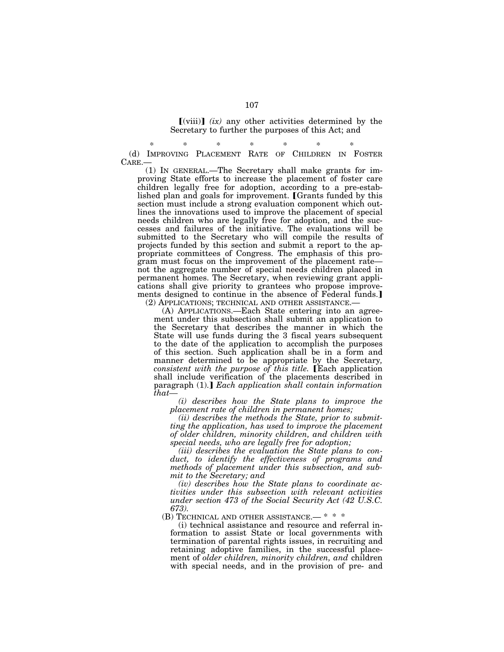$\lceil$ (viii) $\rceil$  *(ix)* any other activities determined by the Secretary to further the purposes of this Act; and

\* \* \* \* \* \* \* (d) IMPROVING PLACEMENT RATE OF CHILDREN IN FOSTER CARE.—

(1) IN GENERAL.—The Secretary shall make grants for improving State efforts to increase the placement of foster care children legally free for adoption, according to a pre-established plan and goals for improvement. [Grants funded by this section must include a strong evaluation component which outlines the innovations used to improve the placement of special needs children who are legally free for adoption, and the successes and failures of the initiative. The evaluations will be submitted to the Secretary who will compile the results of projects funded by this section and submit a report to the appropriate committees of Congress. The emphasis of this program must focus on the improvement of the placement rate not the aggregate number of special needs children placed in permanent homes. The Secretary, when reviewing grant applications shall give priority to grantees who propose improvements designed to continue in the absence of Federal funds. (2) APPLICATIONS; TECHNICAL AND OTHER ASSISTANCE.—

(A) APPLICATIONS.—Each State entering into an agreement under this subsection shall submit an application to the Secretary that describes the manner in which the State will use funds during the 3 fiscal years subsequent to the date of the application to accomplish the purposes of this section. Such application shall be in a form and manner determined to be appropriate by the Secretary*, consistent with the purpose of this title.* [Each application shall include verification of the placements described in paragraph (1).] *Each application shall contain information that—* 

*(i) describes how the State plans to improve the placement rate of children in permanent homes;* 

*(ii) describes the methods the State, prior to submitting the application, has used to improve the placement of older children, minority children, and children with special needs, who are legally free for adoption;* 

*(iii) describes the evaluation the State plans to conduct, to identify the effectiveness of programs and methods of placement under this subsection, and submit to the Secretary; and* 

*(iv) describes how the State plans to coordinate activities under this subsection with relevant activities under section 473 of the Social Security Act (42 U.S.C. 673).* 

(B) TECHNICAL AND OTHER ASSISTANCE.— \* \* \*

(i) technical assistance and resource and referral information to assist State or local governments with termination of parental rights issues, in recruiting and retaining adoptive families, in the successful placement of *older children, minority children, and* children with special needs, and in the provision of pre- and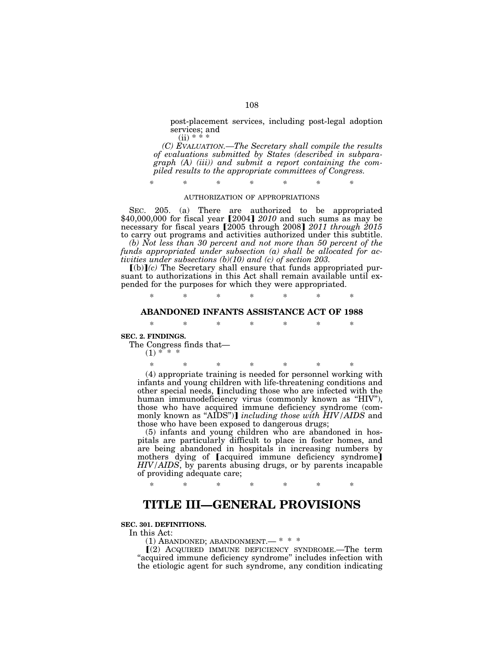post-placement services, including post-legal adoption services; and  $(ii) * *$ 

*(C) EVALUATION.—The Secretary shall compile the results of evaluations submitted by States (described in subparagraph (A) (iii)) and submit a report containing the compiled results to the appropriate committees of Congress.* 

*\* \* \* \* \* \* \** 

#### AUTHORIZATION OF APPROPRIATIONS

SEC. 205. (a) There are authorized to be appropriated \$40,000,000 for fiscal year [2004] *2010* and such sums as may be necessary for fiscal years [2005 through 2008] 2011 through 2015 to carry out programs and activities authorized under this subtitle.

*(b) Not less than 30 percent and not more than 50 percent of the funds appropriated under subsection (a) shall be allocated for activities under subsections (b)(10) and (c) of section 203.* 

 $[(b)](c)$  The Secretary shall ensure that funds appropriated pursuant to authorizations in this Act shall remain available until expended for the purposes for which they were appropriated.

\* \* \* \* \* \* \*

## **ABANDONED INFANTS ASSISTANCE ACT OF 1988**

\* \* \* \* \* \* \*

**SEC. 2. FINDINGS.** 

The Congress finds that—

 $(1) * * *$ 

\* \* \* \* \* \* \* (4) appropriate training is needed for personnel working with infants and young children with life-threatening conditions and other special needs, *[including those who are infected with the* human immunodeficiency virus (commonly known as ''HIV''), those who have acquired immune deficiency syndrome (commonly known as "AIDS")] *including those with HIV/AIDS* and those who have been exposed to dangerous drugs;

(5) infants and young children who are abandoned in hospitals are particularly difficult to place in foster homes, and are being abandoned in hospitals in increasing numbers by mothers dying of [acquired immune deficiency syndrome] *HIV/AIDS*, by parents abusing drugs, or by parents incapable of providing adequate care;

#### \* \* \* \* \* \* \*

## **TITLE III—GENERAL PROVISIONS**

### **SEC. 301. DEFINITIONS.**

In this Act:

(1) ABANDONED; ABANDONMENT.— \* \* \*

 $(2)$  ACQUIRED IMMUNE DEFICIENCY SYNDROME.—The term "acquired immune deficiency syndrome" includes infection with the etiologic agent for such syndrome, any condition indicating